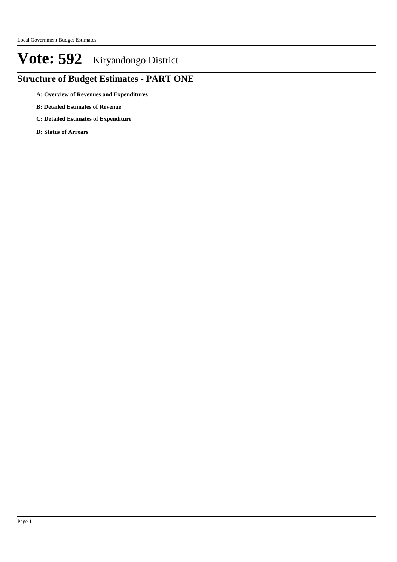### **Structure of Budget Estimates - PART ONE**

**A: Overview of Revenues and Expenditures**

- **B: Detailed Estimates of Revenue**
- **C: Detailed Estimates of Expenditure**

**D: Status of Arrears**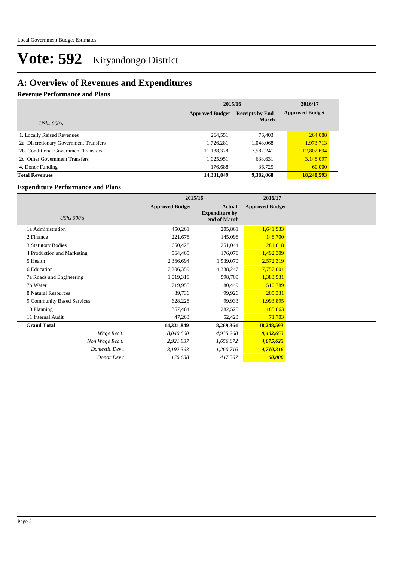### **A: Overview of Revenues and Expenditures**

**Revenue Performance and Plans**

|                                        | 2015/16                | 2016/17                |                        |  |
|----------------------------------------|------------------------|------------------------|------------------------|--|
|                                        | <b>Approved Budget</b> | <b>Receipts by End</b> | <b>Approved Budget</b> |  |
| UShs $000's$                           |                        | <b>March</b>           |                        |  |
| 1. Locally Raised Revenues             | 264,551                | 76,403                 | 264,088                |  |
| 2a. Discretionary Government Transfers | 1,726,281              | 1,048,068              | 1,973,713              |  |
| 2b. Conditional Government Transfers   | 11,138,378             | 7,582,241              | 12,802,694             |  |
| 2c. Other Government Transfers         | 1,025,951              | 638,631                | 3,148,097              |  |
| 4. Donor Funding                       | 176,688                | 36,725                 | 60,000                 |  |
| <b>Total Revenues</b>                  | 14,331,849             | 9.382,068              | 18.248.593             |  |

#### **Expenditure Performance and Plans**

|                            | 2015/16                |                                                        | 2016/17                |  |
|----------------------------|------------------------|--------------------------------------------------------|------------------------|--|
| <b>UShs 000's</b>          | <b>Approved Budget</b> | <b>Actual</b><br><b>Expenditure by</b><br>end of March | <b>Approved Budget</b> |  |
| 1a Administration          | 450,261                | 205,861                                                | 1,641,933              |  |
| 2 Finance                  | 221,678                | 145,098                                                | 148,700                |  |
| 3 Statutory Bodies         | 650,428                | 251,044                                                | 281,818                |  |
| 4 Production and Marketing | 564,465                | 176,078                                                | 1,492,309              |  |
| 5 Health                   | 2,366,694              | 1,939,070                                              | 2,572,319              |  |
| 6 Education                | 7,206,359              | 4,338,247                                              | 7,757,001              |  |
| 7a Roads and Engineering   | 1,019,318              | 598,709                                                | 1,383,931              |  |
| 7b Water                   | 719,955                | 80,449                                                 | 510,789                |  |
| 8 Natural Resources        | 89,736                 | 99,926                                                 | 205,331                |  |
| 9 Community Based Services | 628,228                | 99,933                                                 | 1,993,895              |  |
| 10 Planning                | 367,464                | 282,525                                                | 188,863                |  |
| 11 Internal Audit          | 47,263                 | 52,423                                                 | 71,703                 |  |
| <b>Grand Total</b>         | 14,331,849             | 8,269,364                                              | 18,248,593             |  |
| Wage Rec't:                | 8,040,860              | 4,935,268                                              | 9,402,653              |  |
| Non Wage Rec't:            | 2,921,937              | 1,656,072                                              | 4,075,623              |  |
| Domestic Dev't             | 3,192,363              | 1,260,716                                              | 4,710,316              |  |
| Donor Dev't                | 176,688                | 417,307                                                | 60,000                 |  |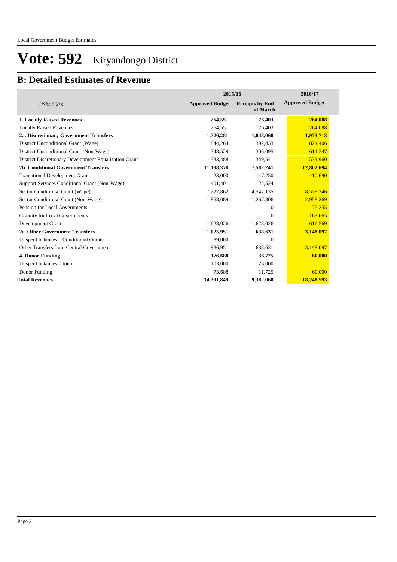### **B: Detailed Estimates of Revenue**

|                                                       |                        | 2015/16                            |                        |  |  |
|-------------------------------------------------------|------------------------|------------------------------------|------------------------|--|--|
| <b>UShs 000's</b>                                     | <b>Approved Budget</b> | <b>Receipts by End</b><br>of March | <b>Approved Budget</b> |  |  |
| 1. Locally Raised Revenues                            | 264,551                | 76,403                             | 264,088                |  |  |
| <b>Locally Raised Revenues</b>                        | 264,551                | 76,403                             | 264,088                |  |  |
| 2a. Discretionary Government Transfers                | 1,726,281              | 1,048,068                          | 1,973,713              |  |  |
| District Unconditional Grant (Wage)                   | 844,264                | 392,433                            | 824,406                |  |  |
| District Unconditional Grant (Non-Wage)               | 348,529                | 306.095                            | 614,347                |  |  |
| District Discretionary Development Equalization Grant | 533,488                | 349,541                            | 534,960                |  |  |
| 2b. Conditional Government Transfers                  | 11,138,378             | 7,582,241                          | 12,802,694             |  |  |
| <b>Transitional Development Grant</b>                 | 23,000                 | 17,250                             | 410.690                |  |  |
| Support Services Conditional Grant (Non-Wage)         | 401.401                | 122,524                            |                        |  |  |
| Sector Conditional Grant (Wage)                       | 7,227,862              | 4,547,135                          | 8,578,246              |  |  |
| Sector Conditional Grant (Non-Wage)                   | 1,858,089              | 1,267,306                          | 2,958,269              |  |  |
| Pension for Local Governments                         |                        | $\mathbf{0}$                       | 75,255                 |  |  |
| <b>Gratuity for Local Governments</b>                 |                        | $\Omega$                           | 163,665                |  |  |
| Development Grant                                     | 1,628,026              | 1,628,026                          | 616,569                |  |  |
| 2c. Other Government Transfers                        | 1,025,951              | 638,631                            | 3,148,097              |  |  |
| Unspent balances – Conditional Grants                 | 89,000                 | $\mathbf{0}$                       |                        |  |  |
| Other Transfers from Central Government               | 936,951                | 638,631                            | 3,148,097              |  |  |
| 4. Donor Funding                                      | 176,688                | 36,725                             | 60,000                 |  |  |
| Unspent balances - donor                              | 103,000                | 25,000                             |                        |  |  |
| Donor Funding                                         | 73,688                 | 11,725                             | 60,000                 |  |  |
| <b>Total Revenues</b>                                 | 14,331,849             | 9,382,068                          | 18,248,593             |  |  |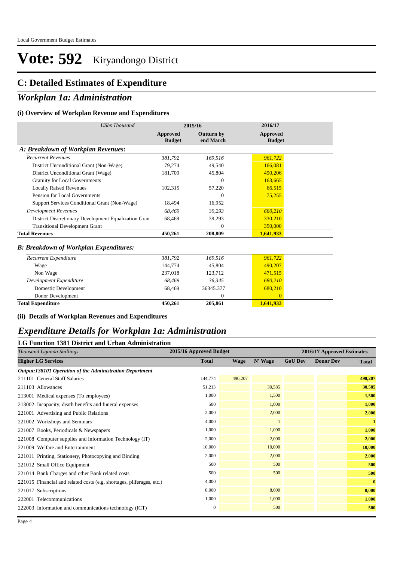#### **C: Detailed Estimates of Expenditure**

#### *Workplan 1a: Administration*

#### **(i) Overview of Workplan Revenue and Expenditures**

| <b>UShs Thousand</b>                                 | 2015/16                   |                         | 2016/17                   |
|------------------------------------------------------|---------------------------|-------------------------|---------------------------|
|                                                      | Approved<br><b>Budget</b> | Outturn by<br>end March | Approved<br><b>Budget</b> |
| A: Breakdown of Workplan Revenues:                   |                           |                         |                           |
| <b>Recurrent Revenues</b>                            | 381,792                   | 169,516                 | 961,722                   |
| District Unconditional Grant (Non-Wage)              | 79,274                    | 49,540                  | 166,081                   |
| District Unconditional Grant (Wage)                  | 181,709                   | 45,804                  | 490,206                   |
| <b>Gratuity for Local Governments</b>                |                           | $\Omega$                | 163,665                   |
| <b>Locally Raised Revenues</b>                       | 102,315                   | 57,220                  | 66,515                    |
| Pension for Local Governments                        |                           | $\Omega$                | 75,255                    |
| Support Services Conditional Grant (Non-Wage)        | 18,494                    | 16,952                  |                           |
| <b>Development Revenues</b>                          | 68.469                    | 39,293                  | 680,210                   |
| District Discretionary Development Equalization Gran | 68,469                    | 39,293                  | 330,210                   |
| <b>Transitional Development Grant</b>                |                           | $\theta$                | 350,000                   |
| <b>Total Revenues</b>                                | 450,261                   | 208,809                 | 1,641,933                 |
| <b>B: Breakdown of Workplan Expenditures:</b>        |                           |                         |                           |
| Recurrent Expenditure                                | 381,792                   | 169,516                 | 961,722                   |
| Wage                                                 | 144,774                   | 45,804                  | 490,207                   |
| Non Wage                                             | 237,018                   | 123,712                 | 471,515                   |
| Development Expenditure                              | 68.469                    | 36,345                  | 680,210                   |
| Domestic Development                                 | 68,469                    | 36345.377               | 680,210                   |
| Donor Development                                    |                           | $\mathbf{0}$            | $\overline{0}$            |
| <b>Total Expenditure</b>                             | 450,261                   | 205,861                 | 1,641,933                 |

**(ii) Details of Workplan Revenues and Expenditures**

#### *Expenditure Details for Workplan 1a: Administration*

| <b>LG Function 1381 District and Urban Administration</b>             |                         |             |              |                |                            |              |  |  |  |
|-----------------------------------------------------------------------|-------------------------|-------------|--------------|----------------|----------------------------|--------------|--|--|--|
| Thousand Uganda Shillings                                             | 2015/16 Approved Budget |             |              |                | 2016/17 Approved Estimates |              |  |  |  |
| <b>Higher LG Services</b>                                             | <b>Total</b>            | <b>Wage</b> | N' Wage      | <b>GoU Dev</b> | <b>Donor Dev</b>           | <b>Total</b> |  |  |  |
| Output:138101 Operation of the Administration Department              |                         |             |              |                |                            |              |  |  |  |
| 211101 General Staff Salaries                                         | 144,774                 | 490,207     |              |                |                            | 490,207      |  |  |  |
| 211103 Allowances                                                     | 51,213                  |             | 30,585       |                |                            | 30,585       |  |  |  |
| 213001 Medical expenses (To employees)                                | 1,000                   |             | 1,500        |                |                            | 1,500        |  |  |  |
| 213002 Incapacity, death benefits and funeral expenses                | 500                     |             | 1,000        |                |                            | 1,000        |  |  |  |
| 221001 Advertising and Public Relations                               | 2,000                   |             | 2,000        |                |                            | 2,000        |  |  |  |
| 221002 Workshops and Seminars                                         | 4,000                   |             | $\mathbf{1}$ |                |                            | $\mathbf{1}$ |  |  |  |
| 221007 Books, Periodicals & Newspapers                                | 1.000                   |             | 1,000        |                |                            | 1,000        |  |  |  |
| 221008 Computer supplies and Information Technology (IT)              | 2,000                   |             | 2,000        |                |                            | 2,000        |  |  |  |
| 221009 Welfare and Entertainment                                      | 10,000                  |             | 10,000       |                |                            | 10,000       |  |  |  |
| 221011 Printing, Stationery, Photocopying and Binding                 | 2,000                   |             | 2,000        |                |                            | 2,000        |  |  |  |
| 221012 Small Office Equipment                                         | 500                     |             | 500          |                |                            | 500          |  |  |  |
| 221014 Bank Charges and other Bank related costs                      | 500                     |             | 500          |                |                            | 500          |  |  |  |
| 221015 Financial and related costs (e.g. shortages, pilferages, etc.) | 4,000                   |             |              |                |                            | $\bf{0}$     |  |  |  |
| 221017 Subscriptions                                                  | 8,000                   |             | 8,000        |                |                            | 8,000        |  |  |  |
| 222001 Telecommunications                                             | 1,000                   |             | 1,000        |                |                            | 1,000        |  |  |  |
| 222003 Information and communications technology (ICT)                | $\mathbf{0}$            |             | 500          |                |                            | 500          |  |  |  |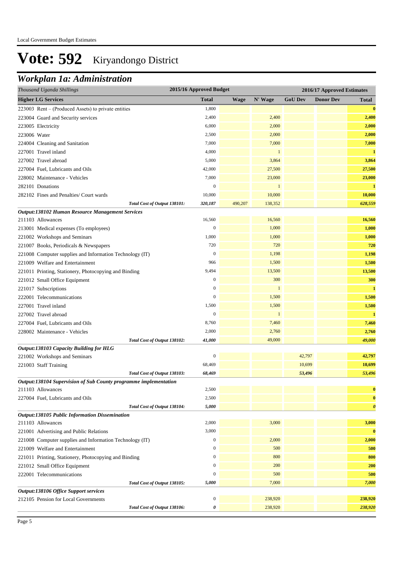## *Workplan 1a: Administration*

| Thousand Uganda Shillings                                                                        | 2015/16 Approved Budget |             |              |                | 2016/17 Approved Estimates |                       |
|--------------------------------------------------------------------------------------------------|-------------------------|-------------|--------------|----------------|----------------------------|-----------------------|
| <b>Higher LG Services</b>                                                                        | <b>Total</b>            | <b>Wage</b> | N' Wage      | <b>GoU Dev</b> | <b>Donor Dev</b>           | <b>Total</b>          |
| 223003 Rent – (Produced Assets) to private entities                                              | 1,800                   |             |              |                |                            | $\bf{0}$              |
| 223004 Guard and Security services                                                               | 2,400                   |             | 2,400        |                |                            | 2,400                 |
| 223005 Electricity                                                                               | 6,000                   |             | 2,000        |                |                            | 2,000                 |
| 223006 Water                                                                                     | 2,500                   |             | 2,000        |                |                            | 2,000                 |
| 224004 Cleaning and Sanitation                                                                   | 7,000                   |             | 7,000        |                |                            | 7,000                 |
| 227001 Travel inland                                                                             | 4,000                   |             | $\mathbf{1}$ |                |                            | $\mathbf{1}$          |
| 227002 Travel abroad                                                                             | 5,000                   |             | 3,864        |                |                            | 3,864                 |
| 227004 Fuel, Lubricants and Oils                                                                 | 42,000                  |             | 27,500       |                |                            | 27,500                |
| 228002 Maintenance - Vehicles                                                                    | 7,000                   |             | 23,000       |                |                            | 23,000                |
| 282101 Donations                                                                                 | $\boldsymbol{0}$        |             | $\mathbf{1}$ |                |                            | $\mathbf{1}$          |
| 282102 Fines and Penalties/ Court wards                                                          | 10,000                  |             | 10,000       |                |                            | 10,000                |
| Total Cost of Output 138101:                                                                     | 320,187                 | 490,207     | 138,352      |                |                            | 628,559               |
| Output:138102 Human Resource Management Services                                                 |                         |             |              |                |                            |                       |
| 211103 Allowances                                                                                | 16,560                  |             | 16,560       |                |                            | 16,560                |
| 213001 Medical expenses (To employees)                                                           | $\boldsymbol{0}$        |             | 1,000        |                |                            | 1,000                 |
| 221002 Workshops and Seminars                                                                    | 1,000                   |             | 1,000        |                |                            | 1,000                 |
| 221007 Books, Periodicals & Newspapers                                                           | 720                     |             | 720          |                |                            | 720                   |
| 221008 Computer supplies and Information Technology (IT)                                         | $\boldsymbol{0}$        |             | 1,198        |                |                            | 1,198                 |
| 221009 Welfare and Entertainment                                                                 | 966                     |             | 1,500        |                |                            | 1,500                 |
| 221011 Printing, Stationery, Photocopying and Binding                                            | 9,494                   |             | 13,500       |                |                            | 13,500                |
| 221012 Small Office Equipment                                                                    | $\boldsymbol{0}$        |             | 300          |                |                            | 300                   |
| 221017 Subscriptions                                                                             | $\mathbf{0}$            |             | $\mathbf{1}$ |                |                            | $\mathbf{1}$          |
| 222001 Telecommunications                                                                        | $\boldsymbol{0}$        |             | 1,500        |                |                            | 1,500                 |
| 227001 Travel inland                                                                             | 1,500                   |             | 1,500        |                |                            | 1,500                 |
| 227002 Travel abroad                                                                             | $\mathbf{0}$            |             | $\mathbf{1}$ |                |                            | $\mathbf{1}$          |
| 227004 Fuel, Lubricants and Oils                                                                 | 8,760                   |             | 7,460        |                |                            | 7,460                 |
| 228002 Maintenance - Vehicles                                                                    | 2,000                   |             | 2,760        |                |                            | 2,760                 |
| Total Cost of Output 138102:                                                                     | 41,000                  |             | 49,000       |                |                            | 49,000                |
| Output:138103 Capacity Building for HLG                                                          | $\boldsymbol{0}$        |             |              | 42,797         |                            | 42,797                |
| 221002 Workshops and Seminars                                                                    | 68,469                  |             |              | 10,699         |                            | 10,699                |
| 221003 Staff Training                                                                            | 68,469                  |             |              | 53,496         |                            | 53,496                |
| Total Cost of Output 138103:<br>Output:138104 Supervision of Sub County programme implementation |                         |             |              |                |                            |                       |
| 211103 Allowances                                                                                | 2,500                   |             |              |                |                            | $\bf{0}$              |
| 227004 Fuel, Lubricants and Oils                                                                 | 2,500                   |             |              |                |                            | $\bf{0}$              |
| Total Cost of Output 138104:                                                                     | 5,000                   |             |              |                |                            | $\boldsymbol{\theta}$ |
| Output:138105 Public Information Dissemination                                                   |                         |             |              |                |                            |                       |
| 211103 Allowances                                                                                | 2,000                   |             | 3,000        |                |                            | 3,000                 |
| 221001 Advertising and Public Relations                                                          | 3,000                   |             |              |                |                            | $\bf{0}$              |
| 221008 Computer supplies and Information Technology (IT)                                         | $\boldsymbol{0}$        |             | 2,000        |                |                            | 2,000                 |
| 221009 Welfare and Entertainment                                                                 | $\boldsymbol{0}$        |             | 500          |                |                            | 500                   |
| 221011 Printing, Stationery, Photocopying and Binding                                            | $\boldsymbol{0}$        |             | 800          |                |                            | 800                   |
| 221012 Small Office Equipment                                                                    | $\boldsymbol{0}$        |             | 200          |                |                            | 200                   |
| 222001 Telecommunications                                                                        | $\boldsymbol{0}$        |             | 500          |                |                            | 500                   |
| Total Cost of Output 138105:                                                                     | 5,000                   |             | 7,000        |                |                            | 7,000                 |
| Output:138106 Office Support services                                                            |                         |             |              |                |                            |                       |
| 212105 Pension for Local Governments                                                             | $\boldsymbol{0}$        |             | 238,920      |                |                            | 238,920               |
| Total Cost of Output 138106:                                                                     | 0                       |             | 238,920      |                |                            | 238,920               |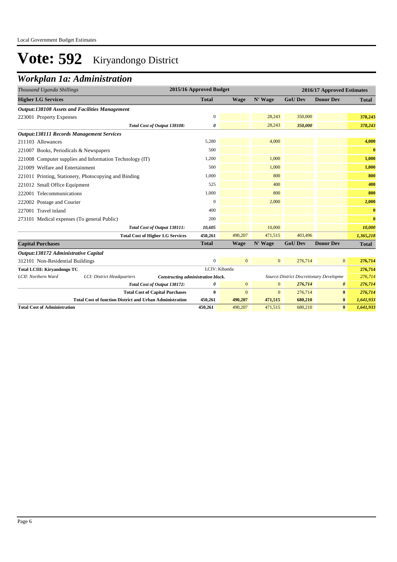### *Workplan 1a: Administration*

| Thousand Uganda Shillings                        |                                                                 |                                         | 2015/16 Approved Budget |              |              |                                          | 2016/17 Approved Estimates |              |
|--------------------------------------------------|-----------------------------------------------------------------|-----------------------------------------|-------------------------|--------------|--------------|------------------------------------------|----------------------------|--------------|
| <b>Higher LG Services</b>                        |                                                                 |                                         | <b>Total</b>            | <b>Wage</b>  | N' Wage      | <b>GoU Dev</b>                           | <b>Donor Dev</b>           | <b>Total</b> |
|                                                  | <b>Output:138108 Assets and Facilities Management</b>           |                                         |                         |              |              |                                          |                            |              |
| 223001 Property Expenses                         |                                                                 |                                         | $\mathbf{0}$            |              | 28,243       | 350,000                                  |                            | 378,243      |
|                                                  |                                                                 | Total Cost of Output 138108:            | 0                       |              | 28,243       | 350,000                                  |                            | 378,243      |
| <b>Output:138111 Records Management Services</b> |                                                                 |                                         |                         |              |              |                                          |                            |              |
| 211103 Allowances                                |                                                                 |                                         | 5,280                   |              | 4,000        |                                          |                            | 4,000        |
| 221007 Books, Periodicals & Newspapers           |                                                                 |                                         | 500                     |              |              |                                          |                            | $\bf{0}$     |
|                                                  | 221008 Computer supplies and Information Technology (IT)        |                                         | 1,200                   |              | 1,000        |                                          |                            | 1,000        |
| 221009 Welfare and Entertainment                 |                                                                 |                                         | 500                     |              | 1,000        |                                          |                            | 1,000        |
|                                                  | 221011 Printing, Stationery, Photocopying and Binding           |                                         | 1,000                   |              | 800          |                                          |                            | 800          |
| 221012 Small Office Equipment                    |                                                                 |                                         | 525                     |              | 400          |                                          |                            | 400          |
| 222001 Telecommunications                        |                                                                 |                                         | 1,000                   |              | 800          |                                          |                            | 800          |
| 222002 Postage and Courier                       |                                                                 |                                         | $\mathbf{0}$            |              | 2,000        |                                          |                            | 2,000        |
| 227001 Travel inland                             |                                                                 |                                         | 400                     |              |              |                                          |                            | $\bf{0}$     |
| 273101 Medical expenses (To general Public)      |                                                                 |                                         | 200                     |              |              |                                          |                            | $\bf{0}$     |
|                                                  |                                                                 | Total Cost of Output 138111:            | 10,605                  |              | 10,000       |                                          |                            | 10,000       |
|                                                  |                                                                 | <b>Total Cost of Higher LG Services</b> | 450,261                 | 490,207      | 471,515      | 403,496                                  |                            | 1,365,218    |
| <b>Capital Purchases</b>                         |                                                                 |                                         | <b>Total</b>            | <b>Wage</b>  | N' Wage      | <b>GoU</b> Dev                           | <b>Donor Dev</b>           | <b>Total</b> |
| Output:138172 Administrative Capital             |                                                                 |                                         |                         |              |              |                                          |                            |              |
| 312101 Non-Residential Buildings                 |                                                                 |                                         | $\boldsymbol{0}$        | $\mathbf{0}$ | $\mathbf{0}$ | 276,714                                  | $\mathbf{0}$               | 276,714      |
| <b>Total LCIII: Kiryandongo TC</b>               |                                                                 |                                         | LCIV: Kibanda           |              |              |                                          |                            | 276,714      |
| LCII: Northern Ward                              | LCI: District Headquarters                                      | Constructing administration block.      |                         |              |              | Source: District Discretionary Developme |                            | 276,714      |
|                                                  |                                                                 | Total Cost of Output 138172:            | 0                       | $\mathbf{0}$ | $\mathbf{0}$ | 276,714                                  | 0                          | 276,714      |
|                                                  |                                                                 | <b>Total Cost of Capital Purchases</b>  | $\bf{0}$                | $\mathbf{0}$ | $\mathbf{0}$ | 276,714                                  | $\bf{0}$                   | 276,714      |
|                                                  | <b>Total Cost of function District and Urban Administration</b> |                                         | 450,261                 | 490,207      | 471,515      | 680,210                                  | $\bf{0}$                   | 1,641,933    |
| <b>Total Cost of Administration</b>              |                                                                 |                                         | 450.261                 | 490,207      | 471,515      | 680,210                                  | $\bf{0}$                   | 1,641,933    |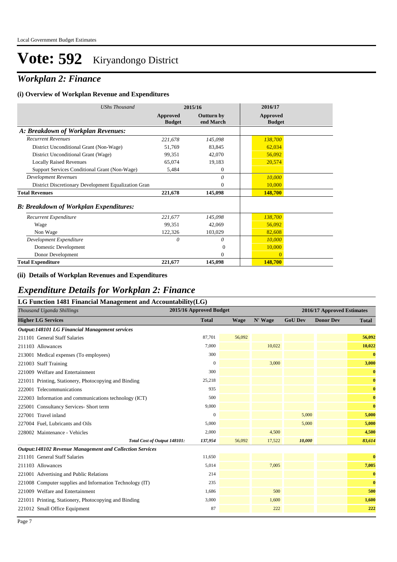## *Workplan 2: Finance*

#### **(i) Overview of Workplan Revenue and Expenditures**

| <b>UShs Thousand</b>                                 | 2015/16                   |                                | 2016/17                   |
|------------------------------------------------------|---------------------------|--------------------------------|---------------------------|
|                                                      | Approved<br><b>Budget</b> | <b>Outturn by</b><br>end March | Approved<br><b>Budget</b> |
| A: Breakdown of Workplan Revenues:                   |                           |                                |                           |
| <b>Recurrent Revenues</b>                            | 221,678                   | 145,098                        | 138,700                   |
| District Unconditional Grant (Non-Wage)              | 51,769                    | 83,845                         | 62,034                    |
| District Unconditional Grant (Wage)                  | 99,351                    | 42,070                         | 56,092                    |
| <b>Locally Raised Revenues</b>                       | 65,074                    | 19,183                         | 20,574                    |
| Support Services Conditional Grant (Non-Wage)        | 5,484                     | $\theta$                       |                           |
| <b>Development Revenues</b>                          |                           | 0                              | 10,000                    |
| District Discretionary Development Equalization Gran |                           | $\theta$                       | 10,000                    |
| <b>Total Revenues</b>                                | 221,678                   | 145,098                        | 148,700                   |
| <b>B: Breakdown of Workplan Expenditures:</b>        |                           |                                |                           |
| Recurrent Expenditure                                | 221,677                   | 145,098                        | 138,700                   |
| Wage                                                 | 99,351                    | 42,069                         | 56,092                    |
| Non Wage                                             | 122,326                   | 103,029                        | 82,608                    |
| Development Expenditure                              | 0                         | 0                              | 10,000                    |
| Domestic Development                                 |                           | $\Omega$                       | 10,000                    |
| Donor Development                                    |                           | $\theta$                       | $\mathbf{0}$              |
| <b>Total Expenditure</b>                             | 221,677                   | 145,098                        | 148,700                   |

#### **(ii) Details of Workplan Revenues and Expenditures**

#### *Expenditure Details for Workplan 2: Finance*

| LG Function 1481 Financial Management and Accountability(LG)    |                         |        |         |                |                            |              |
|-----------------------------------------------------------------|-------------------------|--------|---------|----------------|----------------------------|--------------|
| Thousand Uganda Shillings                                       | 2015/16 Approved Budget |        |         |                | 2016/17 Approved Estimates |              |
| <b>Higher LG Services</b>                                       | <b>Total</b>            | Wage   | N' Wage | <b>GoU Dev</b> | <b>Donor Dev</b>           | <b>Total</b> |
| <b>Output:148101 LG Financial Management services</b>           |                         |        |         |                |                            |              |
| 211101 General Staff Salaries                                   | 87,701                  | 56,092 |         |                |                            | 56,092       |
| 211103 Allowances                                               | 7,000                   |        | 10,022  |                |                            | 10,022       |
| 213001 Medical expenses (To employees)                          | 300                     |        |         |                |                            | $\bf{0}$     |
| 221003 Staff Training                                           | $\mathbf{0}$            |        | 3,000   |                |                            | 3,000        |
| 221009 Welfare and Entertainment                                | 300                     |        |         |                |                            | $\bf{0}$     |
| 221011 Printing, Stationery, Photocopying and Binding           | 25,218                  |        |         |                |                            | $\bf{0}$     |
| 222001 Telecommunications                                       | 935                     |        |         |                |                            | $\mathbf{0}$ |
| 222003 Information and communications technology (ICT)          | 500                     |        |         |                |                            | $\bf{0}$     |
| 225001 Consultancy Services- Short term                         | 9,000                   |        |         |                |                            | $\bf{0}$     |
| 227001 Travel inland                                            | $\mathbf{0}$            |        |         | 5,000          |                            | 5,000        |
| 227004 Fuel, Lubricants and Oils                                | 5,000                   |        |         | 5,000          |                            | 5,000        |
| 228002 Maintenance - Vehicles                                   | 2,000                   |        | 4,500   |                |                            | 4,500        |
| Total Cost of Output 148101:                                    | 137,954                 | 56,092 | 17,522  | 10,000         |                            | 83,614       |
| <b>Output:148102 Revenue Management and Collection Services</b> |                         |        |         |                |                            |              |
| 211101 General Staff Salaries                                   | 11,650                  |        |         |                |                            | $\bf{0}$     |
| 211103 Allowances                                               | 5,014                   |        | 7,005   |                |                            | 7,005        |
| 221001 Advertising and Public Relations                         | 214                     |        |         |                |                            | $\bf{0}$     |
| 221008 Computer supplies and Information Technology (IT)        | 235                     |        |         |                |                            | $\mathbf{0}$ |
| 221009 Welfare and Entertainment                                | 1,686                   |        | 500     |                |                            | 500          |
| 221011 Printing, Stationery, Photocopying and Binding           | 3,000                   |        | 1,600   |                |                            | 1,600        |
| 221012 Small Office Equipment                                   | 87                      |        | 222     |                |                            | 222          |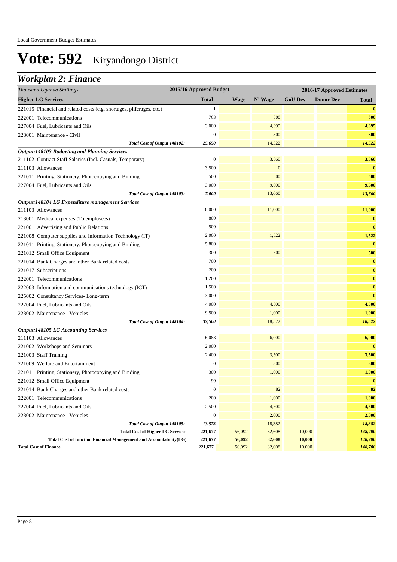### *Workplan 2: Finance*

| <b>Total</b><br><b>Higher LG Services</b><br><b>Wage</b><br>N' Wage<br><b>GoU</b> Dev<br><b>Donor Dev</b><br>221015 Financial and related costs (e.g. shortages, pilferages, etc.)<br>1<br>763<br>500<br>222001 Telecommunications<br>227004 Fuel, Lubricants and Oils<br>3,000<br>4,395<br>$\mathbf{0}$<br>300<br>228001 Maintenance - Civil | Total              |  |  |  |
|-----------------------------------------------------------------------------------------------------------------------------------------------------------------------------------------------------------------------------------------------------------------------------------------------------------------------------------------------|--------------------|--|--|--|
|                                                                                                                                                                                                                                                                                                                                               | $\bf{0}$           |  |  |  |
|                                                                                                                                                                                                                                                                                                                                               |                    |  |  |  |
|                                                                                                                                                                                                                                                                                                                                               | 500                |  |  |  |
|                                                                                                                                                                                                                                                                                                                                               | 4,395              |  |  |  |
|                                                                                                                                                                                                                                                                                                                                               | 300                |  |  |  |
| 14,522<br>Total Cost of Output 148102:<br>25,650                                                                                                                                                                                                                                                                                              | 14,522             |  |  |  |
| <b>Output:148103 Budgeting and Planning Services</b>                                                                                                                                                                                                                                                                                          |                    |  |  |  |
| $\boldsymbol{0}$<br>3,560<br>211102 Contract Staff Salaries (Incl. Casuals, Temporary)                                                                                                                                                                                                                                                        | 3,560              |  |  |  |
| $\mathbf{0}$<br>211103 Allowances<br>3,500                                                                                                                                                                                                                                                                                                    | $\bf{0}$           |  |  |  |
| 500<br>500<br>221011 Printing, Stationery, Photocopying and Binding                                                                                                                                                                                                                                                                           | 500                |  |  |  |
| 3,000<br>9,600<br>227004 Fuel, Lubricants and Oils                                                                                                                                                                                                                                                                                            | 9,600              |  |  |  |
| 7,000<br>13,660<br>Total Cost of Output 148103:                                                                                                                                                                                                                                                                                               | 13,660             |  |  |  |
| Output:148104 LG Expenditure management Services                                                                                                                                                                                                                                                                                              |                    |  |  |  |
| 8,000<br>11,000<br>211103 Allowances                                                                                                                                                                                                                                                                                                          | 11,000             |  |  |  |
| 800<br>213001 Medical expenses (To employees)                                                                                                                                                                                                                                                                                                 | $\bf{0}$           |  |  |  |
| 221001 Advertising and Public Relations<br>500                                                                                                                                                                                                                                                                                                | $\bf{0}$           |  |  |  |
| 2,000<br>1,522<br>221008 Computer supplies and Information Technology (IT)                                                                                                                                                                                                                                                                    | 1,522              |  |  |  |
| 221011 Printing, Stationery, Photocopying and Binding<br>5,800                                                                                                                                                                                                                                                                                | $\bf{0}$           |  |  |  |
| 500<br>300<br>221012 Small Office Equipment                                                                                                                                                                                                                                                                                                   | 500                |  |  |  |
| 700<br>221014 Bank Charges and other Bank related costs                                                                                                                                                                                                                                                                                       | $\bf{0}$           |  |  |  |
| 200<br>221017 Subscriptions                                                                                                                                                                                                                                                                                                                   | $\bf{0}$           |  |  |  |
| 1,200<br>222001 Telecommunications                                                                                                                                                                                                                                                                                                            | $\bf{0}$           |  |  |  |
| 222003 Information and communications technology (ICT)<br>1,500                                                                                                                                                                                                                                                                               | $\bf{0}$           |  |  |  |
| 3,000<br>225002 Consultancy Services-Long-term                                                                                                                                                                                                                                                                                                | $\bf{0}$           |  |  |  |
| 4,000<br>227004 Fuel, Lubricants and Oils<br>4,500                                                                                                                                                                                                                                                                                            | 4,500              |  |  |  |
| 9,500<br>1,000<br>228002 Maintenance - Vehicles                                                                                                                                                                                                                                                                                               | 1,000              |  |  |  |
| 37,500<br>18,522<br>Total Cost of Output 148104:                                                                                                                                                                                                                                                                                              | 18,522             |  |  |  |
| <b>Output:148105 LG Accounting Services</b>                                                                                                                                                                                                                                                                                                   |                    |  |  |  |
| 6,083<br>6,000<br>211103 Allowances                                                                                                                                                                                                                                                                                                           | 6,000              |  |  |  |
| 2,000<br>221002 Workshops and Seminars                                                                                                                                                                                                                                                                                                        | $\bf{0}$           |  |  |  |
| 2,400<br>221003 Staff Training<br>3,500                                                                                                                                                                                                                                                                                                       | 3,500              |  |  |  |
| $\mathbf{0}$<br>300<br>221009 Welfare and Entertainment                                                                                                                                                                                                                                                                                       | 300                |  |  |  |
| 300<br>1,000<br>221011 Printing, Stationery, Photocopying and Binding                                                                                                                                                                                                                                                                         | 1,000              |  |  |  |
| 90<br>221012 Small Office Equipment                                                                                                                                                                                                                                                                                                           | $\bf{0}$           |  |  |  |
| $\boldsymbol{0}$<br>82<br>221014 Bank Charges and other Bank related costs                                                                                                                                                                                                                                                                    | 82                 |  |  |  |
| 200<br>1,000<br>222001 Telecommunications                                                                                                                                                                                                                                                                                                     | 1,000              |  |  |  |
| 227004 Fuel, Lubricants and Oils<br>2,500<br>4,500                                                                                                                                                                                                                                                                                            | 4,500              |  |  |  |
| $\mathbf{0}$<br>2,000<br>228002 Maintenance - Vehicles                                                                                                                                                                                                                                                                                        | 2,000              |  |  |  |
| Total Cost of Output 148105:<br>13,573<br>18,382                                                                                                                                                                                                                                                                                              | 18,382             |  |  |  |
| <b>Total Cost of Higher LG Services</b><br>56,092<br>10,000<br>221,677<br>82,608<br>10,000                                                                                                                                                                                                                                                    | 148,700            |  |  |  |
| Total Cost of function Financial Management and Accountability(LG)<br>221,677<br>56,092<br>82,608<br><b>Total Cost of Finance</b><br>56,092<br>82,608<br>10,000<br>221,677                                                                                                                                                                    | 148,700<br>148,700 |  |  |  |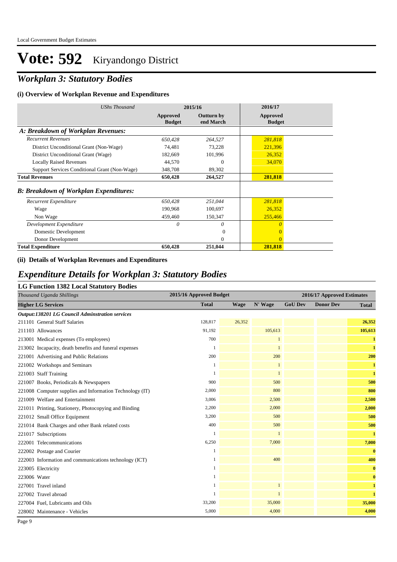## *Workplan 3: Statutory Bodies*

#### **(i) Overview of Workplan Revenue and Expenditures**

| UShs Thousand                                 | 2015/16                   |                         | 2016/17                   |  |
|-----------------------------------------------|---------------------------|-------------------------|---------------------------|--|
|                                               | Approved<br><b>Budget</b> | Outturn by<br>end March | Approved<br><b>Budget</b> |  |
| A: Breakdown of Workplan Revenues:            |                           |                         |                           |  |
| <b>Recurrent Revenues</b>                     | 650,428                   | 264,527                 | 281,818                   |  |
| District Unconditional Grant (Non-Wage)       | 74,481                    | 73,228                  | 221,396                   |  |
| District Unconditional Grant (Wage)           | 182,669                   | 101,996                 | 26,352                    |  |
| <b>Locally Raised Revenues</b>                | 44,570                    | $\Omega$                | 34,070                    |  |
| Support Services Conditional Grant (Non-Wage) | 348,708                   | 89,302                  |                           |  |
| <b>Total Revenues</b>                         | 650,428                   | 264,527                 | 281,818                   |  |
| <b>B: Breakdown of Workplan Expenditures:</b> |                           |                         |                           |  |
| Recurrent Expenditure                         | 650,428                   | 251,044                 | 281,818                   |  |
| Wage                                          | 190,968                   | 100,697                 | 26,352                    |  |
| Non Wage                                      | 459,460                   | 150,347                 | 255,466                   |  |
| Development Expenditure                       | 0                         | 0                       | $\theta$                  |  |
| Domestic Development                          |                           | $\Omega$                | $\Omega$                  |  |
| Donor Development                             |                           | $\Omega$                | $\theta$                  |  |
| <b>Total Expenditure</b>                      | 650,428                   | 251,044                 | 281,818                   |  |

#### **(ii) Details of Workplan Revenues and Expenditures**

#### *Expenditure Details for Workplan 3: Statutory Bodies*

#### **LG Function 1382 Local Statutory Bodies**

| Thousand Uganda Shillings                                | 2015/16 Approved Budget |             |              |                | 2016/17 Approved Estimates |              |
|----------------------------------------------------------|-------------------------|-------------|--------------|----------------|----------------------------|--------------|
| <b>Higher LG Services</b>                                | <b>Total</b>            | <b>Wage</b> | N' Wage      | <b>GoU Dev</b> | <b>Donor Dev</b>           | <b>Total</b> |
| <b>Output:138201 LG Council Adminstration services</b>   |                         |             |              |                |                            |              |
| 211101 General Staff Salaries                            | 128,817                 | 26,352      |              |                |                            | 26,352       |
| 211103 Allowances                                        | 91,192                  |             | 105,613      |                |                            | 105,613      |
| 213001 Medical expenses (To employees)                   | 700                     |             | $\mathbf{1}$ |                |                            | $\mathbf{1}$ |
| 213002 Incapacity, death benefits and funeral expenses   |                         |             | $\mathbf{1}$ |                |                            | $\mathbf{1}$ |
| 221001 Advertising and Public Relations                  | 200                     |             | 200          |                |                            | 200          |
| 221002 Workshops and Seminars                            | 1                       |             | $\mathbf{1}$ |                |                            | $\mathbf{1}$ |
| 221003 Staff Training                                    |                         |             | $\mathbf{1}$ |                |                            | $\mathbf{1}$ |
| 221007 Books, Periodicals & Newspapers                   | 900                     |             | 500          |                |                            | 500          |
| 221008 Computer supplies and Information Technology (IT) | 2,000                   |             | 800          |                |                            | 800          |
| 221009 Welfare and Entertainment                         | 3,006                   |             | 2,500        |                |                            | 2,500        |
| 221011 Printing, Stationery, Photocopying and Binding    | 2,200                   |             | 2,000        |                |                            | 2,000        |
| 221012 Small Office Equipment                            | 3,200                   |             | 500          |                |                            | 500          |
| 221014 Bank Charges and other Bank related costs         | 400                     |             | 500          |                |                            | 500          |
| 221017 Subscriptions                                     |                         |             | $\mathbf{1}$ |                |                            | $\mathbf{1}$ |
| 222001 Telecommunications                                | 6,250                   |             | 7,000        |                |                            | 7,000        |
| 222002 Postage and Courier                               | 1                       |             |              |                |                            | $\bf{0}$     |
| 222003 Information and communications technology (ICT)   |                         |             | 400          |                |                            | 400          |
| 223005 Electricity                                       |                         |             |              |                |                            | $\bf{0}$     |
| 223006 Water                                             | 1                       |             |              |                |                            | $\bf{0}$     |
| 227001 Travel inland                                     |                         |             | $\mathbf{1}$ |                |                            | $\mathbf{1}$ |
| 227002 Travel abroad                                     |                         |             | $\mathbf{1}$ |                |                            | $\mathbf{1}$ |
| 227004 Fuel, Lubricants and Oils                         | 33,200                  |             | 35,000       |                |                            | 35,000       |
| 228002 Maintenance - Vehicles                            | 5,000                   |             | 4,000        |                |                            | 4,000        |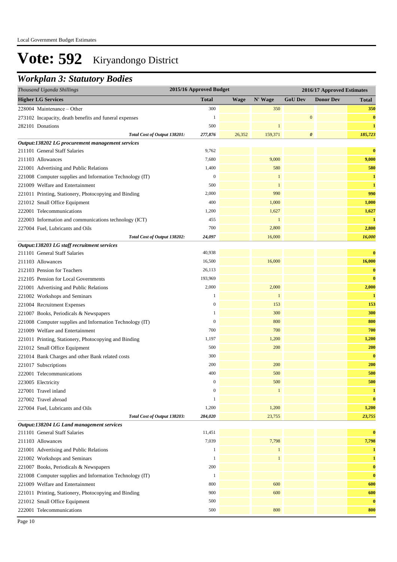### *Workplan 3: Statutory Bodies*

| Thousand Uganda Shillings                                | 2015/16 Approved Budget |             |              |                       | 2016/17 Approved Estimates |              |
|----------------------------------------------------------|-------------------------|-------------|--------------|-----------------------|----------------------------|--------------|
| <b>Higher LG Services</b>                                | <b>Total</b>            | <b>Wage</b> | N' Wage      | <b>GoU Dev</b>        | <b>Donor Dev</b>           | <b>Total</b> |
| 228004 Maintenance – Other                               | 300                     |             | 350          |                       |                            | 350          |
| 273102 Incapacity, death benefits and funeral expenses   | 1                       |             |              | $\boldsymbol{0}$      |                            | $\bf{0}$     |
| 282101 Donations                                         | 500                     |             | $\mathbf{1}$ |                       |                            | $\mathbf{1}$ |
| Total Cost of Output 138201:                             | 277,876                 | 26,352      | 159,371      | $\boldsymbol{\theta}$ |                            | 185,723      |
| Output:138202 LG procurement management services         |                         |             |              |                       |                            |              |
| 211101 General Staff Salaries                            | 9,762                   |             |              |                       |                            | $\bf{0}$     |
| 211103 Allowances                                        | 7,680                   |             | 9,000        |                       |                            | 9,000        |
| 221001 Advertising and Public Relations                  | 1,400                   |             | 580          |                       |                            | 580          |
| 221008 Computer supplies and Information Technology (IT) | $\boldsymbol{0}$        |             | $\mathbf{1}$ |                       |                            | $\mathbf{1}$ |
| 221009 Welfare and Entertainment                         | 500                     |             | $\mathbf{1}$ |                       |                            | $\mathbf{1}$ |
| 221011 Printing, Stationery, Photocopying and Binding    | 2,000                   |             | 990          |                       |                            | 990          |
| 221012 Small Office Equipment                            | 400                     |             | 1,000        |                       |                            | 1,000        |
| 222001 Telecommunications                                | 1,200                   |             | 1,627        |                       |                            | 1,627        |
| 222003 Information and communications technology (ICT)   | 455                     |             | $\mathbf{1}$ |                       |                            | $\mathbf{1}$ |
| 227004 Fuel, Lubricants and Oils                         | 700                     |             | 2,800        |                       |                            | 2,800        |
| Total Cost of Output 138202:                             | 24,097                  |             | 16,000       |                       |                            | 16,000       |
| Output:138203 LG staff recruitment services              |                         |             |              |                       |                            |              |
| 211101 General Staff Salaries                            | 40,938                  |             |              |                       |                            | $\bf{0}$     |
| 211103 Allowances                                        | 16,500                  |             | 16,000       |                       |                            | 16,000       |
| 212103 Pension for Teachers                              | 26,113                  |             |              |                       |                            | $\bf{0}$     |
| 212105 Pension for Local Governments                     | 193,969                 |             |              |                       |                            | $\bf{0}$     |
| 221001 Advertising and Public Relations                  | 2,000                   |             | 2,000        |                       |                            | 2,000        |
| 221002 Workshops and Seminars                            | 1                       |             | $\mathbf{1}$ |                       |                            | 1            |
| 221004 Recruitment Expenses                              | $\boldsymbol{0}$        |             | 153          |                       |                            | 153          |
| 221007 Books, Periodicals & Newspapers                   | 1                       |             | 300          |                       |                            | 300          |
| 221008 Computer supplies and Information Technology (IT) | $\boldsymbol{0}$        |             | 800          |                       |                            | 800          |
| 221009 Welfare and Entertainment                         | 700                     |             | 700          |                       |                            | 700          |
| 221011 Printing, Stationery, Photocopying and Binding    | 1,197                   |             | 1,200        |                       |                            | 1,200        |
| 221012 Small Office Equipment                            | 500                     |             | 200          |                       |                            | 200          |
| 221014 Bank Charges and other Bank related costs         | 300                     |             |              |                       |                            | $\bf{0}$     |
| 221017 Subscriptions                                     | 200                     |             | 200          |                       |                            | 200          |
| 222001 Telecommunications                                | 400                     |             | 500          |                       |                            | 500          |
| 223005 Electricity                                       | $\overline{0}$          |             | 500          |                       |                            | 500          |
| 227001 Travel inland                                     | $\boldsymbol{0}$        |             | $\mathbf{1}$ |                       |                            | $\mathbf{1}$ |
| 227002 Travel abroad                                     | 1                       |             |              |                       |                            | $\bf{0}$     |
| 227004 Fuel, Lubricants and Oils                         | 1,200                   |             | 1,200        |                       |                            | 1,200        |
| Total Cost of Output 138203:                             | 284,020                 |             | 23,755       |                       |                            | 23,755       |
| Output:138204 LG Land management services                |                         |             |              |                       |                            |              |
| 211101 General Staff Salaries                            | 11,451                  |             |              |                       |                            | $\bf{0}$     |
| 211103 Allowances                                        | 7,039                   |             | 7,798        |                       |                            | 7,798        |
| 221001 Advertising and Public Relations                  | 1                       |             | $\mathbf{1}$ |                       |                            | $\mathbf{1}$ |
| 221002 Workshops and Seminars                            | 1                       |             | $\mathbf{1}$ |                       |                            | $\mathbf{1}$ |
| 221007 Books, Periodicals & Newspapers                   | 200                     |             |              |                       |                            | $\bf{0}$     |
| 221008 Computer supplies and Information Technology (IT) | $\mathbf{1}$            |             |              |                       |                            | $\bf{0}$     |
| 221009 Welfare and Entertainment                         | 800                     |             | 600          |                       |                            | 600          |
| 221011 Printing, Stationery, Photocopying and Binding    | 900                     |             | 600          |                       |                            | 600          |
| 221012 Small Office Equipment                            | 500                     |             |              |                       |                            | $\bf{0}$     |
| 222001 Telecommunications                                | 500                     |             | 800          |                       |                            | 800          |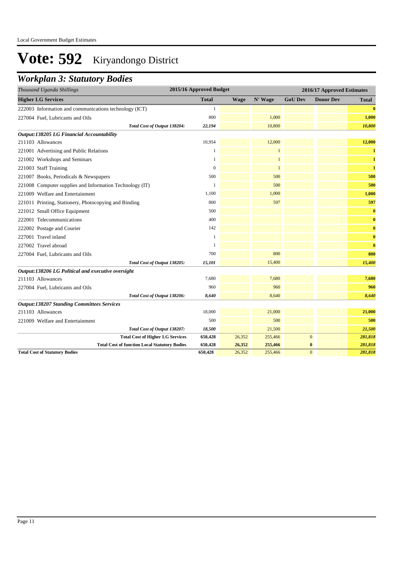### *Workplan 3: Statutory Bodies*

| Thousand Uganda Shillings                                | 2015/16 Approved Budget |             |              |                | 2016/17 Approved Estimates |              |
|----------------------------------------------------------|-------------------------|-------------|--------------|----------------|----------------------------|--------------|
| <b>Higher LG Services</b>                                | <b>Total</b>            | <b>Wage</b> | N' Wage      | <b>GoU Dev</b> | <b>Donor Dev</b>           | <b>Total</b> |
| 222003 Information and communications technology (ICT)   | 1                       |             |              |                |                            | $\mathbf{0}$ |
| 227004 Fuel, Lubricants and Oils                         | 800                     |             | 1,000        |                |                            | 1,000        |
| Total Cost of Output 138204:                             | 22,194                  |             | 10,800       |                |                            | 10,800       |
| Output:138205 LG Financial Accountability                |                         |             |              |                |                            |              |
| 211103 Allowances                                        | 10,954                  |             | 12,000       |                |                            | 12,000       |
| 221001 Advertising and Public Relations                  | 1                       |             | $\mathbf{1}$ |                |                            | $\mathbf{1}$ |
| 221002 Workshops and Seminars                            | -1                      |             | $\mathbf{1}$ |                |                            | $\mathbf{1}$ |
| 221003 Staff Training                                    | $\mathbf{0}$            |             | $\mathbf{1}$ |                |                            | $\mathbf{1}$ |
| 221007 Books, Periodicals & Newspapers                   | 500                     |             | 500          |                |                            | 500          |
| 221008 Computer supplies and Information Technology (IT) | 1                       |             | 500          |                |                            | 500          |
| 221009 Welfare and Entertainment                         | 1,100                   |             | 1,000        |                |                            | 1,000        |
| 221011 Printing, Stationery, Photocopying and Binding    | 800                     |             | 597          |                |                            | 597          |
| 221012 Small Office Equipment                            | 500                     |             |              |                |                            | $\bf{0}$     |
| 222001 Telecommunications                                | 400                     |             |              |                |                            | $\bf{0}$     |
| 222002 Postage and Courier                               | 142                     |             |              |                |                            | $\bf{0}$     |
| 227001 Travel inland                                     | 1                       |             |              |                |                            | $\bf{0}$     |
| 227002 Travel abroad                                     | 1                       |             |              |                |                            | $\bf{0}$     |
| 227004 Fuel, Lubricants and Oils                         | 700                     |             | 800          |                |                            | 800          |
| Total Cost of Output 138205:                             | 15,101                  |             | 15,400       |                |                            | 15,400       |
| Output:138206 LG Political and executive oversight       |                         |             |              |                |                            |              |
| 211103 Allowances                                        | 7,680                   |             | 7,680        |                |                            | 7,680        |
| 227004 Fuel, Lubricants and Oils                         | 960                     |             | 960          |                |                            | 960          |
| Total Cost of Output 138206:                             | 8,640                   |             | 8,640        |                |                            | 8,640        |
| <b>Output:138207 Standing Committees Services</b>        |                         |             |              |                |                            |              |
| 211103 Allowances                                        | 18,000                  |             | 21,000       |                |                            | 21,000       |
| 221009 Welfare and Entertainment                         | 500                     |             | 500          |                |                            | 500          |
| Total Cost of Output 138207:                             | 18,500                  |             | 21,500       |                |                            | 21,500       |
| <b>Total Cost of Higher LG Services</b>                  | 650,428                 | 26,352      | 255,466      |                | $\mathbf{0}$               | 281,818      |
| <b>Total Cost of function Local Statutory Bodies</b>     | 650,428                 | 26,352      | 255,466      |                | $\bf{0}$                   | 281,818      |
| <b>Total Cost of Statutory Bodies</b>                    | 650,428                 | 26,352      | 255,466      |                | $\Omega$                   | 281,818      |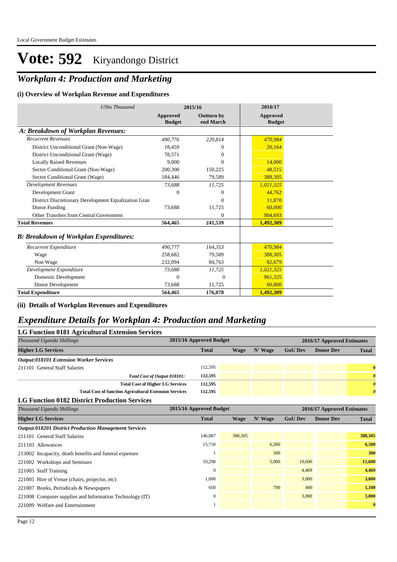## *Workplan 4: Production and Marketing*

#### **(i) Overview of Workplan Revenue and Expenditures**

| <b>UShs Thousand</b>                                 | 2015/16                          |                                | 2016/17                          |
|------------------------------------------------------|----------------------------------|--------------------------------|----------------------------------|
|                                                      | <b>Approved</b><br><b>Budget</b> | <b>Outturn by</b><br>end March | <b>Approved</b><br><b>Budget</b> |
| A: Breakdown of Workplan Revenues:                   |                                  |                                |                                  |
| <b>Recurrent Revenues</b>                            | 490,776                          | 229,814                        | 470,984                          |
| District Unconditional Grant (Non-Wage)              | 18.459                           | $\Omega$                       | 20,164                           |
| District Unconditional Grant (Wage)                  | 78,571                           | $\Omega$                       |                                  |
| <b>Locally Raised Revenues</b>                       | 9.000                            | $\Omega$                       | 14,000                           |
| Sector Conditional Grant (Non-Wage)                  | 200,300                          | 150,225                        | 48,515                           |
| Sector Conditional Grant (Wage)                      | 184,446                          | 79,589                         | 388,305                          |
| <b>Development Revenues</b>                          | 73,688                           | 11,725                         | 1,021,325                        |
| Development Grant                                    | $\Omega$                         | $\theta$                       | 44,762                           |
| District Discretionary Development Equalization Gran |                                  | $\Omega$                       | 11,870                           |
| Donor Funding                                        | 73,688                           | 11,725                         | 60,000                           |
| Other Transfers from Central Government              |                                  | $\Omega$                       | 904.693                          |
| <b>Total Revenues</b>                                | 564,465                          | 241.539                        | 1,492,309                        |
| <b>B: Breakdown of Workplan Expenditures:</b>        |                                  |                                |                                  |
| Recurrent Expenditure                                | 490,777                          | 164,353                        | 470,984                          |
| Wage                                                 | 258.682                          | 79,589                         | 388.305                          |
| Non Wage                                             | 232,094                          | 84,763                         | 82,679                           |
| Development Expenditure                              | 73,688                           | 11,725                         | 1,021,325                        |
| Domestic Development                                 | $\Omega$                         | $\overline{0}$                 | 961,325                          |
| Donor Development                                    | 73.688                           | 11,725                         | 60,000                           |
| <b>Total Expenditure</b>                             | 564,465                          | 176,078                        | 1,492,309                        |

#### **(ii) Details of Workplan Revenues and Expenditures**

#### *Expenditure Details for Workplan 4: Production and Marketing*

| <b>LG Function 0181 Agricultural Extension Services</b>       |                         |             |         |                |                            |                       |  |  |
|---------------------------------------------------------------|-------------------------|-------------|---------|----------------|----------------------------|-----------------------|--|--|
| Thousand Uganda Shillings                                     | 2015/16 Approved Budget |             |         |                | 2016/17 Approved Estimates |                       |  |  |
| <b>Higher LG Services</b>                                     | <b>Total</b>            | <b>Wage</b> | N' Wage | <b>GoU Dev</b> | <b>Donor Dev</b>           | <b>Total</b>          |  |  |
| <b>Output:018101 Extension Worker Services</b>                |                         |             |         |                |                            |                       |  |  |
| 211101 General Staff Salaries                                 | 112,595                 |             |         |                |                            | $\bf{0}$              |  |  |
| Total Cost of Output 018101:                                  | 112,595                 |             |         |                |                            | $\boldsymbol{\theta}$ |  |  |
| <b>Total Cost of Higher LG Services</b>                       | 112,595                 |             |         |                |                            | $\boldsymbol{\theta}$ |  |  |
| <b>Total Cost of function Agricultural Extension Services</b> | 112,595                 |             |         |                |                            | $\boldsymbol{\theta}$ |  |  |
| <b>LG Function 0182 District Production Services</b>          |                         |             |         |                |                            |                       |  |  |
| Thousand Uganda Shillings                                     | 2015/16 Approved Budget |             |         |                | 2016/17 Approved Estimates |                       |  |  |
| <b>Higher LG Services</b>                                     | <b>Total</b>            | <b>Wage</b> | N' Wage | <b>GoU Dev</b> | <b>Donor Dev</b>           | <b>Total</b>          |  |  |
| <b>Output:018201 District Production Management Services</b>  |                         |             |         |                |                            |                       |  |  |
| 211101 General Staff Salaries                                 | 146,087                 | 388,305     |         |                |                            | 388,305               |  |  |
| 211103 Allowances                                             | 15,710                  |             | 6,500   |                |                            | 6,500                 |  |  |
| 213002 Incapacity, death benefits and funeral expenses        |                         |             | 300     |                |                            | 300                   |  |  |
| 221002 Workshops and Seminars                                 | 10,298                  |             | 5,000   | 10.600         |                            | 15,600                |  |  |
| 221003 Staff Training                                         | $\mathbf{0}$            |             |         | 4,469          |                            | 4,469                 |  |  |
| 221005 Hire of Venue (chairs, projector, etc)                 | 1,000                   |             |         | 3,000          |                            | 3,000                 |  |  |
| 221007 Books, Periodicals & Newspapers                        | 650                     |             | 700     | 400            |                            | 1,100                 |  |  |
| 221008 Computer supplies and Information Technology (IT)      | $\overline{0}$          |             |         | 3,000          |                            | 3,000                 |  |  |
| 221009 Welfare and Entertainment                              |                         |             |         |                |                            | $\bf{0}$              |  |  |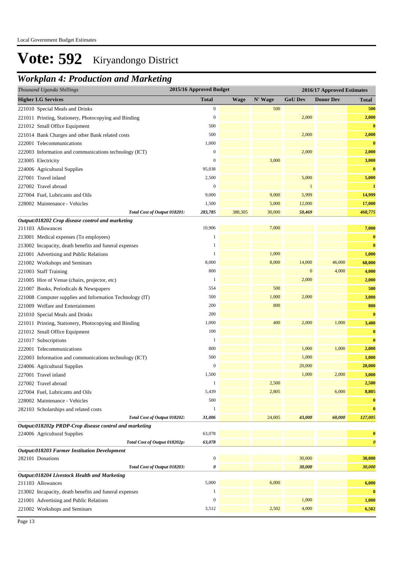| Thousand Uganda Shillings                                | 2015/16 Approved Budget |             |         |                | 2016/17 Approved Estimates |                       |
|----------------------------------------------------------|-------------------------|-------------|---------|----------------|----------------------------|-----------------------|
| <b>Higher LG Services</b>                                | <b>Total</b>            | <b>Wage</b> | N' Wage | <b>GoU Dev</b> | <b>Donor Dev</b>           | <b>Total</b>          |
| 221010 Special Meals and Drinks                          | $\boldsymbol{0}$        |             | 500     |                |                            | 500                   |
| 221011 Printing, Stationery, Photocopying and Binding    | $\boldsymbol{0}$        |             |         | 2,000          |                            | 2,000                 |
| 221012 Small Office Equipment                            | 500                     |             |         |                |                            | $\bf{0}$              |
| 221014 Bank Charges and other Bank related costs         | 500                     |             |         | 2,000          |                            | 2,000                 |
| 222001 Telecommunications                                | 1,000                   |             |         |                |                            | $\bf{0}$              |
| 222003 Information and communications technology (ICT)   | $\boldsymbol{0}$        |             |         | 2,000          |                            | 2,000                 |
| 223005 Electricity                                       | $\boldsymbol{0}$        |             | 3,000   |                |                            | 3,000                 |
| 224006 Agricultural Supplies                             | 95,038                  |             |         |                |                            | $\bf{0}$              |
| 227001 Travel inland                                     | 2,500                   |             |         | 5,000          |                            | 5,000                 |
| 227002 Travel abroad                                     | $\mathbf{0}$            |             |         | 1              |                            | $\mathbf{1}$          |
| 227004 Fuel, Lubricants and Oils                         | 9,000                   |             | 9,000   | 5,999          |                            | 14,999                |
| 228002 Maintenance - Vehicles                            | 1,500                   |             | 5,000   | 12,000         |                            | 17,000                |
| Total Cost of Output 018201:                             | 283,785                 | 388,305     | 30,000  | 50,469         |                            | 468,775               |
| Output:018202 Crop disease control and marketing         |                         |             |         |                |                            |                       |
| 211103 Allowances                                        | 10,906                  |             | 7,000   |                |                            | 7,000                 |
| 213001 Medical expenses (To employees)                   | 1                       |             |         |                |                            | $\bf{0}$              |
| 213002 Incapacity, death benefits and funeral expenses   | 1                       |             |         |                |                            | $\bf{0}$              |
| 221001 Advertising and Public Relations                  | 1                       |             | 1,000   |                |                            | 1,000                 |
| 221002 Workshops and Seminars                            | 8,000                   |             | 8,000   | 14,000         | 46,000                     | 68,000                |
| 221003 Staff Training                                    | 800                     |             |         | $\mathbf{0}$   | 4,000                      | 4,000                 |
| 221005 Hire of Venue (chairs, projector, etc)            | 1                       |             |         | 2,000          |                            | 2,000                 |
| 221007 Books, Periodicals & Newspapers                   | 554                     |             | 500     |                |                            | 500                   |
| 221008 Computer supplies and Information Technology (IT) | 500                     |             | 1,000   | 2,000          |                            | 3,000                 |
| 221009 Welfare and Entertainment                         | 200                     |             | 800     |                |                            | 800                   |
| 221010 Special Meals and Drinks                          | 200                     |             |         |                |                            | $\bf{0}$              |
| 221011 Printing, Stationery, Photocopying and Binding    | 1,000                   |             | 400     | 2,000          | 1,000                      | 3,400                 |
| 221012 Small Office Equipment                            | 100                     |             |         |                |                            | $\bf{0}$              |
| 221017 Subscriptions                                     | 1                       |             |         |                |                            | $\bf{0}$              |
| 222001 Telecommunications                                | 800                     |             |         | 1,000          | 1,000                      | 2,000                 |
| 222003 Information and communications technology (ICT)   | 500                     |             |         | 1,000          |                            | 1,000                 |
| 224006 Agricultural Supplies                             | $\mathbf{0}$            |             |         | 20,000         |                            | 20,000                |
| 227001 Travel inland                                     | 1,500                   |             |         | 1,000          | 2,000                      | 3,000                 |
| 227002 Travel abroad                                     | 1                       |             | 2,500   |                |                            | 2,500                 |
| 227004 Fuel, Lubricants and Oils                         | 5,439                   |             | 2,805   |                | 6,000                      | 8,805                 |
| 228002 Maintenance - Vehicles                            | 500                     |             |         |                |                            | $\bf{0}$              |
| 282103 Scholarships and related costs                    | 1                       |             |         |                |                            | $\bf{0}$              |
| Total Cost of Output 018202:                             | 31,006                  |             | 24,005  | 43,000         | 60,000                     | 127,005               |
| Output:018202p PRDP-Crop disease control and marketing   |                         |             |         |                |                            |                       |
| 224006 Agricultural Supplies                             | 63,078                  |             |         |                |                            | $\bf{0}$              |
| Total Cost of Output 018202p:                            | 63,078                  |             |         |                |                            | $\boldsymbol{\theta}$ |
| Output:018203 Farmer Institution Development             |                         |             |         |                |                            |                       |
| 282101 Donations                                         | $\boldsymbol{0}$        |             |         | 30,000         |                            | 30,000                |
| Total Cost of Output 018203:                             | 0                       |             |         | 30,000         |                            | 30,000                |
| Output:018204 Livestock Health and Marketing             |                         |             |         |                |                            |                       |
| 211103 Allowances                                        | 5,000                   |             | 6,000   |                |                            | 6,000                 |
| 213002 Incapacity, death benefits and funeral expenses   | 1                       |             |         |                |                            | $\bf{0}$              |
| 221001 Advertising and Public Relations                  | $\boldsymbol{0}$        |             |         | 1,000          |                            | 1,000                 |
| 221002 Workshops and Seminars                            | 3,512                   |             | 2,502   | 4,000          |                            | 6,502                 |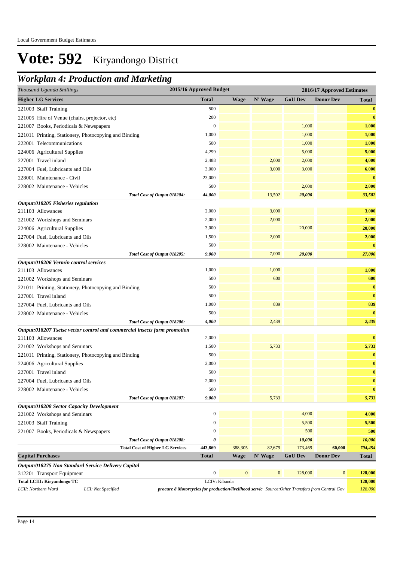| Thousand Uganda Shillings                                                                                                                    | 2015/16 Approved Budget |              |                  |                   | 2016/17 Approved Estimates |                   |
|----------------------------------------------------------------------------------------------------------------------------------------------|-------------------------|--------------|------------------|-------------------|----------------------------|-------------------|
| <b>Higher LG Services</b>                                                                                                                    | <b>Total</b>            | Wage         | N' Wage          | <b>GoU Dev</b>    | <b>Donor Dev</b>           | <b>Total</b>      |
| 221003 Staff Training                                                                                                                        | 500                     |              |                  |                   |                            | $\bf{0}$          |
| 221005 Hire of Venue (chairs, projector, etc)                                                                                                | 200                     |              |                  |                   |                            | $\bf{0}$          |
| 221007 Books, Periodicals & Newspapers                                                                                                       | $\mathbf{0}$            |              |                  | 1,000             |                            | 1,000             |
| 221011 Printing, Stationery, Photocopying and Binding                                                                                        | 1,000                   |              |                  | 1,000             |                            | 1,000             |
| 222001 Telecommunications                                                                                                                    | 500                     |              |                  | 1,000             |                            | 1,000             |
| 224006 Agricultural Supplies                                                                                                                 | 4,299                   |              |                  | 5,000             |                            | 5,000             |
| 227001 Travel inland                                                                                                                         | 2,488                   |              | 2,000            | 2,000             |                            | 4,000             |
| 227004 Fuel, Lubricants and Oils                                                                                                             | 3,000                   |              | 3,000            | 3,000             |                            | 6,000             |
| 228001 Maintenance - Civil                                                                                                                   | 23,000                  |              |                  |                   |                            | $\bf{0}$          |
| 228002 Maintenance - Vehicles                                                                                                                | 500                     |              |                  | 2,000             |                            | 2,000             |
| Total Cost of Output 018204:                                                                                                                 | 44,000                  |              | 13,502           | 20,000            |                            | 33,502            |
| Output:018205 Fisheries regulation                                                                                                           |                         |              |                  |                   |                            |                   |
| 211103 Allowances                                                                                                                            | 2,000                   |              | 3,000            |                   |                            | 3,000             |
| 221002 Workshops and Seminars                                                                                                                | 2,000                   |              | 2,000            |                   |                            | 2,000             |
| 224006 Agricultural Supplies                                                                                                                 | 3,000                   |              |                  | 20,000            |                            | 20,000            |
| 227004 Fuel, Lubricants and Oils                                                                                                             | 1,500                   |              | 2,000            |                   |                            | 2,000             |
| 228002 Maintenance - Vehicles                                                                                                                | 500                     |              |                  |                   |                            | $\bf{0}$          |
| Total Cost of Output 018205:                                                                                                                 | 9,000                   |              | 7,000            | 20,000            |                            | 27,000            |
| Output:018206 Vermin control services                                                                                                        |                         |              |                  |                   |                            |                   |
| 211103 Allowances                                                                                                                            | 1,000                   |              | 1,000            |                   |                            | 1,000             |
| 221002 Workshops and Seminars                                                                                                                | 500                     |              | 600              |                   |                            | 600               |
| 221011 Printing, Stationery, Photocopying and Binding                                                                                        | 500                     |              |                  |                   |                            | $\bf{0}$          |
| 227001 Travel inland                                                                                                                         | 500                     |              |                  |                   |                            | $\bf{0}$          |
| 227004 Fuel, Lubricants and Oils                                                                                                             | 1,000                   |              | 839              |                   |                            | 839               |
| 228002 Maintenance - Vehicles                                                                                                                | 500                     |              |                  |                   |                            | $\bf{0}$          |
| Total Cost of Output 018206:                                                                                                                 | 4,000                   |              | 2,439            |                   |                            | 2,439             |
| Output:018207 Tsetse vector control and commercial insects farm promotion                                                                    |                         |              |                  |                   |                            |                   |
| 211103 Allowances                                                                                                                            | 2,000                   |              |                  |                   |                            | $\bf{0}$          |
| 221002 Workshops and Seminars                                                                                                                | 1,500                   |              | 5,733            |                   |                            | 5,733             |
| 221011 Printing, Stationery, Photocopying and Binding                                                                                        | 500                     |              |                  |                   |                            | $\bf{0}$          |
| 224006 Agricultural Supplies                                                                                                                 | 2,000                   |              |                  |                   |                            | $\bf{0}$          |
| 227001 Travel inland                                                                                                                         | 500                     |              |                  |                   |                            | $\bf{0}$          |
| 227004 Fuel, Lubricants and Oils                                                                                                             | 2,000                   |              |                  |                   |                            | $\bf{0}$          |
| 228002 Maintenance - Vehicles                                                                                                                | 500                     |              |                  |                   |                            | $\bf{0}$          |
| Total Cost of Output 018207:                                                                                                                 | 9,000                   |              | 5,733            |                   |                            | 5,733             |
| Output:018208 Sector Capacity Development                                                                                                    |                         |              |                  |                   |                            |                   |
| 221002 Workshops and Seminars                                                                                                                | $\boldsymbol{0}$        |              |                  | 4,000             |                            | 4,000             |
| 221003 Staff Training                                                                                                                        | $\boldsymbol{0}$        |              |                  | 5,500             |                            | 5,500             |
| 221007 Books, Periodicals & Newspapers                                                                                                       | $\mathbf{0}$<br>0       |              |                  | 500               |                            | 500               |
| Total Cost of Output 018208:                                                                                                                 | 443,869                 | 388,305      | 82,679           | 10,000<br>173,469 | 60,000                     | 10,000<br>704,454 |
| <b>Total Cost of Higher LG Services</b><br><b>Capital Purchases</b>                                                                          | <b>Total</b>            | Wage         | N' Wage          | <b>GoU Dev</b>    | <b>Donor Dev</b>           | <b>Total</b>      |
| Output:018275 Non Standard Service Delivery Capital                                                                                          |                         |              |                  |                   |                            |                   |
| 312201 Transport Equipment                                                                                                                   | $\boldsymbol{0}$        | $\mathbf{0}$ | $\boldsymbol{0}$ | 128,000           | $\mathbf{0}$               | 128,000           |
| Total LCIII: Kiryandongo TC                                                                                                                  | LCIV: Kibanda           |              |                  |                   |                            | 128,000           |
| LCII: Northern Ward<br>LCI: Not Specified<br>procure 8 Motorcycles for production/livelihood servic Source: Other Transfers from Central Gov |                         |              |                  |                   |                            | 128,000           |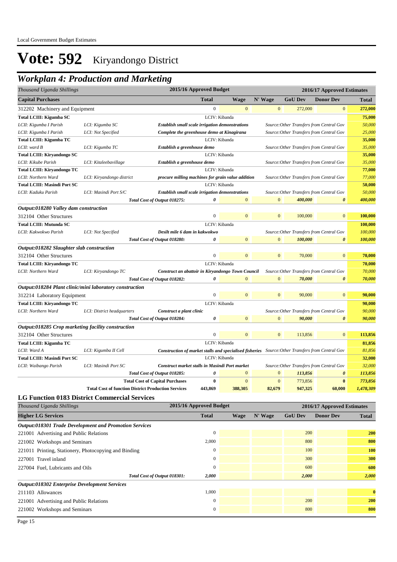| Thousand Uganda Shillings                          |                                                               |                                                                                                  | 2015/16 Approved Budget |                |                |                                          | 2016/17 Approved Estimates                    |                  |  |
|----------------------------------------------------|---------------------------------------------------------------|--------------------------------------------------------------------------------------------------|-------------------------|----------------|----------------|------------------------------------------|-----------------------------------------------|------------------|--|
| <b>Capital Purchases</b>                           |                                                               |                                                                                                  | <b>Total</b>            | <b>Wage</b>    | N' Wage        | <b>GoU Dev</b>                           | <b>Donor Dev</b>                              | Total            |  |
| 312202 Machinery and Equipment                     |                                                               |                                                                                                  | $\boldsymbol{0}$        | $\mathbf{0}$   | $\mathbf{0}$   | 272,000                                  | $\boldsymbol{0}$                              | 272,000          |  |
| Total LCIII: Kigumba SC                            |                                                               |                                                                                                  | LCIV: Kibanda           |                |                |                                          |                                               | 75,000           |  |
| LCII: Kigumba I Parish                             | LCI: Kigumba SC                                               | Establish small scale irrigation demonstrations                                                  |                         |                |                |                                          | Source: Other Transfers from Central Gov      | 50,000           |  |
| LCII: Kigumba I Parish                             | LCI: Not Specified                                            | Complete the greenhouse demo at Kinagirana                                                       |                         |                |                |                                          | Source: Other Transfers from Central Gov      | 25,000           |  |
| Total LCIII: Kigumba TC                            |                                                               |                                                                                                  | LCIV: Kibanda           |                |                |                                          |                                               | 35,000           |  |
| LCII: ward B                                       | LCI: Kigumba TC                                               | Establish a greenhouse demo                                                                      |                         |                |                |                                          | Source: Other Transfers from Central Gov      | 35,000           |  |
| Total LCIII: Kiryandongo SC                        |                                                               |                                                                                                  |                         | LCIV: Kibanda  |                |                                          |                                               | 35,000           |  |
| LCII: Kikube Parish                                | LCI: Kitaleebavillage                                         | Establish a greenhouse demo                                                                      |                         |                |                |                                          | Source: Other Transfers from Central Gov      | 35,000           |  |
| <b>Total LCIII: Kiryandongo TC</b>                 |                                                               |                                                                                                  |                         | LCIV: Kibanda  |                |                                          |                                               | 77,000           |  |
| LCII: Northern Ward                                | LCI: Kiryandongo district                                     | procure milling machines for grain value addition                                                |                         |                |                | Source: Other Transfers from Central Gov |                                               | 77,000           |  |
| <b>Total LCIII: Masindi Port SC</b>                |                                                               |                                                                                                  | LCIV: Kibanda           |                |                |                                          |                                               | 50,000           |  |
| LCII: Kaduku Parish                                | LCI: Masindi Port S/C                                         | <b>Establish small scale irrigation demonstrations</b>                                           |                         |                |                |                                          | Source: Other Transfers from Central Gov      | 50,000           |  |
|                                                    |                                                               | Total Cost of Output 018275:                                                                     | 0                       | $\mathbf{0}$   | $\mathbf{0}$   | 400,000                                  | 0                                             | 400,000          |  |
| Output:018280 Valley dam construction              |                                                               |                                                                                                  |                         |                |                |                                          |                                               |                  |  |
| 312104 Other Structures                            |                                                               |                                                                                                  | $\boldsymbol{0}$        | $\mathbf{0}$   | $\mathbf{0}$   | 100,000                                  | $\boldsymbol{0}$                              | 100,000          |  |
| <b>Total LCIII: Mutunda SC</b>                     |                                                               |                                                                                                  | LCIV: Kibanda           |                |                |                                          |                                               | 100,000          |  |
| LCII: Kakwokwo Parish                              | LCI: Not Specified                                            | Desilt mile 6 dam in kakwokwo                                                                    |                         |                |                |                                          | Source: Other Transfers from Central Gov      | 100,000          |  |
|                                                    |                                                               | Total Cost of Output 018280:                                                                     | 0                       | $\mathbf{0}$   | $\overline{0}$ | 100,000                                  | $\boldsymbol{\theta}$                         | 100,000          |  |
| Output:018282 Slaughter slab construction          |                                                               |                                                                                                  |                         |                |                |                                          |                                               |                  |  |
| 312104 Other Structures                            |                                                               |                                                                                                  | 0                       | $\mathbf{0}$   | $\overline{0}$ | 70,000                                   | $\overline{0}$                                | 70,000           |  |
| <b>Total LCIII: Kiryandongo TC</b>                 |                                                               |                                                                                                  | LCIV: Kibanda           |                |                |                                          |                                               | 70,000           |  |
| LCII: Northern Ward                                | LCI: Kiryandongo TC                                           | Source: Other Transfers from Central Gov<br>Construct an abattoir in Kiryandongo Town Council    |                         |                |                |                                          |                                               |                  |  |
|                                                    |                                                               | Total Cost of Output 018282:                                                                     | 0                       | $\Omega$       | $\mathbf{0}$   | 70,000                                   | 0                                             | 70,000<br>70,000 |  |
|                                                    | Output:018284 Plant clinic/mini laboratory construction       |                                                                                                  |                         |                |                |                                          |                                               |                  |  |
| 312214 Laboratory Equipment                        |                                                               |                                                                                                  | $\boldsymbol{0}$        | $\overline{0}$ | $\mathbf{0}$   | 90,000                                   | $\mathbf{0}$                                  | 90,000           |  |
|                                                    |                                                               |                                                                                                  |                         |                |                |                                          |                                               |                  |  |
| Total LCIII: Kiryandongo TC                        |                                                               |                                                                                                  |                         | LCIV: Kibanda  |                |                                          |                                               | 90,000<br>90,000 |  |
| LCII: Northern Ward                                | LCI: District headquarters                                    | Construct a plant clinic                                                                         | 0                       | $\overline{0}$ | $\mathbf{0}$   | 90,000                                   | Source: Other Transfers from Central Gov<br>0 | 90,000           |  |
|                                                    |                                                               | Total Cost of Output 018284:                                                                     |                         |                |                |                                          |                                               |                  |  |
| Output:018285 Crop marketing facility construction |                                                               |                                                                                                  |                         |                |                |                                          |                                               |                  |  |
| 312104 Other Structures                            |                                                               |                                                                                                  | 0                       | $\mathbf{0}$   | $\mathbf{0}$   | 113,856                                  | $\mathbf{0}$                                  | 113,856          |  |
| <b>Total LCIII: Kigumba TC</b>                     |                                                               |                                                                                                  | LCIV: Kibanda           |                |                |                                          |                                               | 81,856           |  |
| LCII: Ward A                                       | LCI: Kigumba II Cell                                          | Construction of market stalls and specialised fisheries Source: Other Transfers from Central Gov |                         |                |                |                                          |                                               | 81,856           |  |
| <b>Total LCIII: Masindi Port SC</b>                |                                                               |                                                                                                  | LCIV: Kibanda           |                |                |                                          |                                               | 32,000           |  |
| LCII: Waibango Parish                              | LCI: Masindi Port SC                                          | Construct market stalls in Masindi Port market                                                   |                         |                |                |                                          | Source: Other Transfers from Central Gov      | 32,000           |  |
|                                                    |                                                               | Total Cost of Output 018285:                                                                     | 0                       | $\mathbf{0}$   | $\mathbf{0}$   | 113,856                                  | 0                                             | 113,856          |  |
|                                                    |                                                               | <b>Total Cost of Capital Purchases</b>                                                           | $\bf{0}$                | $\mathbf{0}$   | $\mathbf{0}$   | 773,856                                  | $\bf{0}$                                      | 773,856          |  |
|                                                    | <b>Total Cost of function District Production Services</b>    |                                                                                                  | 443,869                 | 388,305        | 82,679         | 947,325                                  | 60,000                                        | 1,478,309        |  |
|                                                    | <b>LG Function 0183 District Commercial Services</b>          |                                                                                                  |                         |                |                |                                          |                                               |                  |  |
| Thousand Uganda Shillings                          |                                                               |                                                                                                  | 2015/16 Approved Budget |                |                |                                          | 2016/17 Approved Estimates                    |                  |  |
| <b>Higher LG Services</b>                          |                                                               |                                                                                                  | <b>Total</b>            | <b>Wage</b>    | N' Wage        | <b>GoU Dev</b>                           | <b>Donor Dev</b>                              | <b>Total</b>     |  |
|                                                    | <b>Output:018301 Trade Development and Promotion Services</b> |                                                                                                  |                         |                |                |                                          |                                               |                  |  |
| 221001 Advertising and Public Relations            |                                                               |                                                                                                  | $\boldsymbol{0}$        |                |                | 200                                      |                                               | <b>200</b>       |  |

| 221002 Workshops and Seminars                         |          |  | 800   | 800      |
|-------------------------------------------------------|----------|--|-------|----------|
| 221011 Printing, Stationery, Photocopying and Binding |          |  | 100   | 100      |
| 227001 Travel inland                                  | $\Omega$ |  | 300   | 300      |
| 227004 Fuel, Lubricants and Oils                      | $\Omega$ |  | 600   | 600      |
| Total Cost of Output 018301:                          | 2,000    |  | 2,000 | 2,000    |
| <b>Output:018302 Enterprise Development Services</b>  |          |  |       |          |
| 211103 Allowances                                     | 1,000    |  |       | $\bf{0}$ |
| 221001 Advertising and Public Relations               | $\Omega$ |  | 200   | 200      |
| 221002 Workshops and Seminars                         | $\Omega$ |  | 800   | 800      |
|                                                       |          |  |       |          |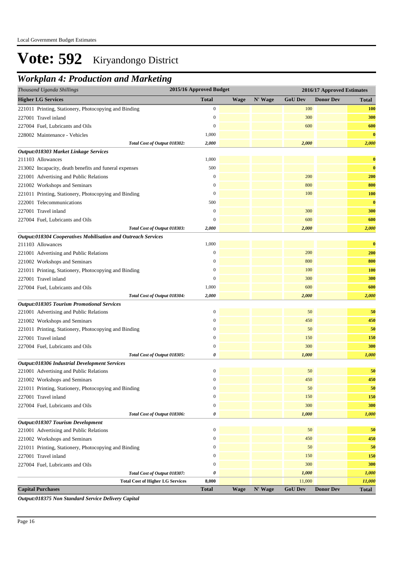### *Workplan 4: Production and Marketing*

| Thousand Uganda Shillings                                     | 2015/16 Approved Budget |             |         | 2016/17 Approved Estimates |                  |              |  |
|---------------------------------------------------------------|-------------------------|-------------|---------|----------------------------|------------------|--------------|--|
| <b>Higher LG Services</b>                                     | <b>Total</b>            | <b>Wage</b> | N' Wage | <b>GoU Dev</b>             | <b>Donor Dev</b> | <b>Total</b> |  |
| 221011 Printing, Stationery, Photocopying and Binding         | $\boldsymbol{0}$        |             |         | 100                        |                  | <b>100</b>   |  |
| 227001 Travel inland                                          | $\mathbf{0}$            |             |         | 300                        |                  | 300          |  |
| 227004 Fuel, Lubricants and Oils                              | $\mathbf{0}$            |             |         | 600                        |                  | 600          |  |
| 228002 Maintenance - Vehicles                                 | 1,000                   |             |         |                            |                  | $\bf{0}$     |  |
| Total Cost of Output 018302:                                  | 2,000                   |             |         | 2,000                      |                  | 2,000        |  |
| Output:018303 Market Linkage Services                         |                         |             |         |                            |                  |              |  |
| 211103 Allowances                                             | 1,000                   |             |         |                            |                  | $\bf{0}$     |  |
| 213002 Incapacity, death benefits and funeral expenses        | 500                     |             |         |                            |                  | $\bf{0}$     |  |
| 221001 Advertising and Public Relations                       | $\mathbf{0}$            |             |         | 200                        |                  | 200          |  |
| 221002 Workshops and Seminars                                 | $\boldsymbol{0}$        |             |         | 800                        |                  | 800          |  |
| 221011 Printing, Stationery, Photocopying and Binding         | $\boldsymbol{0}$        |             |         | 100                        |                  | 100          |  |
| 222001 Telecommunications                                     | 500                     |             |         |                            |                  | $\bf{0}$     |  |
| 227001 Travel inland                                          | $\mathbf{0}$            |             |         | 300                        |                  | 300          |  |
| 227004 Fuel, Lubricants and Oils                              | $\boldsymbol{0}$        |             |         | 600                        |                  | 600          |  |
| Total Cost of Output 018303:                                  | 2,000                   |             |         | 2,000                      |                  | 2,000        |  |
| Output:018304 Cooperatives Mobilisation and Outreach Services |                         |             |         |                            |                  |              |  |
| 211103 Allowances                                             | 1,000                   |             |         |                            |                  | $\bf{0}$     |  |
| 221001 Advertising and Public Relations                       | $\boldsymbol{0}$        |             |         | 200                        |                  | 200          |  |
| 221002 Workshops and Seminars                                 | $\mathbf{0}$            |             |         | 800                        |                  | 800          |  |
| 221011 Printing, Stationery, Photocopying and Binding         | $\mathbf{0}$            |             |         | 100                        |                  | <b>100</b>   |  |
| 227001 Travel inland                                          | $\mathbf{0}$            |             |         | 300                        |                  | 300          |  |
| 227004 Fuel, Lubricants and Oils                              | 1,000                   |             |         | 600                        |                  | 600          |  |
| Total Cost of Output 018304:                                  | 2,000                   |             |         | 2,000                      |                  | 2,000        |  |
| <b>Output:018305 Tourism Promotional Services</b>             |                         |             |         |                            |                  |              |  |
| 221001 Advertising and Public Relations                       | $\boldsymbol{0}$        |             |         | 50                         |                  | 50           |  |
| 221002 Workshops and Seminars                                 | $\mathbf{0}$            |             |         | 450                        |                  | 450          |  |
| 221011 Printing, Stationery, Photocopying and Binding         | $\mathbf{0}$            |             |         | 50                         |                  | 50           |  |
| 227001 Travel inland                                          | $\mathbf{0}$            |             |         | 150                        |                  | 150          |  |
| 227004 Fuel, Lubricants and Oils                              | $\mathbf{0}$            |             |         | 300                        |                  | 300          |  |
| Total Cost of Output 018305:                                  | 0                       |             |         | 1,000                      |                  | 1,000        |  |
| Output:018306 Industrial Development Services                 |                         |             |         |                            |                  |              |  |
| 221001 Advertising and Public Relations                       | $\bf{0}$                |             |         | 50                         |                  | 50           |  |
| 221002 Workshops and Seminars                                 | $\mathbf{0}$            |             |         | 450                        |                  | 450          |  |
| 221011 Printing, Stationery, Photocopying and Binding         | $\boldsymbol{0}$        |             |         | 50                         |                  | 50           |  |
| 227001 Travel inland                                          | $\boldsymbol{0}$        |             |         | 150                        |                  | 150          |  |
| 227004 Fuel, Lubricants and Oils                              | $\mathbf{0}$            |             |         | 300                        |                  | 300          |  |
| Total Cost of Output 018306:                                  | 0                       |             |         | 1,000                      |                  | 1,000        |  |
| Output:018307 Tourism Development                             |                         |             |         |                            |                  |              |  |
| 221001 Advertising and Public Relations                       | $\boldsymbol{0}$        |             |         | 50                         |                  | 50           |  |
| 221002 Workshops and Seminars                                 | $\mathbf{0}$            |             |         | 450                        |                  | 450          |  |
| 221011 Printing, Stationery, Photocopying and Binding         | $\boldsymbol{0}$        |             |         | 50                         |                  | 50           |  |
| 227001 Travel inland                                          | $\boldsymbol{0}$        |             |         | 150                        |                  | 150          |  |
| 227004 Fuel, Lubricants and Oils                              | $\boldsymbol{0}$        |             |         | 300                        |                  | 300          |  |
| Total Cost of Output 018307:                                  | 0                       |             |         | 1,000                      |                  | 1,000        |  |
| <b>Total Cost of Higher LG Services</b>                       | 8,000                   |             |         | 11,000                     |                  | 11,000       |  |
| <b>Capital Purchases</b>                                      | <b>Total</b>            | <b>Wage</b> | N' Wage | <b>GoU Dev</b>             | <b>Donor Dev</b> | Total        |  |

*Output:018375 Non Standard Service Delivery Capital*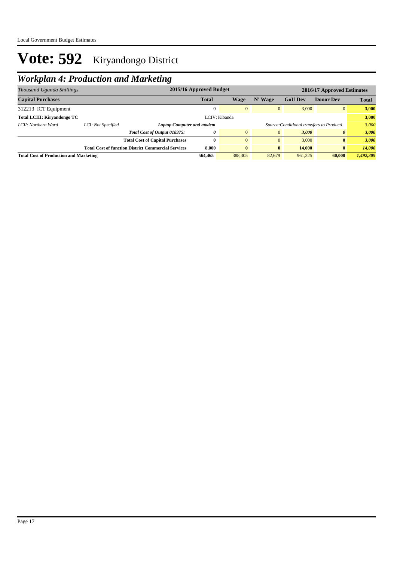| Thousand Uganda Shillings                           |                    |                                                                               | 2015/16 Approved Budget |                |                |                | 2016/17 Approved Estimates |              |
|-----------------------------------------------------|--------------------|-------------------------------------------------------------------------------|-------------------------|----------------|----------------|----------------|----------------------------|--------------|
| <b>Capital Purchases</b>                            |                    |                                                                               | <b>Total</b>            | Wage           | N' Wage        | <b>GoU Dev</b> | <b>Donor Dev</b>           | <b>Total</b> |
| 312213 ICT Equipment                                |                    |                                                                               | $\Omega$                | $\overline{0}$ | $\overline{0}$ | 3,000          | $\overline{0}$             | 3,000        |
| <b>Total LCIII: Kirvandongo TC</b><br>LCIV: Kibanda |                    |                                                                               |                         | 3,000          |                |                |                            |              |
| LCII: Northern Ward                                 | LCI: Not Specified | Source: Conditional transfers to Producti<br><b>Laptop Computer and modem</b> |                         |                |                |                | 3.000                      |              |
|                                                     |                    | Total Cost of Output 018375:                                                  | 0                       | $\overline{0}$ | $\overline{0}$ | 3,000          | $\boldsymbol{\theta}$      | 3,000        |
|                                                     |                    | <b>Total Cost of Capital Purchases</b>                                        | $\mathbf{0}$            | $\overline{0}$ | $\overline{0}$ | 3,000          | $\bf{0}$                   | 3.000        |
|                                                     |                    | <b>Total Cost of function District Commercial Services</b>                    | 8.000                   | $\mathbf{0}$   | $\bf{0}$       | 14,000         | $\bf{0}$                   | 14.000       |
| <b>Total Cost of Production and Marketing</b>       |                    |                                                                               | 564,465                 | 388,305        | 82,679         | 961,325        | 60,000                     | 1,492,309    |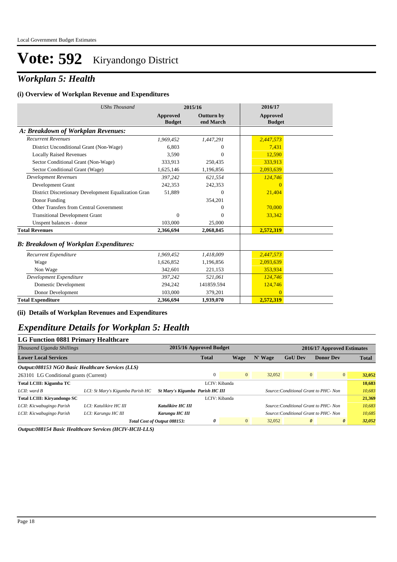### *Workplan 5: Health*

#### **(i) Overview of Workplan Revenue and Expenditures**

| <b>UShs Thousand</b>                                 |                                  | 2015/16                 | 2016/17                   |  |
|------------------------------------------------------|----------------------------------|-------------------------|---------------------------|--|
|                                                      | <b>Approved</b><br><b>Budget</b> | Outturn by<br>end March | Approved<br><b>Budget</b> |  |
| A: Breakdown of Workplan Revenues:                   |                                  |                         |                           |  |
| <b>Recurrent Revenues</b>                            | 1.969.452                        | 1,447,291               | 2,447,573                 |  |
| District Unconditional Grant (Non-Wage)              | 6,803                            | $\Omega$                | 7,431                     |  |
| <b>Locally Raised Revenues</b>                       | 3,590                            | 0                       | 12,590                    |  |
| Sector Conditional Grant (Non-Wage)                  | 333,913                          | 250,435                 | 333.913                   |  |
| Sector Conditional Grant (Wage)                      | 1,625,146                        | 1,196,856               | 2,093,639                 |  |
| Development Revenues                                 | 397,242                          | 621,554                 | 124,746                   |  |
| Development Grant                                    | 242,353                          | 242,353                 | $\Omega$                  |  |
| District Discretionary Development Equalization Gran | 51,889                           | $\Omega$                | 21,404                    |  |
| Donor Funding                                        |                                  | 354,201                 |                           |  |
| Other Transfers from Central Government              |                                  |                         | 70,000                    |  |
| <b>Transitional Development Grant</b>                | $\mathbf{0}$                     | $\Omega$                | 33,342                    |  |
| Unspent balances - donor                             | 103,000                          | 25,000                  |                           |  |
| <b>Total Revenues</b>                                | 2,366,694                        | 2,068,845               | 2,572,319                 |  |
| <b>B: Breakdown of Workplan Expenditures:</b>        |                                  |                         |                           |  |
| Recurrent Expenditure                                | 1,969,452                        | 1,418,009               | 2,447,573                 |  |
| Wage                                                 | 1,626,852                        | 1,196,856               | 2,093,639                 |  |
| Non Wage                                             | 342,601                          | 221,153                 | 353,934                   |  |
| Development Expenditure                              | 397,242                          | 521,061                 | 124,746                   |  |
| Domestic Development                                 | 294,242                          | 141859.594              | 124,746                   |  |
| Donor Development                                    | 103,000                          | 379,201                 | $\Omega$                  |  |
| <b>Total Expenditure</b>                             | 2,366,694                        | 1,939,070               | 2,572,319                 |  |

**(ii) Details of Workplan Revenues and Expenditures**

### *Expenditure Details for Workplan 5: Health*

| LG Function 0881 Primary Healthcare               |                                  |                                 |                         |                |         |                                       |                  |                |        |
|---------------------------------------------------|----------------------------------|---------------------------------|-------------------------|----------------|---------|---------------------------------------|------------------|----------------|--------|
| Thousand Uganda Shillings                         |                                  |                                 | 2015/16 Approved Budget |                |         | 2016/17 Approved Estimates            |                  |                |        |
| <b>Lower Local Services</b>                       |                                  |                                 | <b>Total</b>            | Wage           | N' Wage | <b>GoU Dev</b>                        | <b>Donor Dev</b> | <b>Total</b>   |        |
| Output:088153 NGO Basic Healthcare Services (LLS) |                                  |                                 |                         |                |         |                                       |                  |                |        |
| 263101 LG Conditional grants (Current)            |                                  |                                 | $\Omega$                | $\overline{0}$ | 32,052  | $\overline{0}$                        |                  | $\overline{0}$ | 32,052 |
| Total LCIII: Kigumba TC                           |                                  |                                 | LCIV: Kibanda           |                |         |                                       |                  |                | 10.683 |
| $LCH:$ ward $B$                                   | LCI: St Mary's Kigumba Parish HC | St Mary's Kigumba Parish HC III |                         |                |         | Source: Conditional Grant to PHC- Non |                  |                | 10,683 |
| <b>Total LCIII: Kirvandongo SC</b>                |                                  |                                 | LCIV: Kibanda           |                |         |                                       |                  |                | 21,369 |
| LCII: Kicwabugingo Parish                         | LCI: Katulikire HC III           | <b>Katulikire HC III</b>        |                         |                |         | Source: Conditional Grant to PHC- Non |                  |                | 10,683 |
| LCII: Kicwabugingo Parish                         | LCI: Karungu HC III              | Karungu HC III                  |                         |                |         | Source: Conditional Grant to PHC- Non |                  |                | 10,685 |
|                                                   |                                  | Total Cost of Output 088153:    | 0                       | $\overline{0}$ | 32,052  | $\boldsymbol{\theta}$                 |                  | $\theta$       | 32,052 |

*Output:088154 Basic Healthcare Services (HCIV-HCII-LLS)*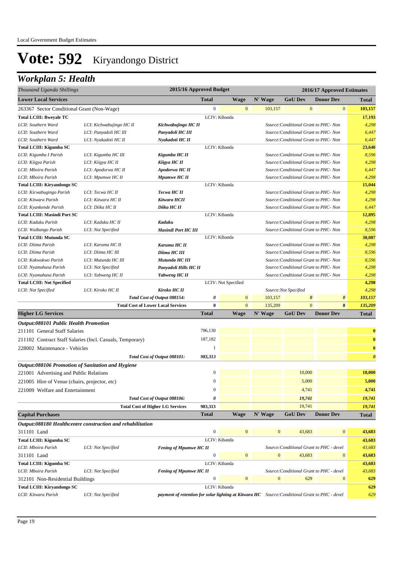## *Workplan 5: Health*

| Thousand Uganda Shillings                         |                                                            |                                                                                                | 2015/16 Approved Budget |                     |                  |                                          | 2016/17 Approved Estimates |                       |
|---------------------------------------------------|------------------------------------------------------------|------------------------------------------------------------------------------------------------|-------------------------|---------------------|------------------|------------------------------------------|----------------------------|-----------------------|
| <b>Lower Local Services</b>                       |                                                            |                                                                                                | <b>Total</b>            | <b>Wage</b>         | N' Wage          | <b>GoU Dev</b>                           | <b>Donor Dev</b>           | Total                 |
| 263367 Sector Conditional Grant (Non-Wage)        |                                                            |                                                                                                | $\boldsymbol{0}$        | $\mathbf{0}$        | 103,157          | $\mathbf{0}$                             | $\bf{0}$                   | 103,157               |
| <b>Total LCIII: Bweyale TC</b>                    |                                                            |                                                                                                |                         | LCIV: Kibanda       |                  |                                          |                            | 17,193                |
| LCII: Southern Ward                               | LCI: Kichwabujingo HC II                                   | Kichwabujingo HC II                                                                            |                         |                     |                  | Source: Conditional Grant to PHC- Non    |                            | 4,298                 |
| LCII: Southern Ward                               | LCI: Panyadoli HC III                                      | Panyadoli HC III                                                                               |                         |                     |                  | Source: Conditional Grant to PHC- Non    |                            | 6,447                 |
| LCII: Southern Ward                               | LCI: Nyakadoti HC II                                       | Nyakadoti HC II                                                                                |                         |                     |                  | Source: Conditional Grant to PHC- Non    |                            | 6,447                 |
| Total LCIII: Kigumba SC                           |                                                            |                                                                                                |                         | LCIV: Kibanda       |                  |                                          |                            | 23,640                |
| LCII: Kigumba I Parish                            | LCI: Kigumba HC III                                        | Kigumba HC II                                                                                  |                         |                     |                  | Source: Conditional Grant to PHC- Non    |                            | 8,596                 |
| LCII: Kiigya Parish                               | LCI: Kiigya HC II                                          | Kiigya HC II                                                                                   |                         |                     |                  | Source: Conditional Grant to PHC- Non    |                            | 4,298                 |
| LCII: Mboira Parish                               | LCI: Apodorwa HC II                                        | Apodorwa HC II                                                                                 |                         |                     |                  | Source: Conditional Grant to PHC- Non    |                            | 6,447                 |
| LCII: Mboira Parish                               | LCI: Mpumwe HC II                                          | Mpumwe HC II                                                                                   |                         |                     |                  | Source: Conditional Grant to PHC- Non    |                            | 4,298                 |
| Total LCIII: Kiryandongo SC                       |                                                            |                                                                                                |                         | LCIV: Kibanda       |                  |                                          |                            | 15,044                |
| LCII: Kicwabugingo Parish                         | LCI: Tecwa HC II                                           | Tecwa HC II                                                                                    |                         |                     |                  | Source: Conditional Grant to PHC- Non    |                            | 4,298                 |
| LCII: Kitwara Parish                              | LCI: Kitwara HC II                                         | Kitwara HCII                                                                                   |                         |                     |                  | Source: Conditional Grant to PHC- Non    |                            | 4,298                 |
| LCII: Kyankende Parish                            | LCI: Diika HC II                                           | Diika HC II                                                                                    |                         |                     |                  | Source: Conditional Grant to PHC- Non    |                            | 6,447                 |
| <b>Total LCIII: Masindi Port SC</b>               |                                                            |                                                                                                |                         | LCIV: Kibanda       |                  |                                          |                            | 12,895                |
| LCII: Kaduku Parish                               | LCI: Kaduku HC II                                          | Kaduku                                                                                         |                         |                     |                  | Source: Conditional Grant to PHC- Non    |                            | 4,298                 |
| LCII: Waibango Parish                             | LCI: Not Specified                                         | <b>Masindi Port HC III</b>                                                                     |                         |                     |                  | Source: Conditional Grant to PHC- Non    |                            | 8,596                 |
| <b>Total LCIII: Mutunda SC</b>                    |                                                            |                                                                                                |                         | LCIV: Kibanda       |                  |                                          |                            | 30,087                |
| LCII: Diima Parish                                | LCI: Karuma HC II                                          | Karuma HC II                                                                                   |                         |                     |                  | Source: Conditional Grant to PHC- Non    |                            | 4,298                 |
| LCII: Diima Parish                                | LCI: Diima HC III                                          | Diima HC III                                                                                   |                         |                     |                  | Source: Conditional Grant to PHC- Non    |                            | 8,596                 |
| LCII: Kakwokwo Parish                             | LCI: Mutunda HC III                                        | Mutunda HC III                                                                                 |                         |                     |                  | Source: Conditional Grant to PHC- Non    |                            | 8,596                 |
| LCII: Nyamahasa Parish                            | LCI: Not Specified                                         | Panyadoli Hills HC II                                                                          |                         |                     |                  | Source: Conditional Grant to PHC- Non    |                            | 4,298                 |
| LCII: Nyamahasa Parish                            | LCI: Yabweng HC II                                         | Yabweng HC II                                                                                  |                         |                     |                  | Source: Conditional Grant to PHC- Non    |                            | 4,298                 |
| <b>Total LCIII: Not Specified</b>                 |                                                            |                                                                                                |                         | LCIV: Not Specified |                  |                                          |                            | 4,298                 |
| LCII: Not Specified                               | LCI: Kiroko HC II                                          | Kiroko HC II                                                                                   |                         |                     |                  | Source:Not Specified                     |                            | 4,298                 |
|                                                   |                                                            | Total Cost of Output 088154:                                                                   | 0                       | $\mathbf{0}$        | 103,157          | $\boldsymbol{\theta}$                    | 0                          | 103,157               |
|                                                   | <b>Total Cost of Lower Local Services</b>                  |                                                                                                | 0                       | $\mathbf{0}$        | 135,209          | $\mathbf{0}$                             | $\bf{0}$                   | 135,209               |
| <b>Higher LG Services</b>                         |                                                            |                                                                                                | <b>Total</b>            | <b>Wage</b>         | N' Wage          | <b>GoU Dev</b>                           | <b>Donor Dev</b>           | <b>Total</b>          |
| <b>Output:088101 Public Health Promotion</b>      |                                                            |                                                                                                |                         |                     |                  |                                          |                            |                       |
| 211101 General Staff Salaries                     |                                                            |                                                                                                | 796,130                 |                     |                  |                                          |                            | $\bf{0}$              |
|                                                   | 211102 Contract Staff Salaries (Incl. Casuals, Temporary)  |                                                                                                | 187,182                 |                     |                  |                                          |                            | $\bf{0}$              |
| 228002 Maintenance - Vehicles                     |                                                            |                                                                                                | 1                       |                     |                  |                                          |                            | $\bf{0}$              |
|                                                   |                                                            | Total Cost of Output 088101:                                                                   | 983,313                 |                     |                  |                                          |                            | $\boldsymbol{\theta}$ |
| Output:088106 Promotion of Sanitation and Hygiene |                                                            |                                                                                                |                         |                     |                  |                                          |                            |                       |
| 221001 Advertising and Public Relations           |                                                            |                                                                                                | $\boldsymbol{0}$        |                     |                  | 10,000                                   |                            | 10,000                |
|                                                   |                                                            |                                                                                                | $\mathbf{0}$            |                     |                  | 5,000                                    |                            | 5,000                 |
| 221005 Hire of Venue (chairs, projector, etc)     |                                                            |                                                                                                |                         |                     |                  |                                          |                            |                       |
| 221009 Welfare and Entertainment                  |                                                            |                                                                                                | $\boldsymbol{0}$        |                     |                  | 4,741                                    |                            | 4,741                 |
|                                                   |                                                            | Total Cost of Output 088106:                                                                   | 0                       |                     |                  | 19,741                                   |                            | 19,741                |
|                                                   | <b>Total Cost of Higher LG Services</b>                    |                                                                                                | 983,313                 |                     |                  | 19,741                                   |                            | 19,741                |
| <b>Capital Purchases</b>                          |                                                            |                                                                                                | <b>Total</b>            | <b>Wage</b>         | N' Wage          | <b>GoU Dev</b>                           | <b>Donor Dev</b>           | <b>Total</b>          |
|                                                   | Output:088180 Healthcentre construction and rehabilitation |                                                                                                |                         |                     |                  |                                          |                            |                       |
| 311101 Land                                       |                                                            |                                                                                                | $\boldsymbol{0}$        | $\mathbf{0}$        | $\mathbf{0}$     | 43,683                                   | $\bf{0}$                   | 43,683                |
| <b>Total LCIII: Kigumba SC</b>                    |                                                            |                                                                                                |                         | LCIV: Kibanda       |                  |                                          |                            | 43,683                |
| LCII: Mboira Parish                               | LCI: Not Specified                                         | <b>Fening of Mpumwe HC II</b>                                                                  |                         |                     |                  | Source: Conditional Grant to PHC - devel |                            | 43,683                |
| 311101 Land                                       |                                                            |                                                                                                | $\boldsymbol{0}$        | $\mathbf{0}$        | $\boldsymbol{0}$ | 43,683                                   | $\boldsymbol{0}$           | 43,683                |
| Total LCIII: Kigumba SC                           |                                                            |                                                                                                |                         | LCIV: Kibanda       |                  |                                          |                            | 43,683                |
| LCII: Mboira Parish                               | LCI: Not Specified                                         | <b>Fening of Mpumwe HC II</b>                                                                  |                         |                     |                  | Source: Conditional Grant to PHC - devel |                            | 43,683                |
| 312101 Non-Residential Buildings                  |                                                            |                                                                                                | 0                       | $\mathbf{0}$        | $\mathbf{0}$     | 629                                      | $\boldsymbol{0}$           | 629                   |
| Total LCIII: Kiryandongo SC                       |                                                            |                                                                                                |                         | LCIV: Kibanda       |                  |                                          |                            | 629                   |
| LCII: Kitwara Parish                              | LCI: Not Specified                                         | payment of retention for solar lighting at Kitwara HC Source: Conditional Grant to PHC - devel |                         |                     |                  |                                          |                            | 629                   |
|                                                   |                                                            |                                                                                                |                         |                     |                  |                                          |                            |                       |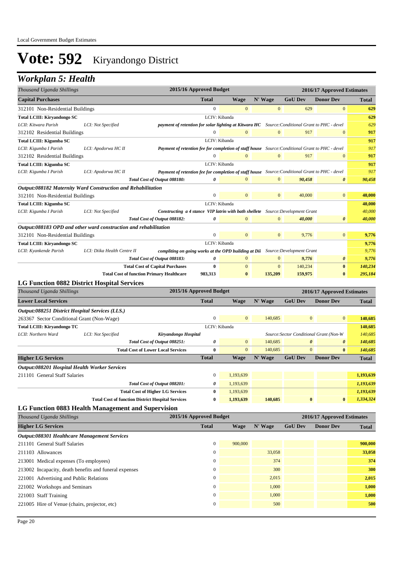### *Workplan 5: Health*

| Thousand Uganda Shillings                              |                                                                  | 2015/16 Approved Budget                                                                         |                |                  |                                         | 2016/17 Approved Estimates |              |
|--------------------------------------------------------|------------------------------------------------------------------|-------------------------------------------------------------------------------------------------|----------------|------------------|-----------------------------------------|----------------------------|--------------|
| <b>Capital Purchases</b>                               |                                                                  | <b>Total</b>                                                                                    | <b>Wage</b>    | N' Wage          | <b>GoU Dev</b>                          | <b>Donor Dev</b>           | Total        |
| 312101 Non-Residential Buildings                       |                                                                  | $\boldsymbol{0}$                                                                                | $\mathbf{0}$   | $\mathbf{0}$     | 629                                     | $\boldsymbol{0}$           | 629          |
| Total LCIII: Kiryandongo SC                            |                                                                  |                                                                                                 | LCIV: Kibanda  |                  |                                         |                            | 629          |
| LCII: Kitwara Parish                                   | LCI: Not Specified                                               | payment of retention for solar lighting at Kitwara HC Source: Conditional Grant to PHC - devel  |                |                  |                                         |                            | 629          |
| 312102 Residential Buildings                           |                                                                  | $\boldsymbol{0}$                                                                                | $\mathbf{0}$   | $\boldsymbol{0}$ | 917                                     | $\mathbf{0}$               | 917          |
| Total LCIII: Kigumba SC                                |                                                                  |                                                                                                 | LCIV: Kibanda  |                  |                                         |                            | 917          |
| LCII: Kigumba I Parish                                 | LCI: Apodorwa HC II                                              | Payment of retention fee for completion of staff house Source: Conditional Grant to PHC - devel |                |                  |                                         |                            | 917          |
| 312102 Residential Buildings                           |                                                                  | $\boldsymbol{0}$                                                                                | $\mathbf{0}$   | $\mathbf{0}$     | 917                                     | $\mathbf{0}$               | 917          |
| Total LCIII: Kigumba SC                                |                                                                  |                                                                                                 | LCIV: Kibanda  |                  |                                         |                            | 917          |
| LCII: Kigumba I Parish                                 | LCI: Apodorwa HC II                                              | Payment of retention fee for completion of staff house Source: Conditional Grant to PHC - devel |                |                  |                                         |                            | 917          |
|                                                        | Total Cost of Output 088180:                                     | 0                                                                                               | $\mathbf{0}$   | $\mathbf{0}$     | 90,458                                  | $\boldsymbol{\theta}$      | 90,458       |
|                                                        | Output:088182 Maternity Ward Construction and Rehabilitation     |                                                                                                 |                |                  |                                         |                            |              |
| 312101 Non-Residential Buildings                       |                                                                  | $\boldsymbol{0}$                                                                                | $\mathbf{0}$   | $\mathbf{0}$     | 40,000                                  | $\overline{0}$             | 40,000       |
| Total LCIII: Kigumba SC                                |                                                                  |                                                                                                 | LCIV: Kibanda  |                  |                                         |                            | 40,000       |
| LCII: Kigumba I Parish                                 | LCI: Not Specified                                               | Constructing a 4 stance VIP latrin with bath shellete Source: Development Grant                 |                |                  |                                         |                            | 40,000       |
|                                                        | Total Cost of Output 088182:                                     | 0                                                                                               | $\mathbf{0}$   | $\mathbf{0}$     | 40,000                                  | $\boldsymbol{\theta}$      | 40,000       |
|                                                        | Output:088183 OPD and other ward construction and rehabilitation |                                                                                                 |                |                  |                                         |                            |              |
| 312101 Non-Residential Buildings                       |                                                                  | $\boldsymbol{0}$                                                                                | $\mathbf{0}$   | $\mathbf{0}$     | 9,776                                   | $\overline{0}$             | 9,776        |
| Total LCIII: Kiryandongo SC                            |                                                                  |                                                                                                 | LCIV: Kibanda  |                  |                                         |                            | 9,776        |
| LCII: Kyankende Parish                                 | LCI: Diika Health Centre II                                      | compliting on going works at the OPD building at Dii Source: Development Grant                  |                |                  |                                         |                            | 9,776        |
|                                                        | Total Cost of Output 088183:                                     | 0                                                                                               | $\mathbf{0}$   | $\mathbf{0}$     | 9,776                                   | $\boldsymbol{\theta}$      | 9,776        |
|                                                        | <b>Total Cost of Capital Purchases</b>                           | $\bf{0}$                                                                                        | $\mathbf{0}$   | $\overline{0}$   | 140,234                                 | $\bf{0}$                   | 140,234      |
|                                                        | <b>Total Cost of function Primary Healthcare</b>                 | 983,313                                                                                         | $\bf{0}$       | 135,209          | 159,975                                 | $\bf{0}$                   | 295,184      |
| <b>LG Function 0882 District Hospital Services</b>     |                                                                  |                                                                                                 |                |                  |                                         |                            |              |
| Thousand Uganda Shillings                              |                                                                  | 2015/16 Approved Budget                                                                         |                |                  |                                         | 2016/17 Approved Estimates |              |
| <b>Lower Local Services</b>                            |                                                                  | <b>Total</b>                                                                                    | <b>Wage</b>    | N' Wage          | <b>GoU Dev</b>                          | <b>Donor Dev</b>           | Total        |
| Output:088251 District Hospital Services (LLS.)        |                                                                  |                                                                                                 |                |                  |                                         |                            |              |
| 263367 Sector Conditional Grant (Non-Wage)             |                                                                  | $\mathbf{0}$                                                                                    | $\overline{0}$ | 140,685          | $\mathbf{0}$                            | $\mathbf{0}$               | 140,685      |
| <b>Total LCIII: Kiryandongo TC</b>                     |                                                                  |                                                                                                 | LCIV: Kibanda  |                  |                                         |                            | 140,685      |
| LCII: Northern Ward                                    | LCI: Not Specified<br>Kiryandongo Hospital                       |                                                                                                 |                |                  | Source: Sector Conditional Grant (Non-W |                            | 140,685      |
|                                                        | Total Cost of Output 088251:                                     | 0                                                                                               | $\mathbf{0}$   | 140,685          | $\boldsymbol{\theta}$                   | 0                          | 140,685      |
|                                                        | <b>Total Cost of Lower Local Services</b>                        | $\bf{0}$                                                                                        | $\overline{0}$ | 140,685          | $\mathbf{0}$                            | $\bf{0}$                   | 140,685      |
| <b>Higher LG Services</b>                              |                                                                  | <b>Total</b>                                                                                    | <b>Wage</b>    | N' Wage          | <b>GoU Dev</b>                          | <b>Donor Dev</b>           | <b>Total</b> |
| Output:088201 Hospital Health Worker Services          |                                                                  |                                                                                                 |                |                  |                                         |                            |              |
| 211101 General Staff Salaries                          |                                                                  | $\boldsymbol{0}$                                                                                | 1,193,639      |                  |                                         |                            | 1,193,639    |
|                                                        | Total Cost of Output 088201:                                     | 0                                                                                               | 1,193,639      |                  |                                         |                            | 1,193,639    |
|                                                        | <b>Total Cost of Higher LG Services</b>                          | 0                                                                                               | 1,193,639      |                  |                                         |                            | 1,193,639    |
|                                                        | <b>Total Cost of function District Hospital Services</b>         | $\bf{0}$                                                                                        | 1,193,639      | 140,685          | $\bf{0}$                                | $\bf{0}$                   | 1,334,324    |
|                                                        | <b>LG Function 0883 Health Management and Supervision</b>        |                                                                                                 |                |                  |                                         |                            |              |
| Thousand Uganda Shillings                              |                                                                  | 2015/16 Approved Budget                                                                         |                |                  |                                         | 2016/17 Approved Estimates |              |
| <b>Higher LG Services</b>                              |                                                                  | <b>Total</b>                                                                                    | <b>Wage</b>    | N' Wage          | <b>GoU Dev</b>                          | <b>Donor Dev</b>           | Total        |
| Output:088301 Healthcare Management Services           |                                                                  |                                                                                                 |                |                  |                                         |                            |              |
| 211101 General Staff Salaries                          |                                                                  | $\boldsymbol{0}$                                                                                | 900,000        |                  |                                         |                            | 900,000      |
| 211103 Allowances                                      |                                                                  | $\boldsymbol{0}$                                                                                |                | 33,058           |                                         |                            | 33,058       |
| 213001 Medical expenses (To employees)                 |                                                                  | $\boldsymbol{0}$                                                                                |                | 374              |                                         |                            | 374          |
| 213002 Incapacity, death benefits and funeral expenses |                                                                  | $\boldsymbol{0}$                                                                                |                | 300              |                                         |                            | 300          |
| 221001 Advertising and Public Relations                |                                                                  | $\boldsymbol{0}$                                                                                |                | 2,015            |                                         |                            | 2,015        |
| 221002 Workshops and Seminars                          |                                                                  | $\boldsymbol{0}$                                                                                |                | 1,000            |                                         |                            | 1,000        |
| 221003 Staff Training                                  |                                                                  | $\mathbf{0}$                                                                                    |                | 1,000            |                                         |                            | 1,000        |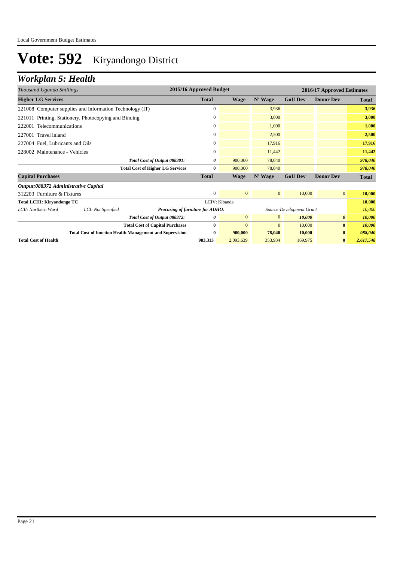## *Workplan 5: Health*

| Thousand Uganda Shillings                                | 2015/16 Approved Budget<br>2016/17 Approved Estimates |                                                                 |               |              |                |                           |                       |              |
|----------------------------------------------------------|-------------------------------------------------------|-----------------------------------------------------------------|---------------|--------------|----------------|---------------------------|-----------------------|--------------|
| <b>Higher LG Services</b>                                |                                                       |                                                                 | <b>Total</b>  | <b>Wage</b>  | N' Wage        | <b>GoU Dev</b>            | <b>Donor Dev</b>      | <b>Total</b> |
| 221008 Computer supplies and Information Technology (IT) |                                                       |                                                                 | $\Omega$      |              | 3,936          |                           |                       | 3,936        |
| 221011 Printing, Stationery, Photocopying and Binding    |                                                       |                                                                 | $\mathbf{0}$  |              | 3,000          |                           |                       | 3,000        |
| 222001 Telecommunications                                |                                                       |                                                                 | $\mathbf{0}$  |              | 1,000          |                           |                       | 1,000        |
| 227001 Travel inland                                     |                                                       |                                                                 | $\mathbf{0}$  |              | 2,500          |                           |                       | 2,500        |
| 227004 Fuel, Lubricants and Oils                         |                                                       |                                                                 | 0             |              | 17,916         |                           |                       | 17,916       |
| 228002 Maintenance - Vehicles                            |                                                       |                                                                 | 0             |              | 11,442         |                           |                       | 11,442       |
|                                                          |                                                       | Total Cost of Output 088301:                                    | 0             | 900,000      | 78,040         |                           |                       | 978,040      |
|                                                          |                                                       | <b>Total Cost of Higher LG Services</b>                         | 0             | 900,000      | 78,040         |                           |                       | 978,040      |
| <b>Capital Purchases</b>                                 |                                                       |                                                                 | <b>Total</b>  | <b>Wage</b>  | N' Wage        | <b>GoU Dev</b>            | <b>Donor Dev</b>      | Total        |
| Output:088372 Administrative Capital                     |                                                       |                                                                 |               |              |                |                           |                       |              |
| 312203 Furniture & Fixtures                              |                                                       |                                                                 | $\mathbf{0}$  | $\mathbf{0}$ | $\mathbf{0}$   | 10,000                    | $\overline{0}$        | 10,000       |
| <b>Total LCIII: Kiryandongo TC</b>                       |                                                       |                                                                 | LCIV: Kibanda |              |                |                           |                       | 10,000       |
| LCII: Northern Ward                                      | LCI: Not Specified                                    | Procuring of furniture for ADHO.                                |               |              |                | Source: Development Grant |                       | 10,000       |
|                                                          |                                                       | Total Cost of Output 088372:                                    | 0             | $\mathbf{0}$ | $\overline{0}$ | 10,000                    | $\boldsymbol{\theta}$ | 10,000       |
|                                                          |                                                       | <b>Total Cost of Capital Purchases</b>                          | $\bf{0}$      | $\mathbf{0}$ | $\mathbf{0}$   | 10,000                    | $\bf{0}$              | 10,000       |
|                                                          |                                                       | <b>Total Cost of function Health Management and Supervision</b> | $\bf{0}$      | 900,000      | 78,040         | 10,000                    | $\bf{0}$              | 988,040      |
| <b>Total Cost of Health</b>                              |                                                       |                                                                 | 983,313       | 2,093,639    | 353,934        | 169,975                   | $\bf{0}$              | 2,617,548    |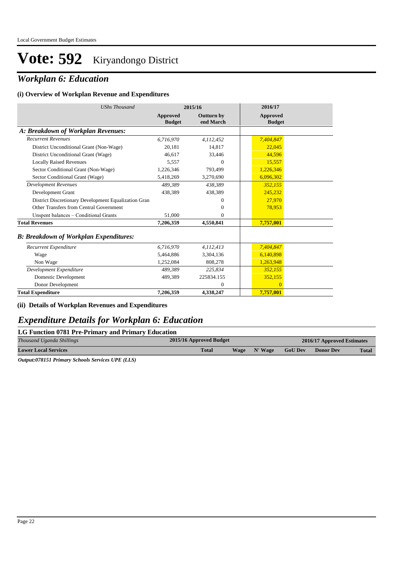### *Workplan 6: Education*

#### **(i) Overview of Workplan Revenue and Expenditures**

| <b>UShs Thousand</b>                                 |                           | 2015/16                        | 2016/17                          |
|------------------------------------------------------|---------------------------|--------------------------------|----------------------------------|
|                                                      | Approved<br><b>Budget</b> | <b>Outturn by</b><br>end March | <b>Approved</b><br><b>Budget</b> |
| A: Breakdown of Workplan Revenues:                   |                           |                                |                                  |
| <b>Recurrent Revenues</b>                            | 6,716,970                 | 4,112,452                      | 7,404,847                        |
| District Unconditional Grant (Non-Wage)              | 20,181                    | 14.817                         | 22,045                           |
| District Unconditional Grant (Wage)                  | 46.617                    | 33,446                         | 44.596                           |
| <b>Locally Raised Revenues</b>                       | 5,557                     | $\Omega$                       | 15,557                           |
| Sector Conditional Grant (Non-Wage)                  | 1,226,346                 | 793,499                        | 1,226,346                        |
| Sector Conditional Grant (Wage)                      | 5,418,269                 | 3,270,690                      | 6,096,302                        |
| <b>Development Revenues</b>                          | 489,389                   | 438,389                        | 352,155                          |
| Development Grant                                    | 438,389                   | 438,389                        | 245,232                          |
| District Discretionary Development Equalization Gran |                           | $\Omega$                       | 27,970                           |
| Other Transfers from Central Government              |                           | $\Omega$                       | 78,953                           |
| Unspent balances - Conditional Grants                | 51,000                    | $\Omega$                       |                                  |
| <b>Total Revenues</b>                                | 7,206,359                 | 4,550,841                      | 7,757,001                        |
| <b>B: Breakdown of Workplan Expenditures:</b>        |                           |                                |                                  |
| Recurrent Expenditure                                | 6,716,970                 | 4,112,413                      | 7,404,847                        |
| Wage                                                 | 5,464,886                 | 3,304,136                      | 6,140,898                        |
| Non Wage                                             | 1,252,084                 | 808,278                        | 1,263,948                        |
| Development Expenditure                              | 489.389                   | 225,834                        | 352.155                          |
| Domestic Development                                 | 489,389                   | 225834.155                     | 352,155                          |
| Donor Development                                    |                           | $\mathbf{0}$                   | $\overline{0}$                   |
| <b>Total Expenditure</b>                             | 7,206,359                 | 4,338,247                      | 7,757,001                        |

#### **(ii) Details of Workplan Revenues and Expenditures**

#### *Expenditure Details for Workplan 6: Education*

#### **LG Function 0781 Pre-Primary and Primary Education**

| Thousand Uganda Shillings   | 2015/16 Approved Budget | 2016/17 Approved Estimates |                |                  |              |
|-----------------------------|-------------------------|----------------------------|----------------|------------------|--------------|
| <b>Lower Local Services</b> | <b>Total</b><br>Wage    | N' Wage                    | <b>GoU Dev</b> | <b>Donor Dev</b> | <b>Total</b> |

*Output:078151 Primary Schools Services UPE (LLS)*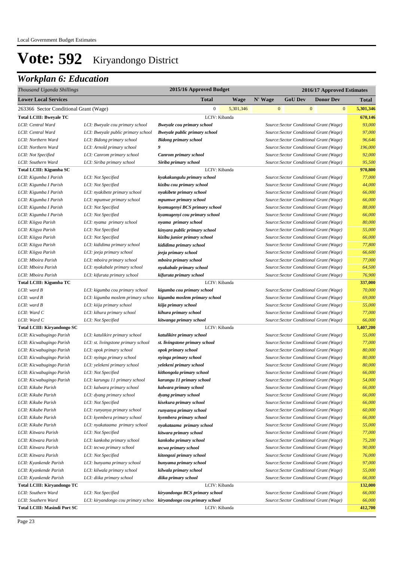| Thousand Uganda Shillings              |                                     | 2015/16 Approved Budget              |           |              |                                         |              | 2016/17 Approved Estimates |              |           |
|----------------------------------------|-------------------------------------|--------------------------------------|-----------|--------------|-----------------------------------------|--------------|----------------------------|--------------|-----------|
| <b>Lower Local Services</b>            |                                     | <b>Total</b>                         | Wage      | N' Wage      | <b>GoU Dev</b>                          |              | <b>Donor Dev</b>           |              | Total     |
| 263366 Sector Conditional Grant (Wage) |                                     | $\mathbf{0}$                         | 5,301,346 | $\mathbf{0}$ |                                         | $\mathbf{0}$ |                            | $\mathbf{0}$ | 5,301,346 |
| <b>Total LCIII: Bweyale TC</b>         |                                     | LCIV: Kibanda                        |           |              |                                         |              |                            |              | 670,146   |
| LCII: Central Ward                     | LCI: Bweyale cou primary school     | <b>Bweyale cou primary school</b>    |           |              | Source: Sector Conditional Grant (Wage) |              |                            |              | 93,000    |
| LCII: Central Ward                     | LCI: Bweyale public primary school  | <b>Bweyale public primary school</b> |           |              | Source: Sector Conditional Grant (Wage) |              |                            |              | 97,000    |
| LCII: Northern Ward                    | LCI: Bidong primary school          | <b>Bidong primary school</b>         |           |              | Source: Sector Conditional Grant (Wage) |              |                            |              | 96,646    |
| LCII: Northern Ward                    | LCI: Arnold primary school          | 9                                    |           |              | Source: Sector Conditional Grant (Wage) |              |                            |              | 196,000   |
| LCII: Not Specified                    | LCI: Canrom primary school          | Canrom primary school                |           |              | Source: Sector Conditional Grant (Wage) |              |                            |              | 92,000    |
| LCII: Southern Ward                    | LCI: Siriba primary school          | Siriba primary school                |           |              | Source: Sector Conditional Grant (Wage) |              |                            |              | 95,500    |
| Total LCIII: Kigumba SC                |                                     | LCIV: Kibanda                        |           |              |                                         |              |                            |              | 970,800   |
| LCII: Kigumba I Parish                 | LCI: Not Specified                  | kyakakungulu primary school          |           |              | Source: Sector Conditional Grant (Wage) |              |                            |              | 77,000    |
| LCII: Kigumba I Parish                 | LCI: Not Specified                  | kizibu cou primary school            |           |              | Source: Sector Conditional Grant (Wage) |              |                            |              | 44,000    |
| LCII: Kigumba I Parish                 | LCI: nyakibete primary school       | nyakibete primary school             |           |              | Source: Sector Conditional Grant (Wage) |              |                            |              | 66,000    |
| LCII: Kigumba I Parish                 | LCI: mpumwe primary school          | mpumwe primary school                |           |              | Source: Sector Conditional Grant (Wage) |              |                            |              | 66,000    |
| LCII: Kigumba I Parish                 | LCI: Not Specified                  | kyamugenyi BCS primary school        |           |              | Source: Sector Conditional Grant (Wage) |              |                            |              | 88,000    |
| LCII: Kigumba I Parish                 | LCI: Not Specified                  | kyamugenyi cou primary school        |           |              | Source: Sector Conditional Grant (Wage) |              |                            |              | 66,000    |
| LCII: Kiigya Parish                    | LCI: nyama primary school           | nyama primary school                 |           |              | Source: Sector Conditional Grant (Wage) |              |                            |              | 80,000    |
| LCII: Kiigya Parish                    | LCI: Not Specified                  | kinyara public primary school        |           |              | Source: Sector Conditional Grant (Wage) |              |                            |              | 55,000    |
| LCII: Kiigya Parish                    | LCI: Not Specified                  | kizibu junior primary school         |           |              | Source: Sector Conditional Grant (Wage) |              |                            |              | 66,000    |
| LCII: Kiigya Parish                    | LCI: kididima primary school        | kididima primary school              |           |              | Source: Sector Conditional Grant (Wage) |              |                            |              | 77,800    |
| LCII: Kiigya Parish                    | LCI: jeeja primary school           | jeeja primary school                 |           |              | Source: Sector Conditional Grant (Wage) |              |                            |              | 66,600    |
| LCII: Mboira Parish                    | LCI: mboira primary school          | mboira primary school                |           |              | Source: Sector Conditional Grant (Wage) |              |                            |              | 77,000    |
| LCII: Mboira Parish                    | LCI: nyakabale primary school       | nyakabale primary school             |           |              | Source: Sector Conditional Grant (Wage) |              |                            |              | 64,500    |
| LCII: Mboira Parish                    | LCI: kifuruta primary school        | kifuruta primary school              |           |              | Source: Sector Conditional Grant (Wage) |              |                            |              | 76,900    |
| Total LCIII: Kigumba TC                |                                     | LCIV: Kibanda                        |           |              |                                         |              |                            |              | 337,000   |
| LCII: ward B                           | LCI: kigumba cou primary school     | kigumba cou primary school           |           |              | Source: Sector Conditional Grant (Wage) |              |                            |              | 70,000    |
| LCII: ward B                           | LCI: kigumba moslem primary schoo   | kigumba moslem primary school        |           |              | Source: Sector Conditional Grant (Wage) |              |                            |              | 69,000    |
| LCII: ward B                           | LCI: kiija primary school           | kiija primary school                 |           |              | Source: Sector Conditional Grant (Wage) |              |                            |              | 55,000    |
| LCII: Ward C                           | LCI: kihura primary school          | kihura primary school                |           |              | Source: Sector Conditional Grant (Wage) |              |                            |              | 77,000    |
| LCII: Ward C                           | LCI: Not Specified                  | kitwanga primary school              |           |              | Source: Sector Conditional Grant (Wage) |              |                            |              | 66,000    |
| Total LCIII: Kiryandongo SC            |                                     | LCIV: Kibanda                        |           |              |                                         |              |                            |              | 1,407,200 |
| LCII: Kicwabugingo Parish              | LCI: katulikire primary school      | katulikire primary school            |           |              | Source: Sector Conditional Grant (Wage) |              |                            |              | 55,000    |
| LCII: Kicwabugingo Parish              | LCI: st. livingstone primary school | st. livingstone primary school       |           |              | Source: Sector Conditional Grant (Wage) |              |                            |              | 77,000    |
| LCII: Kicwabugingo Parish              | LCI: opok primary school            | opok primary school                  |           |              | Source: Sector Conditional Grant (Wage) |              |                            |              | 80,000    |
| LCII: Kicwabugingo Parish              | LCI: nyinga primary school          | nyinga primary school                |           |              | Source: Sector Conditional Grant (Wage) |              |                            |              | 80,000    |
| LCII: Kicwabugingo Parish              | LCI: yelekeni primary school        | yelekeni primary school              |           |              | Source: Sector Conditional Grant (Wage) |              |                            |              | 80,000    |
| LCII: Kicwabugingo Parish              | LCI: Not Specified                  | kithongola primary school            |           |              | Source: Sector Conditional Grant (Wage) |              |                            |              | 66,000    |
| LCII: Kicwabugingo Parish              | LCI: karungu 11 primary school      | karungu 11 primary school            |           |              | Source: Sector Conditional Grant (Wage) |              |                            |              | 54,000    |
| LCII: Kikube Parish                    | LCI: kalwara primary school         | kalwara primary school               |           |              | Source: Sector Conditional Grant (Wage) |              |                            |              | 66,000    |
| LCII: Kikube Parish                    | LCI: dyang primary school           | dyang primary school                 |           |              | Source: Sector Conditional Grant (Wage) |              |                            |              | 66,000    |
| LCII: Kikube Parish                    | LCI: Not Specified                  | kisekura primary school              |           |              | Source: Sector Conditional Grant (Wage) |              |                            |              | 66,000    |
| LCII: Kikube Parish                    | LCI: runyanya primary school        | runyanya primary school              |           |              | Source: Sector Conditional Grant (Wage) |              |                            |              | 60,000    |
| LCII: Kikube Parish                    | LCI: kyembera primary school        | kyembera primary school              |           |              | Source: Sector Conditional Grant (Wage) |              |                            |              | 66,000    |
| LCII: Kikube Parish                    | LCI: nyakataama primary school      | nyakataama primary school            |           |              | Source: Sector Conditional Grant (Wage) |              |                            |              | 55,000    |
| LCII: Kitwara Parish                   | LCI: Not Specified                  | kitwara primary school               |           |              | Source: Sector Conditional Grant (Wage) |              |                            |              | 77,000    |
| LCII: Kitwara Parish                   | LCI: kankoba primary school         | kankoba primary school               |           |              | Source: Sector Conditional Grant (Wage) |              |                            |              | 75,200    |
| LCII: Kitwara Parish                   | LCI: tecwa primary school           | tecwa primary school                 |           |              | Source: Sector Conditional Grant (Wage) |              |                            |              | 90,000    |
| LCII: Kitwara Parish                   | LCI: Not Specified                  | kitongozi primary school             |           |              | Source: Sector Conditional Grant (Wage) |              |                            |              | 76,000    |
| LCII: Kyankende Parish                 | LCI: bunyama primary school         | bunyama primary school               |           |              | Source: Sector Conditional Grant (Wage) |              |                            |              | 97,000    |
| LCII: Kyankende Parish                 | LCI: kilwala primary school         | kilwala primary school               |           |              | Source: Sector Conditional Grant (Wage) |              |                            |              | 55,000    |
| LCII: Kyankende Parish                 | LCI: diika primary school           | diika primary school                 |           |              | Source: Sector Conditional Grant (Wage) |              |                            |              | 66,000    |
| Total LCIII: Kiryandongo TC            |                                     | LCIV: Kibanda                        |           |              |                                         |              |                            |              | 132,000   |
| LCII: Southern Ward                    | LCI: Not Specified                  | kiryandongo BCS primary school       |           |              | Source: Sector Conditional Grant (Wage) |              |                            |              | 66,000    |
| LCII: Southern Ward                    | LCI: kiryandongo cou primary schoo  | kiryandongo cou primary school       |           |              | Source: Sector Conditional Grant (Wage) |              |                            |              | 66,000    |
| <b>Total LCIII: Masindi Port SC</b>    |                                     | LCIV: Kibanda                        |           |              |                                         |              |                            |              | 412,700   |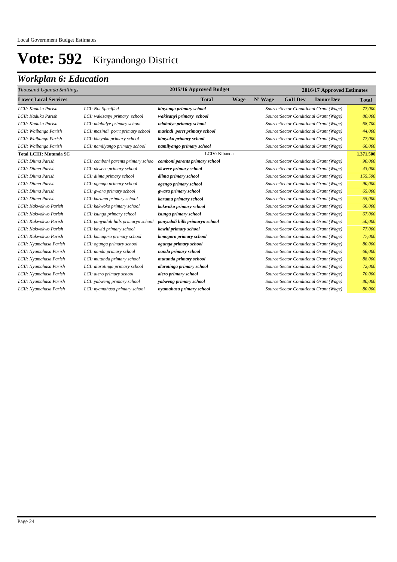| 2015/16 Approved Budget<br>2016/17 Approved Estimates<br>Thousand Uganda Shillings |                                      |                                 |             |         |                |                                         |              |
|------------------------------------------------------------------------------------|--------------------------------------|---------------------------------|-------------|---------|----------------|-----------------------------------------|--------------|
| <b>Lower Local Services</b>                                                        |                                      | <b>Total</b>                    | <b>Wage</b> | N' Wage | <b>GoU Dev</b> | <b>Donor Dev</b>                        | <b>Total</b> |
| LCII: Kaduku Parish                                                                | LCI: Not Specified                   | kinyonga primary school         |             |         |                | Source: Sector Conditional Grant (Wage) | 77,000       |
| LCII: Kaduku Parish                                                                | LCI: wakisanyi primary school        | wakisanyi primary school        |             |         |                | Source: Sector Conditional Grant (Wage) | 80,000       |
| LCII: Kaduku Parish                                                                | LCI: ndabulye primary school         | ndabulye primary school         |             |         |                | Source: Sector Conditional Grant (Wage) | 68,700       |
| LCII: Waibango Parish                                                              | LCI: masindi porrt primary school    | masindi porrt primary school    |             |         |                | Source: Sector Conditional Grant (Wage) | 44,000       |
| LCII: Waibango Parish                                                              | LCI: kimyoka primary school          | kimyoka primary school          |             |         |                | Source: Sector Conditional Grant (Wage) | 77,000       |
| LCII: Waibango Parish                                                              | LCI: namilyango primary school       | namilyango primary school       |             |         |                | Source: Sector Conditional Grant (Wage) | 66,000       |
| <b>Total LCIII: Mutunda SC</b>                                                     |                                      | LCIV: Kibanda                   |             |         |                |                                         | 1,371,500    |
| LCII: Diima Parish                                                                 | LCI: comboni parents primary schoo   | comboni parents primary school  |             |         |                | Source: Sector Conditional Grant (Wage) | 90,000       |
| LCII: Diima Parish                                                                 | LCI: okwece primary school           | okwece primary school           |             |         |                | Source: Sector Conditional Grant (Wage) | 43,000       |
| LCII: Diima Parish                                                                 | LCI: diima primary school            | diima primary school            |             |         |                | Source: Sector Conditional Grant (Wage) | 155,500      |
| LCII: Diima Parish                                                                 | LCI: ogengo primary school           | ogengo primary school           |             |         |                | Source: Sector Conditional Grant (Wage) | 90,000       |
| LCII: Diima Parish                                                                 | LCI: gwara primary school            | gwara primary school            |             |         |                | Source: Sector Conditional Grant (Wage) | 65,000       |
| LCII: Diima Parish                                                                 | LCI: karuma primary school           | karuma primary school           |             |         |                | Source: Sector Conditional Grant (Wage) | 55,000       |
| LCII: Kakwokwo Parish                                                              | LCI: kakwoko primary school          | kakwoko primary school          |             |         |                | Source: Sector Conditional Grant (Wage) | 66,000       |
| LCII: Kakwokwo Parish                                                              | LCI: isunga primary school           | isunga primary school           |             |         |                | Source: Sector Conditional Grant (Wage) | 67,000       |
| LCII: Kakwokwo Parish                                                              | LCI: panyadoli hills primaryn school | panyadoli hills primaryn school |             |         |                | Source: Sector Conditional Grant (Wage) | 50,000       |
| LCII: Kakwokwo Parish                                                              | LCI: kawiti primary school           | kawiti primary school           |             |         |                | Source: Sector Conditional Grant (Wage) | 77,000       |
| LCII: Kakwokwo Parish                                                              | LCI: kimogoro primary school         | kimogoro primary school         |             |         |                | Source: Sector Conditional Grant (Wage) | 77,000       |
| LCII: Nyamahasa Parish                                                             | LCI: ogunga primary school           | ogunga primary school           |             |         |                | Source: Sector Conditional Grant (Wage) | 80,000       |
| LCII: Nyamahasa Parish                                                             | LCI: nanda primary school            | nanda primary school            |             |         |                | Source: Sector Conditional Grant (Wage) | 66,000       |
| LCII: Nyamahasa Parish                                                             | LCI: mutunda primary school          | mutunda primary school          |             |         |                | Source: Sector Conditional Grant (Wage) | 88,000       |
| LCII: Nyamahasa Parish                                                             | LCI: alarotinga primary school       | alarotinga primary school       |             |         |                | Source: Sector Conditional Grant (Wage) | 72,000       |
| LCII: Nyamahasa Parish                                                             | LCI: alero primary school            | alero primary school            |             |         |                | Source: Sector Conditional Grant (Wage) | 70,000       |
| LCII: Nyamahasa Parish                                                             | LCI: yabweng primary school          | yabweng primary school          |             |         |                | Source: Sector Conditional Grant (Wage) | 80,000       |
| LCII: Nyamahasa Parish                                                             | LCI: nyamahasa primary school        | nyamahasa primary school        |             |         |                | Source: Sector Conditional Grant (Wage) | 80,000       |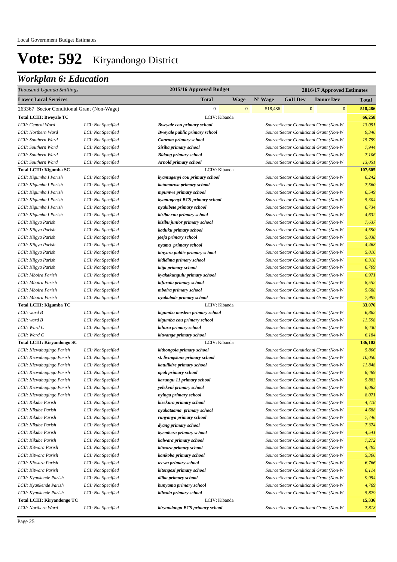| <b>Lower Local Services</b><br><b>Total</b><br>N' Wage<br><b>Donor Dev</b><br>Wage<br><b>GoU</b> Dev<br>Total<br>$\mathbf{0}$<br>$\mathbf{0}$<br>$\mathbf{0}$<br>518,486<br>$\mathbf{0}$<br>518,486<br>263367 Sector Conditional Grant (Non-Wage)<br>LCIV: Kibanda<br>66,258<br><b>Total LCIII: Bweyale TC</b><br>13,051<br>LCII: Central Ward<br>LCI: Not Specified<br><b>Bweyale cou primary school</b><br>Source: Sector Conditional Grant (Non-W<br>Source: Sector Conditional Grant (Non-W<br>9,346<br>LCII: Northern Ward<br>LCI: Not Specified<br><b>Bweyale public primary school</b><br>Source: Sector Conditional Grant (Non-W<br>15,759<br>LCII: Southern Ward<br>LCI: Not Specified<br>Canrom primary school<br>7,944<br>LCII: Southern Ward<br>LCI: Not Specified<br>Siriba primary school<br>Source: Sector Conditional Grant (Non-W<br>Source: Sector Conditional Grant (Non-W<br>7,106<br>LCII: Southern Ward<br>LCI: Not Specified<br><b>Bidong primary school</b><br>13,051<br>Source: Sector Conditional Grant (Non-W<br>LCII: Southern Ward<br>LCI: Not Specified<br>Arnold primary school<br>LCIV: Kibanda<br>107,605<br>Total LCIII: Kigumba SC<br>6,242<br>LCII: Kigumba I Parish<br>kyamugenyi cou primary school<br>Source: Sector Conditional Grant (Non-W<br>LCI: Not Specified<br>7,560<br>LCII: Kigumba I Parish<br>LCI: Not Specified<br>katamarwa primary school<br>Source: Sector Conditional Grant (Non-W<br>Source: Sector Conditional Grant (Non-W<br>6,549<br>LCII: Kigumba I Parish<br>LCI: Not Specified<br>mpumwe primary school<br>5,304<br>Source: Sector Conditional Grant (Non-W<br>LCII: Kigumba I Parish<br>LCI: Not Specified<br>kyamugenyi BCS primary school<br>Source: Sector Conditional Grant (Non-W<br>6,734<br>LCII: Kigumba I Parish<br>LCI: Not Specified<br>nyakibete primary school<br>4,632<br>LCII: Kigumba I Parish<br>LCI: Not Specified<br>kizibu cou primary school<br>Source: Sector Conditional Grant (Non-W<br>Source: Sector Conditional Grant (Non-W<br>7,637<br>LCII: Kiigya Parish<br>kizibu junior primary school<br>LCI: Not Specified<br>4,590<br>LCII: Kiigya Parish<br>LCI: Not Specified<br>kaduku primary school<br>Source: Sector Conditional Grant (Non-W<br>Source: Sector Conditional Grant (Non-W<br>5,838<br>LCI: Not Specified<br>jeeja primary school<br>LCII: Kiigya Parish<br>Source: Sector Conditional Grant (Non-W<br>4,468<br>LCI: Not Specified<br>nyama primary school<br>LCII: Kiigya Parish<br>Source: Sector Conditional Grant (Non-W<br>5,816<br>LCII: Kiigya Parish<br>LCI: Not Specified<br>kinyara public primary school<br>Source: Sector Conditional Grant (Non-W<br>6,318<br>LCII: Kiigya Parish<br>LCI: Not Specified<br>kididima primary school<br>Source: Sector Conditional Grant (Non-W<br>6,709<br>LCII: Kiigya Parish<br>LCI: Not Specified<br>kiija primary school<br>6,971<br>LCII: Mboira Parish<br>LCI: Not Specified<br>kyakakungulu primary school<br>Source: Sector Conditional Grant (Non-W<br>Source: Sector Conditional Grant (Non-W<br>8,552<br>LCII: Mboira Parish<br>LCI: Not Specified<br>kifuruta primary school<br>Source: Sector Conditional Grant (Non-W<br>5,688<br>LCII: Mboira Parish<br>LCI: Not Specified<br>mboira primary school<br>7,995<br>Source: Sector Conditional Grant (Non-W<br>LCII: Mboira Parish<br>LCI: Not Specified<br>nyakabale primary school<br>LCIV: Kibanda<br><b>Total LCIII: Kigumba TC</b><br>33,076<br>$LCH:$ ward $B$<br>6,862<br>LCI: Not Specified<br>kigumba moslem primary school<br>Source: Sector Conditional Grant (Non-W<br>LCII: ward B<br>Source: Sector Conditional Grant (Non-W<br>11,598<br>LCI: Not Specified<br>kigumba cou primary school<br>LCII: Ward C<br>Source: Sector Conditional Grant (Non-W<br>8,430<br>LCI: Not Specified<br>kihura primary school<br>LCII: Ward C<br>Source: Sector Conditional Grant (Non-W<br>6,184<br>LCI: Not Specified<br>kitwanga primary school<br>LCIV: Kibanda<br>136,102<br>Total LCIII: Kiryandongo SC<br>5,806<br>LCII: Kicwabugingo Parish<br>LCI: Not Specified<br>Source: Sector Conditional Grant (Non-W<br>kithongola primary school<br>Source: Sector Conditional Grant (Non-W<br>10,050<br>LCI: Not Specified<br>st. livingstone primary school<br>LCII: Kicwabugingo Parish<br>Source: Sector Conditional Grant (Non-W<br>11,848<br>LCI: Not Specified<br>katulikire primary school<br>LCII: Kicwabugingo Parish<br>Source: Sector Conditional Grant (Non-W<br>8,489<br>LCII: Kicwabugingo Parish<br>LCI: Not Specified<br>opok primary school<br>5,883<br>Source: Sector Conditional Grant (Non-W<br>LCII: Kicwabugingo Parish<br>LCI: Not Specified<br>karungu 11 primary school<br>LCII: Kicwabugingo Parish<br>LCI: Not Specified<br>yelekeni primary school<br>Source: Sector Conditional Grant (Non-W<br>6,082<br>8,071<br>Source: Sector Conditional Grant (Non-W<br>LCII: Kicwabugingo Parish<br>LCI: Not Specified<br>nyinga primary school<br>4,718<br>LCII: Kikube Parish<br>LCI: Not Specified<br>Source: Sector Conditional Grant (Non-W<br>kisekura primary school<br>4,688<br>LCII: Kikube Parish<br>LCI: Not Specified<br>Source: Sector Conditional Grant (Non-W<br>nyakataama primary school<br>LCII: Kikube Parish<br>LCI: Not Specified<br>Source: Sector Conditional Grant (Non-W<br>7,746<br>runyanya primary school<br>7,374<br>LCII: Kikube Parish<br>LCI: Not Specified<br>Source: Sector Conditional Grant (Non-W<br>dyang primary school<br>4,541<br>LCII: Kikube Parish<br>LCI: Not Specified<br>Source: Sector Conditional Grant (Non-W<br>kyembera primary school<br>7,272<br>LCII: Kikube Parish<br>LCI: Not Specified<br>Source: Sector Conditional Grant (Non-W<br>kalwara primary school<br>4,795<br>LCII: Kitwara Parish<br>LCI: Not Specified<br>Source: Sector Conditional Grant (Non-W<br>kitwara primary school<br>5,306<br>LCII: Kitwara Parish<br>LCI: Not Specified<br>Source: Sector Conditional Grant (Non-W<br>kankoba primary school<br>6,766<br>LCII: Kitwara Parish<br>LCI: Not Specified<br>Source: Sector Conditional Grant (Non-W<br>tecwa primary school<br>Source: Sector Conditional Grant (Non-W<br>6,114<br>LCII: Kitwara Parish<br>LCI: Not Specified<br>kitongozi primary school<br>9,954<br>LCII: Kyankende Parish<br>LCI: Not Specified<br>Source: Sector Conditional Grant (Non-W<br>diika primary school<br>LCII: Kyankende Parish<br>LCI: Not Specified<br>Source: Sector Conditional Grant (Non-W<br>4,769<br>bunyama primary school<br>Source: Sector Conditional Grant (Non-W<br>5,829<br>LCII: Kyankende Parish<br>LCI: Not Specified<br>kilwala primary school<br>Total LCIII: Kiryandongo TC<br>LCIV: Kibanda<br>15,336<br>Source: Sector Conditional Grant (Non-W<br>LCII: Northern Ward<br>LCI: Not Specified<br>7,818<br>kiryandongo BCS primary school | Thousand Uganda Shillings | 2015/16 Approved Budget | 2016/17 Approved Estimates |  |  |  |  |  |
|---------------------------------------------------------------------------------------------------------------------------------------------------------------------------------------------------------------------------------------------------------------------------------------------------------------------------------------------------------------------------------------------------------------------------------------------------------------------------------------------------------------------------------------------------------------------------------------------------------------------------------------------------------------------------------------------------------------------------------------------------------------------------------------------------------------------------------------------------------------------------------------------------------------------------------------------------------------------------------------------------------------------------------------------------------------------------------------------------------------------------------------------------------------------------------------------------------------------------------------------------------------------------------------------------------------------------------------------------------------------------------------------------------------------------------------------------------------------------------------------------------------------------------------------------------------------------------------------------------------------------------------------------------------------------------------------------------------------------------------------------------------------------------------------------------------------------------------------------------------------------------------------------------------------------------------------------------------------------------------------------------------------------------------------------------------------------------------------------------------------------------------------------------------------------------------------------------------------------------------------------------------------------------------------------------------------------------------------------------------------------------------------------------------------------------------------------------------------------------------------------------------------------------------------------------------------------------------------------------------------------------------------------------------------------------------------------------------------------------------------------------------------------------------------------------------------------------------------------------------------------------------------------------------------------------------------------------------------------------------------------------------------------------------------------------------------------------------------------------------------------------------------------------------------------------------------------------------------------------------------------------------------------------------------------------------------------------------------------------------------------------------------------------------------------------------------------------------------------------------------------------------------------------------------------------------------------------------------------------------------------------------------------------------------------------------------------------------------------------------------------------------------------------------------------------------------------------------------------------------------------------------------------------------------------------------------------------------------------------------------------------------------------------------------------------------------------------------------------------------------------------------------------------------------------------------------------------------------------------------------------------------------------------------------------------------------------------------------------------------------------------------------------------------------------------------------------------------------------------------------------------------------------------------------------------------------------------------------------------------------------------------------------------------------------------------------------------------------------------------------------------------------------------------------------------------------------------------------------------------------------------------------------------------------------------------------------------------------------------------------------------------------------------------------------------------------------------------------------------------------------------------------------------------------------------------------------------------------------------------------------------------------------------------------------------------------------------------------------------------------------------------------------------------------------------------------------------------------------------------------------------------------------------------------------------------------------------------------------------------------------------------------------------------------------------------------------------------------------------------------------------------------------------------------------------------------------------------------------------------------------------------------------------------------------------------------------------------------------------------------------------------------------------------------------------------------------------------------------------------------------------------------------------------------------------------------------------------------------------------------------------------------------------------------------------------------------------------------------------------------------------------------------------------------------------------------------------------------------------------------------------------------------------------------------------------------------------------------------------------------------------------------------------------------------------------------------------------------------------------------------------------------------------------------------------------------------------------------------------------|---------------------------|-------------------------|----------------------------|--|--|--|--|--|
|                                                                                                                                                                                                                                                                                                                                                                                                                                                                                                                                                                                                                                                                                                                                                                                                                                                                                                                                                                                                                                                                                                                                                                                                                                                                                                                                                                                                                                                                                                                                                                                                                                                                                                                                                                                                                                                                                                                                                                                                                                                                                                                                                                                                                                                                                                                                                                                                                                                                                                                                                                                                                                                                                                                                                                                                                                                                                                                                                                                                                                                                                                                                                                                                                                                                                                                                                                                                                                                                                                                                                                                                                                                                                                                                                                                                                                                                                                                                                                                                                                                                                                                                                                                                                                                                                                                                                                                                                                                                                                                                                                                                                                                                                                                                                                                                                                                                                                                                                                                                                                                                                                                                                                                                                                                                                                                                                                                                                                                                                                                                                                                                                                                                                                                                                                                                                                                                                                                                                                                                                                                                                                                                                                                                                                                                                                                                                                                                                                                                                                                                                                                                                                                                                                                                                                                                                                                               |                           |                         |                            |  |  |  |  |  |
|                                                                                                                                                                                                                                                                                                                                                                                                                                                                                                                                                                                                                                                                                                                                                                                                                                                                                                                                                                                                                                                                                                                                                                                                                                                                                                                                                                                                                                                                                                                                                                                                                                                                                                                                                                                                                                                                                                                                                                                                                                                                                                                                                                                                                                                                                                                                                                                                                                                                                                                                                                                                                                                                                                                                                                                                                                                                                                                                                                                                                                                                                                                                                                                                                                                                                                                                                                                                                                                                                                                                                                                                                                                                                                                                                                                                                                                                                                                                                                                                                                                                                                                                                                                                                                                                                                                                                                                                                                                                                                                                                                                                                                                                                                                                                                                                                                                                                                                                                                                                                                                                                                                                                                                                                                                                                                                                                                                                                                                                                                                                                                                                                                                                                                                                                                                                                                                                                                                                                                                                                                                                                                                                                                                                                                                                                                                                                                                                                                                                                                                                                                                                                                                                                                                                                                                                                                                               |                           |                         |                            |  |  |  |  |  |
|                                                                                                                                                                                                                                                                                                                                                                                                                                                                                                                                                                                                                                                                                                                                                                                                                                                                                                                                                                                                                                                                                                                                                                                                                                                                                                                                                                                                                                                                                                                                                                                                                                                                                                                                                                                                                                                                                                                                                                                                                                                                                                                                                                                                                                                                                                                                                                                                                                                                                                                                                                                                                                                                                                                                                                                                                                                                                                                                                                                                                                                                                                                                                                                                                                                                                                                                                                                                                                                                                                                                                                                                                                                                                                                                                                                                                                                                                                                                                                                                                                                                                                                                                                                                                                                                                                                                                                                                                                                                                                                                                                                                                                                                                                                                                                                                                                                                                                                                                                                                                                                                                                                                                                                                                                                                                                                                                                                                                                                                                                                                                                                                                                                                                                                                                                                                                                                                                                                                                                                                                                                                                                                                                                                                                                                                                                                                                                                                                                                                                                                                                                                                                                                                                                                                                                                                                                                               |                           |                         |                            |  |  |  |  |  |
|                                                                                                                                                                                                                                                                                                                                                                                                                                                                                                                                                                                                                                                                                                                                                                                                                                                                                                                                                                                                                                                                                                                                                                                                                                                                                                                                                                                                                                                                                                                                                                                                                                                                                                                                                                                                                                                                                                                                                                                                                                                                                                                                                                                                                                                                                                                                                                                                                                                                                                                                                                                                                                                                                                                                                                                                                                                                                                                                                                                                                                                                                                                                                                                                                                                                                                                                                                                                                                                                                                                                                                                                                                                                                                                                                                                                                                                                                                                                                                                                                                                                                                                                                                                                                                                                                                                                                                                                                                                                                                                                                                                                                                                                                                                                                                                                                                                                                                                                                                                                                                                                                                                                                                                                                                                                                                                                                                                                                                                                                                                                                                                                                                                                                                                                                                                                                                                                                                                                                                                                                                                                                                                                                                                                                                                                                                                                                                                                                                                                                                                                                                                                                                                                                                                                                                                                                                                               |                           |                         |                            |  |  |  |  |  |
|                                                                                                                                                                                                                                                                                                                                                                                                                                                                                                                                                                                                                                                                                                                                                                                                                                                                                                                                                                                                                                                                                                                                                                                                                                                                                                                                                                                                                                                                                                                                                                                                                                                                                                                                                                                                                                                                                                                                                                                                                                                                                                                                                                                                                                                                                                                                                                                                                                                                                                                                                                                                                                                                                                                                                                                                                                                                                                                                                                                                                                                                                                                                                                                                                                                                                                                                                                                                                                                                                                                                                                                                                                                                                                                                                                                                                                                                                                                                                                                                                                                                                                                                                                                                                                                                                                                                                                                                                                                                                                                                                                                                                                                                                                                                                                                                                                                                                                                                                                                                                                                                                                                                                                                                                                                                                                                                                                                                                                                                                                                                                                                                                                                                                                                                                                                                                                                                                                                                                                                                                                                                                                                                                                                                                                                                                                                                                                                                                                                                                                                                                                                                                                                                                                                                                                                                                                                               |                           |                         |                            |  |  |  |  |  |
|                                                                                                                                                                                                                                                                                                                                                                                                                                                                                                                                                                                                                                                                                                                                                                                                                                                                                                                                                                                                                                                                                                                                                                                                                                                                                                                                                                                                                                                                                                                                                                                                                                                                                                                                                                                                                                                                                                                                                                                                                                                                                                                                                                                                                                                                                                                                                                                                                                                                                                                                                                                                                                                                                                                                                                                                                                                                                                                                                                                                                                                                                                                                                                                                                                                                                                                                                                                                                                                                                                                                                                                                                                                                                                                                                                                                                                                                                                                                                                                                                                                                                                                                                                                                                                                                                                                                                                                                                                                                                                                                                                                                                                                                                                                                                                                                                                                                                                                                                                                                                                                                                                                                                                                                                                                                                                                                                                                                                                                                                                                                                                                                                                                                                                                                                                                                                                                                                                                                                                                                                                                                                                                                                                                                                                                                                                                                                                                                                                                                                                                                                                                                                                                                                                                                                                                                                                                               |                           |                         |                            |  |  |  |  |  |
|                                                                                                                                                                                                                                                                                                                                                                                                                                                                                                                                                                                                                                                                                                                                                                                                                                                                                                                                                                                                                                                                                                                                                                                                                                                                                                                                                                                                                                                                                                                                                                                                                                                                                                                                                                                                                                                                                                                                                                                                                                                                                                                                                                                                                                                                                                                                                                                                                                                                                                                                                                                                                                                                                                                                                                                                                                                                                                                                                                                                                                                                                                                                                                                                                                                                                                                                                                                                                                                                                                                                                                                                                                                                                                                                                                                                                                                                                                                                                                                                                                                                                                                                                                                                                                                                                                                                                                                                                                                                                                                                                                                                                                                                                                                                                                                                                                                                                                                                                                                                                                                                                                                                                                                                                                                                                                                                                                                                                                                                                                                                                                                                                                                                                                                                                                                                                                                                                                                                                                                                                                                                                                                                                                                                                                                                                                                                                                                                                                                                                                                                                                                                                                                                                                                                                                                                                                                               |                           |                         |                            |  |  |  |  |  |
|                                                                                                                                                                                                                                                                                                                                                                                                                                                                                                                                                                                                                                                                                                                                                                                                                                                                                                                                                                                                                                                                                                                                                                                                                                                                                                                                                                                                                                                                                                                                                                                                                                                                                                                                                                                                                                                                                                                                                                                                                                                                                                                                                                                                                                                                                                                                                                                                                                                                                                                                                                                                                                                                                                                                                                                                                                                                                                                                                                                                                                                                                                                                                                                                                                                                                                                                                                                                                                                                                                                                                                                                                                                                                                                                                                                                                                                                                                                                                                                                                                                                                                                                                                                                                                                                                                                                                                                                                                                                                                                                                                                                                                                                                                                                                                                                                                                                                                                                                                                                                                                                                                                                                                                                                                                                                                                                                                                                                                                                                                                                                                                                                                                                                                                                                                                                                                                                                                                                                                                                                                                                                                                                                                                                                                                                                                                                                                                                                                                                                                                                                                                                                                                                                                                                                                                                                                                               |                           |                         |                            |  |  |  |  |  |
|                                                                                                                                                                                                                                                                                                                                                                                                                                                                                                                                                                                                                                                                                                                                                                                                                                                                                                                                                                                                                                                                                                                                                                                                                                                                                                                                                                                                                                                                                                                                                                                                                                                                                                                                                                                                                                                                                                                                                                                                                                                                                                                                                                                                                                                                                                                                                                                                                                                                                                                                                                                                                                                                                                                                                                                                                                                                                                                                                                                                                                                                                                                                                                                                                                                                                                                                                                                                                                                                                                                                                                                                                                                                                                                                                                                                                                                                                                                                                                                                                                                                                                                                                                                                                                                                                                                                                                                                                                                                                                                                                                                                                                                                                                                                                                                                                                                                                                                                                                                                                                                                                                                                                                                                                                                                                                                                                                                                                                                                                                                                                                                                                                                                                                                                                                                                                                                                                                                                                                                                                                                                                                                                                                                                                                                                                                                                                                                                                                                                                                                                                                                                                                                                                                                                                                                                                                                               |                           |                         |                            |  |  |  |  |  |
|                                                                                                                                                                                                                                                                                                                                                                                                                                                                                                                                                                                                                                                                                                                                                                                                                                                                                                                                                                                                                                                                                                                                                                                                                                                                                                                                                                                                                                                                                                                                                                                                                                                                                                                                                                                                                                                                                                                                                                                                                                                                                                                                                                                                                                                                                                                                                                                                                                                                                                                                                                                                                                                                                                                                                                                                                                                                                                                                                                                                                                                                                                                                                                                                                                                                                                                                                                                                                                                                                                                                                                                                                                                                                                                                                                                                                                                                                                                                                                                                                                                                                                                                                                                                                                                                                                                                                                                                                                                                                                                                                                                                                                                                                                                                                                                                                                                                                                                                                                                                                                                                                                                                                                                                                                                                                                                                                                                                                                                                                                                                                                                                                                                                                                                                                                                                                                                                                                                                                                                                                                                                                                                                                                                                                                                                                                                                                                                                                                                                                                                                                                                                                                                                                                                                                                                                                                                               |                           |                         |                            |  |  |  |  |  |
|                                                                                                                                                                                                                                                                                                                                                                                                                                                                                                                                                                                                                                                                                                                                                                                                                                                                                                                                                                                                                                                                                                                                                                                                                                                                                                                                                                                                                                                                                                                                                                                                                                                                                                                                                                                                                                                                                                                                                                                                                                                                                                                                                                                                                                                                                                                                                                                                                                                                                                                                                                                                                                                                                                                                                                                                                                                                                                                                                                                                                                                                                                                                                                                                                                                                                                                                                                                                                                                                                                                                                                                                                                                                                                                                                                                                                                                                                                                                                                                                                                                                                                                                                                                                                                                                                                                                                                                                                                                                                                                                                                                                                                                                                                                                                                                                                                                                                                                                                                                                                                                                                                                                                                                                                                                                                                                                                                                                                                                                                                                                                                                                                                                                                                                                                                                                                                                                                                                                                                                                                                                                                                                                                                                                                                                                                                                                                                                                                                                                                                                                                                                                                                                                                                                                                                                                                                                               |                           |                         |                            |  |  |  |  |  |
|                                                                                                                                                                                                                                                                                                                                                                                                                                                                                                                                                                                                                                                                                                                                                                                                                                                                                                                                                                                                                                                                                                                                                                                                                                                                                                                                                                                                                                                                                                                                                                                                                                                                                                                                                                                                                                                                                                                                                                                                                                                                                                                                                                                                                                                                                                                                                                                                                                                                                                                                                                                                                                                                                                                                                                                                                                                                                                                                                                                                                                                                                                                                                                                                                                                                                                                                                                                                                                                                                                                                                                                                                                                                                                                                                                                                                                                                                                                                                                                                                                                                                                                                                                                                                                                                                                                                                                                                                                                                                                                                                                                                                                                                                                                                                                                                                                                                                                                                                                                                                                                                                                                                                                                                                                                                                                                                                                                                                                                                                                                                                                                                                                                                                                                                                                                                                                                                                                                                                                                                                                                                                                                                                                                                                                                                                                                                                                                                                                                                                                                                                                                                                                                                                                                                                                                                                                                               |                           |                         |                            |  |  |  |  |  |
|                                                                                                                                                                                                                                                                                                                                                                                                                                                                                                                                                                                                                                                                                                                                                                                                                                                                                                                                                                                                                                                                                                                                                                                                                                                                                                                                                                                                                                                                                                                                                                                                                                                                                                                                                                                                                                                                                                                                                                                                                                                                                                                                                                                                                                                                                                                                                                                                                                                                                                                                                                                                                                                                                                                                                                                                                                                                                                                                                                                                                                                                                                                                                                                                                                                                                                                                                                                                                                                                                                                                                                                                                                                                                                                                                                                                                                                                                                                                                                                                                                                                                                                                                                                                                                                                                                                                                                                                                                                                                                                                                                                                                                                                                                                                                                                                                                                                                                                                                                                                                                                                                                                                                                                                                                                                                                                                                                                                                                                                                                                                                                                                                                                                                                                                                                                                                                                                                                                                                                                                                                                                                                                                                                                                                                                                                                                                                                                                                                                                                                                                                                                                                                                                                                                                                                                                                                                               |                           |                         |                            |  |  |  |  |  |
|                                                                                                                                                                                                                                                                                                                                                                                                                                                                                                                                                                                                                                                                                                                                                                                                                                                                                                                                                                                                                                                                                                                                                                                                                                                                                                                                                                                                                                                                                                                                                                                                                                                                                                                                                                                                                                                                                                                                                                                                                                                                                                                                                                                                                                                                                                                                                                                                                                                                                                                                                                                                                                                                                                                                                                                                                                                                                                                                                                                                                                                                                                                                                                                                                                                                                                                                                                                                                                                                                                                                                                                                                                                                                                                                                                                                                                                                                                                                                                                                                                                                                                                                                                                                                                                                                                                                                                                                                                                                                                                                                                                                                                                                                                                                                                                                                                                                                                                                                                                                                                                                                                                                                                                                                                                                                                                                                                                                                                                                                                                                                                                                                                                                                                                                                                                                                                                                                                                                                                                                                                                                                                                                                                                                                                                                                                                                                                                                                                                                                                                                                                                                                                                                                                                                                                                                                                                               |                           |                         |                            |  |  |  |  |  |
|                                                                                                                                                                                                                                                                                                                                                                                                                                                                                                                                                                                                                                                                                                                                                                                                                                                                                                                                                                                                                                                                                                                                                                                                                                                                                                                                                                                                                                                                                                                                                                                                                                                                                                                                                                                                                                                                                                                                                                                                                                                                                                                                                                                                                                                                                                                                                                                                                                                                                                                                                                                                                                                                                                                                                                                                                                                                                                                                                                                                                                                                                                                                                                                                                                                                                                                                                                                                                                                                                                                                                                                                                                                                                                                                                                                                                                                                                                                                                                                                                                                                                                                                                                                                                                                                                                                                                                                                                                                                                                                                                                                                                                                                                                                                                                                                                                                                                                                                                                                                                                                                                                                                                                                                                                                                                                                                                                                                                                                                                                                                                                                                                                                                                                                                                                                                                                                                                                                                                                                                                                                                                                                                                                                                                                                                                                                                                                                                                                                                                                                                                                                                                                                                                                                                                                                                                                                               |                           |                         |                            |  |  |  |  |  |
|                                                                                                                                                                                                                                                                                                                                                                                                                                                                                                                                                                                                                                                                                                                                                                                                                                                                                                                                                                                                                                                                                                                                                                                                                                                                                                                                                                                                                                                                                                                                                                                                                                                                                                                                                                                                                                                                                                                                                                                                                                                                                                                                                                                                                                                                                                                                                                                                                                                                                                                                                                                                                                                                                                                                                                                                                                                                                                                                                                                                                                                                                                                                                                                                                                                                                                                                                                                                                                                                                                                                                                                                                                                                                                                                                                                                                                                                                                                                                                                                                                                                                                                                                                                                                                                                                                                                                                                                                                                                                                                                                                                                                                                                                                                                                                                                                                                                                                                                                                                                                                                                                                                                                                                                                                                                                                                                                                                                                                                                                                                                                                                                                                                                                                                                                                                                                                                                                                                                                                                                                                                                                                                                                                                                                                                                                                                                                                                                                                                                                                                                                                                                                                                                                                                                                                                                                                                               |                           |                         |                            |  |  |  |  |  |
|                                                                                                                                                                                                                                                                                                                                                                                                                                                                                                                                                                                                                                                                                                                                                                                                                                                                                                                                                                                                                                                                                                                                                                                                                                                                                                                                                                                                                                                                                                                                                                                                                                                                                                                                                                                                                                                                                                                                                                                                                                                                                                                                                                                                                                                                                                                                                                                                                                                                                                                                                                                                                                                                                                                                                                                                                                                                                                                                                                                                                                                                                                                                                                                                                                                                                                                                                                                                                                                                                                                                                                                                                                                                                                                                                                                                                                                                                                                                                                                                                                                                                                                                                                                                                                                                                                                                                                                                                                                                                                                                                                                                                                                                                                                                                                                                                                                                                                                                                                                                                                                                                                                                                                                                                                                                                                                                                                                                                                                                                                                                                                                                                                                                                                                                                                                                                                                                                                                                                                                                                                                                                                                                                                                                                                                                                                                                                                                                                                                                                                                                                                                                                                                                                                                                                                                                                                                               |                           |                         |                            |  |  |  |  |  |
|                                                                                                                                                                                                                                                                                                                                                                                                                                                                                                                                                                                                                                                                                                                                                                                                                                                                                                                                                                                                                                                                                                                                                                                                                                                                                                                                                                                                                                                                                                                                                                                                                                                                                                                                                                                                                                                                                                                                                                                                                                                                                                                                                                                                                                                                                                                                                                                                                                                                                                                                                                                                                                                                                                                                                                                                                                                                                                                                                                                                                                                                                                                                                                                                                                                                                                                                                                                                                                                                                                                                                                                                                                                                                                                                                                                                                                                                                                                                                                                                                                                                                                                                                                                                                                                                                                                                                                                                                                                                                                                                                                                                                                                                                                                                                                                                                                                                                                                                                                                                                                                                                                                                                                                                                                                                                                                                                                                                                                                                                                                                                                                                                                                                                                                                                                                                                                                                                                                                                                                                                                                                                                                                                                                                                                                                                                                                                                                                                                                                                                                                                                                                                                                                                                                                                                                                                                                               |                           |                         |                            |  |  |  |  |  |
|                                                                                                                                                                                                                                                                                                                                                                                                                                                                                                                                                                                                                                                                                                                                                                                                                                                                                                                                                                                                                                                                                                                                                                                                                                                                                                                                                                                                                                                                                                                                                                                                                                                                                                                                                                                                                                                                                                                                                                                                                                                                                                                                                                                                                                                                                                                                                                                                                                                                                                                                                                                                                                                                                                                                                                                                                                                                                                                                                                                                                                                                                                                                                                                                                                                                                                                                                                                                                                                                                                                                                                                                                                                                                                                                                                                                                                                                                                                                                                                                                                                                                                                                                                                                                                                                                                                                                                                                                                                                                                                                                                                                                                                                                                                                                                                                                                                                                                                                                                                                                                                                                                                                                                                                                                                                                                                                                                                                                                                                                                                                                                                                                                                                                                                                                                                                                                                                                                                                                                                                                                                                                                                                                                                                                                                                                                                                                                                                                                                                                                                                                                                                                                                                                                                                                                                                                                                               |                           |                         |                            |  |  |  |  |  |
|                                                                                                                                                                                                                                                                                                                                                                                                                                                                                                                                                                                                                                                                                                                                                                                                                                                                                                                                                                                                                                                                                                                                                                                                                                                                                                                                                                                                                                                                                                                                                                                                                                                                                                                                                                                                                                                                                                                                                                                                                                                                                                                                                                                                                                                                                                                                                                                                                                                                                                                                                                                                                                                                                                                                                                                                                                                                                                                                                                                                                                                                                                                                                                                                                                                                                                                                                                                                                                                                                                                                                                                                                                                                                                                                                                                                                                                                                                                                                                                                                                                                                                                                                                                                                                                                                                                                                                                                                                                                                                                                                                                                                                                                                                                                                                                                                                                                                                                                                                                                                                                                                                                                                                                                                                                                                                                                                                                                                                                                                                                                                                                                                                                                                                                                                                                                                                                                                                                                                                                                                                                                                                                                                                                                                                                                                                                                                                                                                                                                                                                                                                                                                                                                                                                                                                                                                                                               |                           |                         |                            |  |  |  |  |  |
|                                                                                                                                                                                                                                                                                                                                                                                                                                                                                                                                                                                                                                                                                                                                                                                                                                                                                                                                                                                                                                                                                                                                                                                                                                                                                                                                                                                                                                                                                                                                                                                                                                                                                                                                                                                                                                                                                                                                                                                                                                                                                                                                                                                                                                                                                                                                                                                                                                                                                                                                                                                                                                                                                                                                                                                                                                                                                                                                                                                                                                                                                                                                                                                                                                                                                                                                                                                                                                                                                                                                                                                                                                                                                                                                                                                                                                                                                                                                                                                                                                                                                                                                                                                                                                                                                                                                                                                                                                                                                                                                                                                                                                                                                                                                                                                                                                                                                                                                                                                                                                                                                                                                                                                                                                                                                                                                                                                                                                                                                                                                                                                                                                                                                                                                                                                                                                                                                                                                                                                                                                                                                                                                                                                                                                                                                                                                                                                                                                                                                                                                                                                                                                                                                                                                                                                                                                                               |                           |                         |                            |  |  |  |  |  |
|                                                                                                                                                                                                                                                                                                                                                                                                                                                                                                                                                                                                                                                                                                                                                                                                                                                                                                                                                                                                                                                                                                                                                                                                                                                                                                                                                                                                                                                                                                                                                                                                                                                                                                                                                                                                                                                                                                                                                                                                                                                                                                                                                                                                                                                                                                                                                                                                                                                                                                                                                                                                                                                                                                                                                                                                                                                                                                                                                                                                                                                                                                                                                                                                                                                                                                                                                                                                                                                                                                                                                                                                                                                                                                                                                                                                                                                                                                                                                                                                                                                                                                                                                                                                                                                                                                                                                                                                                                                                                                                                                                                                                                                                                                                                                                                                                                                                                                                                                                                                                                                                                                                                                                                                                                                                                                                                                                                                                                                                                                                                                                                                                                                                                                                                                                                                                                                                                                                                                                                                                                                                                                                                                                                                                                                                                                                                                                                                                                                                                                                                                                                                                                                                                                                                                                                                                                                               |                           |                         |                            |  |  |  |  |  |
|                                                                                                                                                                                                                                                                                                                                                                                                                                                                                                                                                                                                                                                                                                                                                                                                                                                                                                                                                                                                                                                                                                                                                                                                                                                                                                                                                                                                                                                                                                                                                                                                                                                                                                                                                                                                                                                                                                                                                                                                                                                                                                                                                                                                                                                                                                                                                                                                                                                                                                                                                                                                                                                                                                                                                                                                                                                                                                                                                                                                                                                                                                                                                                                                                                                                                                                                                                                                                                                                                                                                                                                                                                                                                                                                                                                                                                                                                                                                                                                                                                                                                                                                                                                                                                                                                                                                                                                                                                                                                                                                                                                                                                                                                                                                                                                                                                                                                                                                                                                                                                                                                                                                                                                                                                                                                                                                                                                                                                                                                                                                                                                                                                                                                                                                                                                                                                                                                                                                                                                                                                                                                                                                                                                                                                                                                                                                                                                                                                                                                                                                                                                                                                                                                                                                                                                                                                                               |                           |                         |                            |  |  |  |  |  |
|                                                                                                                                                                                                                                                                                                                                                                                                                                                                                                                                                                                                                                                                                                                                                                                                                                                                                                                                                                                                                                                                                                                                                                                                                                                                                                                                                                                                                                                                                                                                                                                                                                                                                                                                                                                                                                                                                                                                                                                                                                                                                                                                                                                                                                                                                                                                                                                                                                                                                                                                                                                                                                                                                                                                                                                                                                                                                                                                                                                                                                                                                                                                                                                                                                                                                                                                                                                                                                                                                                                                                                                                                                                                                                                                                                                                                                                                                                                                                                                                                                                                                                                                                                                                                                                                                                                                                                                                                                                                                                                                                                                                                                                                                                                                                                                                                                                                                                                                                                                                                                                                                                                                                                                                                                                                                                                                                                                                                                                                                                                                                                                                                                                                                                                                                                                                                                                                                                                                                                                                                                                                                                                                                                                                                                                                                                                                                                                                                                                                                                                                                                                                                                                                                                                                                                                                                                                               |                           |                         |                            |  |  |  |  |  |
|                                                                                                                                                                                                                                                                                                                                                                                                                                                                                                                                                                                                                                                                                                                                                                                                                                                                                                                                                                                                                                                                                                                                                                                                                                                                                                                                                                                                                                                                                                                                                                                                                                                                                                                                                                                                                                                                                                                                                                                                                                                                                                                                                                                                                                                                                                                                                                                                                                                                                                                                                                                                                                                                                                                                                                                                                                                                                                                                                                                                                                                                                                                                                                                                                                                                                                                                                                                                                                                                                                                                                                                                                                                                                                                                                                                                                                                                                                                                                                                                                                                                                                                                                                                                                                                                                                                                                                                                                                                                                                                                                                                                                                                                                                                                                                                                                                                                                                                                                                                                                                                                                                                                                                                                                                                                                                                                                                                                                                                                                                                                                                                                                                                                                                                                                                                                                                                                                                                                                                                                                                                                                                                                                                                                                                                                                                                                                                                                                                                                                                                                                                                                                                                                                                                                                                                                                                                               |                           |                         |                            |  |  |  |  |  |
|                                                                                                                                                                                                                                                                                                                                                                                                                                                                                                                                                                                                                                                                                                                                                                                                                                                                                                                                                                                                                                                                                                                                                                                                                                                                                                                                                                                                                                                                                                                                                                                                                                                                                                                                                                                                                                                                                                                                                                                                                                                                                                                                                                                                                                                                                                                                                                                                                                                                                                                                                                                                                                                                                                                                                                                                                                                                                                                                                                                                                                                                                                                                                                                                                                                                                                                                                                                                                                                                                                                                                                                                                                                                                                                                                                                                                                                                                                                                                                                                                                                                                                                                                                                                                                                                                                                                                                                                                                                                                                                                                                                                                                                                                                                                                                                                                                                                                                                                                                                                                                                                                                                                                                                                                                                                                                                                                                                                                                                                                                                                                                                                                                                                                                                                                                                                                                                                                                                                                                                                                                                                                                                                                                                                                                                                                                                                                                                                                                                                                                                                                                                                                                                                                                                                                                                                                                                               |                           |                         |                            |  |  |  |  |  |
|                                                                                                                                                                                                                                                                                                                                                                                                                                                                                                                                                                                                                                                                                                                                                                                                                                                                                                                                                                                                                                                                                                                                                                                                                                                                                                                                                                                                                                                                                                                                                                                                                                                                                                                                                                                                                                                                                                                                                                                                                                                                                                                                                                                                                                                                                                                                                                                                                                                                                                                                                                                                                                                                                                                                                                                                                                                                                                                                                                                                                                                                                                                                                                                                                                                                                                                                                                                                                                                                                                                                                                                                                                                                                                                                                                                                                                                                                                                                                                                                                                                                                                                                                                                                                                                                                                                                                                                                                                                                                                                                                                                                                                                                                                                                                                                                                                                                                                                                                                                                                                                                                                                                                                                                                                                                                                                                                                                                                                                                                                                                                                                                                                                                                                                                                                                                                                                                                                                                                                                                                                                                                                                                                                                                                                                                                                                                                                                                                                                                                                                                                                                                                                                                                                                                                                                                                                                               |                           |                         |                            |  |  |  |  |  |
|                                                                                                                                                                                                                                                                                                                                                                                                                                                                                                                                                                                                                                                                                                                                                                                                                                                                                                                                                                                                                                                                                                                                                                                                                                                                                                                                                                                                                                                                                                                                                                                                                                                                                                                                                                                                                                                                                                                                                                                                                                                                                                                                                                                                                                                                                                                                                                                                                                                                                                                                                                                                                                                                                                                                                                                                                                                                                                                                                                                                                                                                                                                                                                                                                                                                                                                                                                                                                                                                                                                                                                                                                                                                                                                                                                                                                                                                                                                                                                                                                                                                                                                                                                                                                                                                                                                                                                                                                                                                                                                                                                                                                                                                                                                                                                                                                                                                                                                                                                                                                                                                                                                                                                                                                                                                                                                                                                                                                                                                                                                                                                                                                                                                                                                                                                                                                                                                                                                                                                                                                                                                                                                                                                                                                                                                                                                                                                                                                                                                                                                                                                                                                                                                                                                                                                                                                                                               |                           |                         |                            |  |  |  |  |  |
|                                                                                                                                                                                                                                                                                                                                                                                                                                                                                                                                                                                                                                                                                                                                                                                                                                                                                                                                                                                                                                                                                                                                                                                                                                                                                                                                                                                                                                                                                                                                                                                                                                                                                                                                                                                                                                                                                                                                                                                                                                                                                                                                                                                                                                                                                                                                                                                                                                                                                                                                                                                                                                                                                                                                                                                                                                                                                                                                                                                                                                                                                                                                                                                                                                                                                                                                                                                                                                                                                                                                                                                                                                                                                                                                                                                                                                                                                                                                                                                                                                                                                                                                                                                                                                                                                                                                                                                                                                                                                                                                                                                                                                                                                                                                                                                                                                                                                                                                                                                                                                                                                                                                                                                                                                                                                                                                                                                                                                                                                                                                                                                                                                                                                                                                                                                                                                                                                                                                                                                                                                                                                                                                                                                                                                                                                                                                                                                                                                                                                                                                                                                                                                                                                                                                                                                                                                                               |                           |                         |                            |  |  |  |  |  |
|                                                                                                                                                                                                                                                                                                                                                                                                                                                                                                                                                                                                                                                                                                                                                                                                                                                                                                                                                                                                                                                                                                                                                                                                                                                                                                                                                                                                                                                                                                                                                                                                                                                                                                                                                                                                                                                                                                                                                                                                                                                                                                                                                                                                                                                                                                                                                                                                                                                                                                                                                                                                                                                                                                                                                                                                                                                                                                                                                                                                                                                                                                                                                                                                                                                                                                                                                                                                                                                                                                                                                                                                                                                                                                                                                                                                                                                                                                                                                                                                                                                                                                                                                                                                                                                                                                                                                                                                                                                                                                                                                                                                                                                                                                                                                                                                                                                                                                                                                                                                                                                                                                                                                                                                                                                                                                                                                                                                                                                                                                                                                                                                                                                                                                                                                                                                                                                                                                                                                                                                                                                                                                                                                                                                                                                                                                                                                                                                                                                                                                                                                                                                                                                                                                                                                                                                                                                               |                           |                         |                            |  |  |  |  |  |
|                                                                                                                                                                                                                                                                                                                                                                                                                                                                                                                                                                                                                                                                                                                                                                                                                                                                                                                                                                                                                                                                                                                                                                                                                                                                                                                                                                                                                                                                                                                                                                                                                                                                                                                                                                                                                                                                                                                                                                                                                                                                                                                                                                                                                                                                                                                                                                                                                                                                                                                                                                                                                                                                                                                                                                                                                                                                                                                                                                                                                                                                                                                                                                                                                                                                                                                                                                                                                                                                                                                                                                                                                                                                                                                                                                                                                                                                                                                                                                                                                                                                                                                                                                                                                                                                                                                                                                                                                                                                                                                                                                                                                                                                                                                                                                                                                                                                                                                                                                                                                                                                                                                                                                                                                                                                                                                                                                                                                                                                                                                                                                                                                                                                                                                                                                                                                                                                                                                                                                                                                                                                                                                                                                                                                                                                                                                                                                                                                                                                                                                                                                                                                                                                                                                                                                                                                                                               |                           |                         |                            |  |  |  |  |  |
|                                                                                                                                                                                                                                                                                                                                                                                                                                                                                                                                                                                                                                                                                                                                                                                                                                                                                                                                                                                                                                                                                                                                                                                                                                                                                                                                                                                                                                                                                                                                                                                                                                                                                                                                                                                                                                                                                                                                                                                                                                                                                                                                                                                                                                                                                                                                                                                                                                                                                                                                                                                                                                                                                                                                                                                                                                                                                                                                                                                                                                                                                                                                                                                                                                                                                                                                                                                                                                                                                                                                                                                                                                                                                                                                                                                                                                                                                                                                                                                                                                                                                                                                                                                                                                                                                                                                                                                                                                                                                                                                                                                                                                                                                                                                                                                                                                                                                                                                                                                                                                                                                                                                                                                                                                                                                                                                                                                                                                                                                                                                                                                                                                                                                                                                                                                                                                                                                                                                                                                                                                                                                                                                                                                                                                                                                                                                                                                                                                                                                                                                                                                                                                                                                                                                                                                                                                                               |                           |                         |                            |  |  |  |  |  |
|                                                                                                                                                                                                                                                                                                                                                                                                                                                                                                                                                                                                                                                                                                                                                                                                                                                                                                                                                                                                                                                                                                                                                                                                                                                                                                                                                                                                                                                                                                                                                                                                                                                                                                                                                                                                                                                                                                                                                                                                                                                                                                                                                                                                                                                                                                                                                                                                                                                                                                                                                                                                                                                                                                                                                                                                                                                                                                                                                                                                                                                                                                                                                                                                                                                                                                                                                                                                                                                                                                                                                                                                                                                                                                                                                                                                                                                                                                                                                                                                                                                                                                                                                                                                                                                                                                                                                                                                                                                                                                                                                                                                                                                                                                                                                                                                                                                                                                                                                                                                                                                                                                                                                                                                                                                                                                                                                                                                                                                                                                                                                                                                                                                                                                                                                                                                                                                                                                                                                                                                                                                                                                                                                                                                                                                                                                                                                                                                                                                                                                                                                                                                                                                                                                                                                                                                                                                               |                           |                         |                            |  |  |  |  |  |
|                                                                                                                                                                                                                                                                                                                                                                                                                                                                                                                                                                                                                                                                                                                                                                                                                                                                                                                                                                                                                                                                                                                                                                                                                                                                                                                                                                                                                                                                                                                                                                                                                                                                                                                                                                                                                                                                                                                                                                                                                                                                                                                                                                                                                                                                                                                                                                                                                                                                                                                                                                                                                                                                                                                                                                                                                                                                                                                                                                                                                                                                                                                                                                                                                                                                                                                                                                                                                                                                                                                                                                                                                                                                                                                                                                                                                                                                                                                                                                                                                                                                                                                                                                                                                                                                                                                                                                                                                                                                                                                                                                                                                                                                                                                                                                                                                                                                                                                                                                                                                                                                                                                                                                                                                                                                                                                                                                                                                                                                                                                                                                                                                                                                                                                                                                                                                                                                                                                                                                                                                                                                                                                                                                                                                                                                                                                                                                                                                                                                                                                                                                                                                                                                                                                                                                                                                                                               |                           |                         |                            |  |  |  |  |  |
|                                                                                                                                                                                                                                                                                                                                                                                                                                                                                                                                                                                                                                                                                                                                                                                                                                                                                                                                                                                                                                                                                                                                                                                                                                                                                                                                                                                                                                                                                                                                                                                                                                                                                                                                                                                                                                                                                                                                                                                                                                                                                                                                                                                                                                                                                                                                                                                                                                                                                                                                                                                                                                                                                                                                                                                                                                                                                                                                                                                                                                                                                                                                                                                                                                                                                                                                                                                                                                                                                                                                                                                                                                                                                                                                                                                                                                                                                                                                                                                                                                                                                                                                                                                                                                                                                                                                                                                                                                                                                                                                                                                                                                                                                                                                                                                                                                                                                                                                                                                                                                                                                                                                                                                                                                                                                                                                                                                                                                                                                                                                                                                                                                                                                                                                                                                                                                                                                                                                                                                                                                                                                                                                                                                                                                                                                                                                                                                                                                                                                                                                                                                                                                                                                                                                                                                                                                                               |                           |                         |                            |  |  |  |  |  |
|                                                                                                                                                                                                                                                                                                                                                                                                                                                                                                                                                                                                                                                                                                                                                                                                                                                                                                                                                                                                                                                                                                                                                                                                                                                                                                                                                                                                                                                                                                                                                                                                                                                                                                                                                                                                                                                                                                                                                                                                                                                                                                                                                                                                                                                                                                                                                                                                                                                                                                                                                                                                                                                                                                                                                                                                                                                                                                                                                                                                                                                                                                                                                                                                                                                                                                                                                                                                                                                                                                                                                                                                                                                                                                                                                                                                                                                                                                                                                                                                                                                                                                                                                                                                                                                                                                                                                                                                                                                                                                                                                                                                                                                                                                                                                                                                                                                                                                                                                                                                                                                                                                                                                                                                                                                                                                                                                                                                                                                                                                                                                                                                                                                                                                                                                                                                                                                                                                                                                                                                                                                                                                                                                                                                                                                                                                                                                                                                                                                                                                                                                                                                                                                                                                                                                                                                                                                               |                           |                         |                            |  |  |  |  |  |
|                                                                                                                                                                                                                                                                                                                                                                                                                                                                                                                                                                                                                                                                                                                                                                                                                                                                                                                                                                                                                                                                                                                                                                                                                                                                                                                                                                                                                                                                                                                                                                                                                                                                                                                                                                                                                                                                                                                                                                                                                                                                                                                                                                                                                                                                                                                                                                                                                                                                                                                                                                                                                                                                                                                                                                                                                                                                                                                                                                                                                                                                                                                                                                                                                                                                                                                                                                                                                                                                                                                                                                                                                                                                                                                                                                                                                                                                                                                                                                                                                                                                                                                                                                                                                                                                                                                                                                                                                                                                                                                                                                                                                                                                                                                                                                                                                                                                                                                                                                                                                                                                                                                                                                                                                                                                                                                                                                                                                                                                                                                                                                                                                                                                                                                                                                                                                                                                                                                                                                                                                                                                                                                                                                                                                                                                                                                                                                                                                                                                                                                                                                                                                                                                                                                                                                                                                                                               |                           |                         |                            |  |  |  |  |  |
|                                                                                                                                                                                                                                                                                                                                                                                                                                                                                                                                                                                                                                                                                                                                                                                                                                                                                                                                                                                                                                                                                                                                                                                                                                                                                                                                                                                                                                                                                                                                                                                                                                                                                                                                                                                                                                                                                                                                                                                                                                                                                                                                                                                                                                                                                                                                                                                                                                                                                                                                                                                                                                                                                                                                                                                                                                                                                                                                                                                                                                                                                                                                                                                                                                                                                                                                                                                                                                                                                                                                                                                                                                                                                                                                                                                                                                                                                                                                                                                                                                                                                                                                                                                                                                                                                                                                                                                                                                                                                                                                                                                                                                                                                                                                                                                                                                                                                                                                                                                                                                                                                                                                                                                                                                                                                                                                                                                                                                                                                                                                                                                                                                                                                                                                                                                                                                                                                                                                                                                                                                                                                                                                                                                                                                                                                                                                                                                                                                                                                                                                                                                                                                                                                                                                                                                                                                                               |                           |                         |                            |  |  |  |  |  |
|                                                                                                                                                                                                                                                                                                                                                                                                                                                                                                                                                                                                                                                                                                                                                                                                                                                                                                                                                                                                                                                                                                                                                                                                                                                                                                                                                                                                                                                                                                                                                                                                                                                                                                                                                                                                                                                                                                                                                                                                                                                                                                                                                                                                                                                                                                                                                                                                                                                                                                                                                                                                                                                                                                                                                                                                                                                                                                                                                                                                                                                                                                                                                                                                                                                                                                                                                                                                                                                                                                                                                                                                                                                                                                                                                                                                                                                                                                                                                                                                                                                                                                                                                                                                                                                                                                                                                                                                                                                                                                                                                                                                                                                                                                                                                                                                                                                                                                                                                                                                                                                                                                                                                                                                                                                                                                                                                                                                                                                                                                                                                                                                                                                                                                                                                                                                                                                                                                                                                                                                                                                                                                                                                                                                                                                                                                                                                                                                                                                                                                                                                                                                                                                                                                                                                                                                                                                               |                           |                         |                            |  |  |  |  |  |
|                                                                                                                                                                                                                                                                                                                                                                                                                                                                                                                                                                                                                                                                                                                                                                                                                                                                                                                                                                                                                                                                                                                                                                                                                                                                                                                                                                                                                                                                                                                                                                                                                                                                                                                                                                                                                                                                                                                                                                                                                                                                                                                                                                                                                                                                                                                                                                                                                                                                                                                                                                                                                                                                                                                                                                                                                                                                                                                                                                                                                                                                                                                                                                                                                                                                                                                                                                                                                                                                                                                                                                                                                                                                                                                                                                                                                                                                                                                                                                                                                                                                                                                                                                                                                                                                                                                                                                                                                                                                                                                                                                                                                                                                                                                                                                                                                                                                                                                                                                                                                                                                                                                                                                                                                                                                                                                                                                                                                                                                                                                                                                                                                                                                                                                                                                                                                                                                                                                                                                                                                                                                                                                                                                                                                                                                                                                                                                                                                                                                                                                                                                                                                                                                                                                                                                                                                                                               |                           |                         |                            |  |  |  |  |  |
|                                                                                                                                                                                                                                                                                                                                                                                                                                                                                                                                                                                                                                                                                                                                                                                                                                                                                                                                                                                                                                                                                                                                                                                                                                                                                                                                                                                                                                                                                                                                                                                                                                                                                                                                                                                                                                                                                                                                                                                                                                                                                                                                                                                                                                                                                                                                                                                                                                                                                                                                                                                                                                                                                                                                                                                                                                                                                                                                                                                                                                                                                                                                                                                                                                                                                                                                                                                                                                                                                                                                                                                                                                                                                                                                                                                                                                                                                                                                                                                                                                                                                                                                                                                                                                                                                                                                                                                                                                                                                                                                                                                                                                                                                                                                                                                                                                                                                                                                                                                                                                                                                                                                                                                                                                                                                                                                                                                                                                                                                                                                                                                                                                                                                                                                                                                                                                                                                                                                                                                                                                                                                                                                                                                                                                                                                                                                                                                                                                                                                                                                                                                                                                                                                                                                                                                                                                                               |                           |                         |                            |  |  |  |  |  |
|                                                                                                                                                                                                                                                                                                                                                                                                                                                                                                                                                                                                                                                                                                                                                                                                                                                                                                                                                                                                                                                                                                                                                                                                                                                                                                                                                                                                                                                                                                                                                                                                                                                                                                                                                                                                                                                                                                                                                                                                                                                                                                                                                                                                                                                                                                                                                                                                                                                                                                                                                                                                                                                                                                                                                                                                                                                                                                                                                                                                                                                                                                                                                                                                                                                                                                                                                                                                                                                                                                                                                                                                                                                                                                                                                                                                                                                                                                                                                                                                                                                                                                                                                                                                                                                                                                                                                                                                                                                                                                                                                                                                                                                                                                                                                                                                                                                                                                                                                                                                                                                                                                                                                                                                                                                                                                                                                                                                                                                                                                                                                                                                                                                                                                                                                                                                                                                                                                                                                                                                                                                                                                                                                                                                                                                                                                                                                                                                                                                                                                                                                                                                                                                                                                                                                                                                                                                               |                           |                         |                            |  |  |  |  |  |
|                                                                                                                                                                                                                                                                                                                                                                                                                                                                                                                                                                                                                                                                                                                                                                                                                                                                                                                                                                                                                                                                                                                                                                                                                                                                                                                                                                                                                                                                                                                                                                                                                                                                                                                                                                                                                                                                                                                                                                                                                                                                                                                                                                                                                                                                                                                                                                                                                                                                                                                                                                                                                                                                                                                                                                                                                                                                                                                                                                                                                                                                                                                                                                                                                                                                                                                                                                                                                                                                                                                                                                                                                                                                                                                                                                                                                                                                                                                                                                                                                                                                                                                                                                                                                                                                                                                                                                                                                                                                                                                                                                                                                                                                                                                                                                                                                                                                                                                                                                                                                                                                                                                                                                                                                                                                                                                                                                                                                                                                                                                                                                                                                                                                                                                                                                                                                                                                                                                                                                                                                                                                                                                                                                                                                                                                                                                                                                                                                                                                                                                                                                                                                                                                                                                                                                                                                                                               |                           |                         |                            |  |  |  |  |  |
|                                                                                                                                                                                                                                                                                                                                                                                                                                                                                                                                                                                                                                                                                                                                                                                                                                                                                                                                                                                                                                                                                                                                                                                                                                                                                                                                                                                                                                                                                                                                                                                                                                                                                                                                                                                                                                                                                                                                                                                                                                                                                                                                                                                                                                                                                                                                                                                                                                                                                                                                                                                                                                                                                                                                                                                                                                                                                                                                                                                                                                                                                                                                                                                                                                                                                                                                                                                                                                                                                                                                                                                                                                                                                                                                                                                                                                                                                                                                                                                                                                                                                                                                                                                                                                                                                                                                                                                                                                                                                                                                                                                                                                                                                                                                                                                                                                                                                                                                                                                                                                                                                                                                                                                                                                                                                                                                                                                                                                                                                                                                                                                                                                                                                                                                                                                                                                                                                                                                                                                                                                                                                                                                                                                                                                                                                                                                                                                                                                                                                                                                                                                                                                                                                                                                                                                                                                                               |                           |                         |                            |  |  |  |  |  |
|                                                                                                                                                                                                                                                                                                                                                                                                                                                                                                                                                                                                                                                                                                                                                                                                                                                                                                                                                                                                                                                                                                                                                                                                                                                                                                                                                                                                                                                                                                                                                                                                                                                                                                                                                                                                                                                                                                                                                                                                                                                                                                                                                                                                                                                                                                                                                                                                                                                                                                                                                                                                                                                                                                                                                                                                                                                                                                                                                                                                                                                                                                                                                                                                                                                                                                                                                                                                                                                                                                                                                                                                                                                                                                                                                                                                                                                                                                                                                                                                                                                                                                                                                                                                                                                                                                                                                                                                                                                                                                                                                                                                                                                                                                                                                                                                                                                                                                                                                                                                                                                                                                                                                                                                                                                                                                                                                                                                                                                                                                                                                                                                                                                                                                                                                                                                                                                                                                                                                                                                                                                                                                                                                                                                                                                                                                                                                                                                                                                                                                                                                                                                                                                                                                                                                                                                                                                               |                           |                         |                            |  |  |  |  |  |
|                                                                                                                                                                                                                                                                                                                                                                                                                                                                                                                                                                                                                                                                                                                                                                                                                                                                                                                                                                                                                                                                                                                                                                                                                                                                                                                                                                                                                                                                                                                                                                                                                                                                                                                                                                                                                                                                                                                                                                                                                                                                                                                                                                                                                                                                                                                                                                                                                                                                                                                                                                                                                                                                                                                                                                                                                                                                                                                                                                                                                                                                                                                                                                                                                                                                                                                                                                                                                                                                                                                                                                                                                                                                                                                                                                                                                                                                                                                                                                                                                                                                                                                                                                                                                                                                                                                                                                                                                                                                                                                                                                                                                                                                                                                                                                                                                                                                                                                                                                                                                                                                                                                                                                                                                                                                                                                                                                                                                                                                                                                                                                                                                                                                                                                                                                                                                                                                                                                                                                                                                                                                                                                                                                                                                                                                                                                                                                                                                                                                                                                                                                                                                                                                                                                                                                                                                                                               |                           |                         |                            |  |  |  |  |  |
|                                                                                                                                                                                                                                                                                                                                                                                                                                                                                                                                                                                                                                                                                                                                                                                                                                                                                                                                                                                                                                                                                                                                                                                                                                                                                                                                                                                                                                                                                                                                                                                                                                                                                                                                                                                                                                                                                                                                                                                                                                                                                                                                                                                                                                                                                                                                                                                                                                                                                                                                                                                                                                                                                                                                                                                                                                                                                                                                                                                                                                                                                                                                                                                                                                                                                                                                                                                                                                                                                                                                                                                                                                                                                                                                                                                                                                                                                                                                                                                                                                                                                                                                                                                                                                                                                                                                                                                                                                                                                                                                                                                                                                                                                                                                                                                                                                                                                                                                                                                                                                                                                                                                                                                                                                                                                                                                                                                                                                                                                                                                                                                                                                                                                                                                                                                                                                                                                                                                                                                                                                                                                                                                                                                                                                                                                                                                                                                                                                                                                                                                                                                                                                                                                                                                                                                                                                                               |                           |                         |                            |  |  |  |  |  |
|                                                                                                                                                                                                                                                                                                                                                                                                                                                                                                                                                                                                                                                                                                                                                                                                                                                                                                                                                                                                                                                                                                                                                                                                                                                                                                                                                                                                                                                                                                                                                                                                                                                                                                                                                                                                                                                                                                                                                                                                                                                                                                                                                                                                                                                                                                                                                                                                                                                                                                                                                                                                                                                                                                                                                                                                                                                                                                                                                                                                                                                                                                                                                                                                                                                                                                                                                                                                                                                                                                                                                                                                                                                                                                                                                                                                                                                                                                                                                                                                                                                                                                                                                                                                                                                                                                                                                                                                                                                                                                                                                                                                                                                                                                                                                                                                                                                                                                                                                                                                                                                                                                                                                                                                                                                                                                                                                                                                                                                                                                                                                                                                                                                                                                                                                                                                                                                                                                                                                                                                                                                                                                                                                                                                                                                                                                                                                                                                                                                                                                                                                                                                                                                                                                                                                                                                                                                               |                           |                         |                            |  |  |  |  |  |
|                                                                                                                                                                                                                                                                                                                                                                                                                                                                                                                                                                                                                                                                                                                                                                                                                                                                                                                                                                                                                                                                                                                                                                                                                                                                                                                                                                                                                                                                                                                                                                                                                                                                                                                                                                                                                                                                                                                                                                                                                                                                                                                                                                                                                                                                                                                                                                                                                                                                                                                                                                                                                                                                                                                                                                                                                                                                                                                                                                                                                                                                                                                                                                                                                                                                                                                                                                                                                                                                                                                                                                                                                                                                                                                                                                                                                                                                                                                                                                                                                                                                                                                                                                                                                                                                                                                                                                                                                                                                                                                                                                                                                                                                                                                                                                                                                                                                                                                                                                                                                                                                                                                                                                                                                                                                                                                                                                                                                                                                                                                                                                                                                                                                                                                                                                                                                                                                                                                                                                                                                                                                                                                                                                                                                                                                                                                                                                                                                                                                                                                                                                                                                                                                                                                                                                                                                                                               |                           |                         |                            |  |  |  |  |  |
|                                                                                                                                                                                                                                                                                                                                                                                                                                                                                                                                                                                                                                                                                                                                                                                                                                                                                                                                                                                                                                                                                                                                                                                                                                                                                                                                                                                                                                                                                                                                                                                                                                                                                                                                                                                                                                                                                                                                                                                                                                                                                                                                                                                                                                                                                                                                                                                                                                                                                                                                                                                                                                                                                                                                                                                                                                                                                                                                                                                                                                                                                                                                                                                                                                                                                                                                                                                                                                                                                                                                                                                                                                                                                                                                                                                                                                                                                                                                                                                                                                                                                                                                                                                                                                                                                                                                                                                                                                                                                                                                                                                                                                                                                                                                                                                                                                                                                                                                                                                                                                                                                                                                                                                                                                                                                                                                                                                                                                                                                                                                                                                                                                                                                                                                                                                                                                                                                                                                                                                                                                                                                                                                                                                                                                                                                                                                                                                                                                                                                                                                                                                                                                                                                                                                                                                                                                                               |                           |                         |                            |  |  |  |  |  |
|                                                                                                                                                                                                                                                                                                                                                                                                                                                                                                                                                                                                                                                                                                                                                                                                                                                                                                                                                                                                                                                                                                                                                                                                                                                                                                                                                                                                                                                                                                                                                                                                                                                                                                                                                                                                                                                                                                                                                                                                                                                                                                                                                                                                                                                                                                                                                                                                                                                                                                                                                                                                                                                                                                                                                                                                                                                                                                                                                                                                                                                                                                                                                                                                                                                                                                                                                                                                                                                                                                                                                                                                                                                                                                                                                                                                                                                                                                                                                                                                                                                                                                                                                                                                                                                                                                                                                                                                                                                                                                                                                                                                                                                                                                                                                                                                                                                                                                                                                                                                                                                                                                                                                                                                                                                                                                                                                                                                                                                                                                                                                                                                                                                                                                                                                                                                                                                                                                                                                                                                                                                                                                                                                                                                                                                                                                                                                                                                                                                                                                                                                                                                                                                                                                                                                                                                                                                               |                           |                         |                            |  |  |  |  |  |
|                                                                                                                                                                                                                                                                                                                                                                                                                                                                                                                                                                                                                                                                                                                                                                                                                                                                                                                                                                                                                                                                                                                                                                                                                                                                                                                                                                                                                                                                                                                                                                                                                                                                                                                                                                                                                                                                                                                                                                                                                                                                                                                                                                                                                                                                                                                                                                                                                                                                                                                                                                                                                                                                                                                                                                                                                                                                                                                                                                                                                                                                                                                                                                                                                                                                                                                                                                                                                                                                                                                                                                                                                                                                                                                                                                                                                                                                                                                                                                                                                                                                                                                                                                                                                                                                                                                                                                                                                                                                                                                                                                                                                                                                                                                                                                                                                                                                                                                                                                                                                                                                                                                                                                                                                                                                                                                                                                                                                                                                                                                                                                                                                                                                                                                                                                                                                                                                                                                                                                                                                                                                                                                                                                                                                                                                                                                                                                                                                                                                                                                                                                                                                                                                                                                                                                                                                                                               |                           |                         |                            |  |  |  |  |  |
|                                                                                                                                                                                                                                                                                                                                                                                                                                                                                                                                                                                                                                                                                                                                                                                                                                                                                                                                                                                                                                                                                                                                                                                                                                                                                                                                                                                                                                                                                                                                                                                                                                                                                                                                                                                                                                                                                                                                                                                                                                                                                                                                                                                                                                                                                                                                                                                                                                                                                                                                                                                                                                                                                                                                                                                                                                                                                                                                                                                                                                                                                                                                                                                                                                                                                                                                                                                                                                                                                                                                                                                                                                                                                                                                                                                                                                                                                                                                                                                                                                                                                                                                                                                                                                                                                                                                                                                                                                                                                                                                                                                                                                                                                                                                                                                                                                                                                                                                                                                                                                                                                                                                                                                                                                                                                                                                                                                                                                                                                                                                                                                                                                                                                                                                                                                                                                                                                                                                                                                                                                                                                                                                                                                                                                                                                                                                                                                                                                                                                                                                                                                                                                                                                                                                                                                                                                                               |                           |                         |                            |  |  |  |  |  |
|                                                                                                                                                                                                                                                                                                                                                                                                                                                                                                                                                                                                                                                                                                                                                                                                                                                                                                                                                                                                                                                                                                                                                                                                                                                                                                                                                                                                                                                                                                                                                                                                                                                                                                                                                                                                                                                                                                                                                                                                                                                                                                                                                                                                                                                                                                                                                                                                                                                                                                                                                                                                                                                                                                                                                                                                                                                                                                                                                                                                                                                                                                                                                                                                                                                                                                                                                                                                                                                                                                                                                                                                                                                                                                                                                                                                                                                                                                                                                                                                                                                                                                                                                                                                                                                                                                                                                                                                                                                                                                                                                                                                                                                                                                                                                                                                                                                                                                                                                                                                                                                                                                                                                                                                                                                                                                                                                                                                                                                                                                                                                                                                                                                                                                                                                                                                                                                                                                                                                                                                                                                                                                                                                                                                                                                                                                                                                                                                                                                                                                                                                                                                                                                                                                                                                                                                                                                               |                           |                         |                            |  |  |  |  |  |
|                                                                                                                                                                                                                                                                                                                                                                                                                                                                                                                                                                                                                                                                                                                                                                                                                                                                                                                                                                                                                                                                                                                                                                                                                                                                                                                                                                                                                                                                                                                                                                                                                                                                                                                                                                                                                                                                                                                                                                                                                                                                                                                                                                                                                                                                                                                                                                                                                                                                                                                                                                                                                                                                                                                                                                                                                                                                                                                                                                                                                                                                                                                                                                                                                                                                                                                                                                                                                                                                                                                                                                                                                                                                                                                                                                                                                                                                                                                                                                                                                                                                                                                                                                                                                                                                                                                                                                                                                                                                                                                                                                                                                                                                                                                                                                                                                                                                                                                                                                                                                                                                                                                                                                                                                                                                                                                                                                                                                                                                                                                                                                                                                                                                                                                                                                                                                                                                                                                                                                                                                                                                                                                                                                                                                                                                                                                                                                                                                                                                                                                                                                                                                                                                                                                                                                                                                                                               |                           |                         |                            |  |  |  |  |  |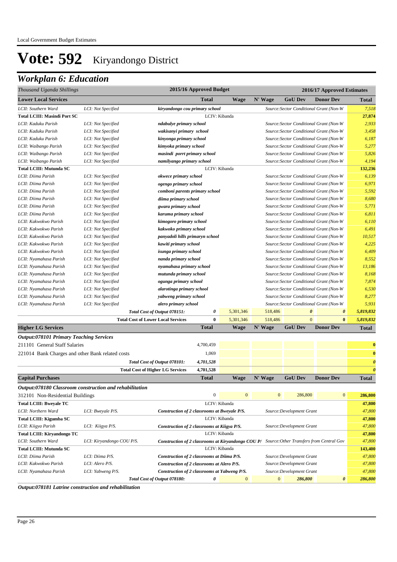## *Workplan 6: Education*

| Thousand Uganda Shillings                               |                           |                                                                                                    | 2015/16 Approved Budget |               |              |                           | 2016/17 Approved Estimates              |                       |
|---------------------------------------------------------|---------------------------|----------------------------------------------------------------------------------------------------|-------------------------|---------------|--------------|---------------------------|-----------------------------------------|-----------------------|
| <b>Lower Local Services</b>                             |                           |                                                                                                    | Total                   | Wage          | N' Wage      | <b>GoU Dev</b>            | <b>Donor Dev</b>                        | Total                 |
| LCII: Southern Ward                                     | LCI: Not Specified        | kiryandongo cou primary school                                                                     |                         |               |              |                           | Source: Sector Conditional Grant (Non-W | 7,518                 |
| <b>Total LCIII: Masindi Port SC</b>                     |                           |                                                                                                    |                         | LCIV: Kibanda |              |                           |                                         | 27,874                |
| LCII: Kaduku Parish                                     | LCI: Not Specified        | ndabulye primary school                                                                            |                         |               |              |                           | Source: Sector Conditional Grant (Non-W | 2,933                 |
| LCII: Kaduku Parish                                     | LCI: Not Specified        | wakisanyi primary school                                                                           |                         |               |              |                           | Source: Sector Conditional Grant (Non-W | 3,458                 |
| LCII: Kaduku Parish                                     | LCI: Not Specified        | kinyonga primary school                                                                            |                         |               |              |                           | Source: Sector Conditional Grant (Non-W | 6,187                 |
| LCII: Waibango Parish                                   | LCI: Not Specified        | kimyoka primary school                                                                             |                         |               |              |                           | Source: Sector Conditional Grant (Non-W | 5,277                 |
| LCII: Waibango Parish                                   | LCI: Not Specified        | masindi porrt primary school                                                                       |                         |               |              |                           | Source: Sector Conditional Grant (Non-W | 5,826                 |
| LCII: Waibango Parish                                   | LCI: Not Specified        | namilyango primary school                                                                          |                         |               |              |                           | Source: Sector Conditional Grant (Non-W | 4,194                 |
| <b>Total LCIII: Mutunda SC</b>                          |                           |                                                                                                    |                         | LCIV: Kibanda |              |                           |                                         | 132,236               |
| LCII: Diima Parish                                      | LCI: Not Specified        | okwece primary school                                                                              |                         |               |              |                           | Source: Sector Conditional Grant (Non-W | 6,139                 |
| LCII: Diima Parish                                      | LCI: Not Specified        | ogengo primary school                                                                              |                         |               |              |                           | Source: Sector Conditional Grant (Non-W | 6,971                 |
| LCII: Diima Parish                                      | LCI: Not Specified        | comboni parents primary school                                                                     |                         |               |              |                           | Source: Sector Conditional Grant (Non-W | 5,592                 |
| LCII: Diima Parish                                      | LCI: Not Specified        | diima primary school                                                                               |                         |               |              |                           | Source: Sector Conditional Grant (Non-W | 8,680                 |
| LCII: Diima Parish                                      | LCI: Not Specified        | gwara primary school                                                                               |                         |               |              |                           | Source: Sector Conditional Grant (Non-W | 5,771                 |
| LCII: Diima Parish                                      | LCI: Not Specified        | karuma primary school                                                                              |                         |               |              |                           | Source: Sector Conditional Grant (Non-W | 6,811                 |
| LCII: Kakwokwo Parish                                   | LCI: Not Specified        | kimogoro primary school                                                                            |                         |               |              |                           | Source: Sector Conditional Grant (Non-W | 6,110                 |
| LCII: Kakwokwo Parish                                   | LCI: Not Specified        | kakwoko primary school                                                                             |                         |               |              |                           | Source: Sector Conditional Grant (Non-W | 6,491                 |
| LCII: Kakwokwo Parish                                   | LCI: Not Specified        | panyadoli hills primaryn school                                                                    |                         |               |              |                           | Source: Sector Conditional Grant (Non-W | 10,517                |
| LCII: Kakwokwo Parish                                   | LCI: Not Specified        | kawiti primary school                                                                              |                         |               |              |                           | Source: Sector Conditional Grant (Non-W | 4,225                 |
| LCII: Kakwokwo Parish                                   | LCI: Not Specified        | isunga primary school                                                                              |                         |               |              |                           | Source: Sector Conditional Grant (Non-W | 6,409                 |
| LCII: Nyamahasa Parish                                  | LCI: Not Specified        | nanda primary school                                                                               |                         |               |              |                           | Source: Sector Conditional Grant (Non-W | 8,552                 |
| LCII: Nyamahasa Parish                                  | LCI: Not Specified        | nyamahasa primary school                                                                           |                         |               |              |                           | Source: Sector Conditional Grant (Non-W | 13,186                |
| LCII: Nyamahasa Parish                                  | LCI: Not Specified        | mutunda primary school                                                                             |                         |               |              |                           | Source: Sector Conditional Grant (Non-W | 8,168                 |
| LCII: Nyamahasa Parish                                  | LCI: Not Specified        | ogunga primary school                                                                              |                         |               |              |                           | Source: Sector Conditional Grant (Non-W | 7,874                 |
| LCII: Nyamahasa Parish                                  | LCI: Not Specified        | alarotinga primary school                                                                          |                         |               |              |                           | Source: Sector Conditional Grant (Non-W | 6,530                 |
| LCII: Nyamahasa Parish                                  | LCI: Not Specified        | yabweng primary school                                                                             |                         |               |              |                           | Source: Sector Conditional Grant (Non-W | 8,277                 |
| LCII: Nyamahasa Parish                                  | LCI: Not Specified        | alero primary school                                                                               |                         |               |              |                           | Source: Sector Conditional Grant (Non-W | 5,931                 |
|                                                         |                           | Total Cost of Output 078151:                                                                       | 0                       | 5,301,346     | 518,486      | $\boldsymbol{\theta}$     | $\boldsymbol{\theta}$                   | 5,819,832             |
|                                                         |                           | <b>Total Cost of Lower Local Services</b>                                                          | $\bf{0}$                | 5,301,346     | 518,486      | $\mathbf{0}$              | $\bf{0}$                                | 5,819,832             |
| <b>Higher LG Services</b>                               |                           |                                                                                                    | <b>Total</b>            | <b>Wage</b>   | N' Wage      | <b>GoU Dev</b>            | <b>Donor Dev</b>                        | <b>Total</b>          |
| <b>Output:078101 Primary Teaching Services</b>          |                           |                                                                                                    |                         |               |              |                           |                                         |                       |
| 211101 General Staff Salaries                           |                           |                                                                                                    | 4,700,459               |               |              |                           |                                         | $\mathbf 0$           |
|                                                         |                           |                                                                                                    | 1,069                   |               |              |                           |                                         | $\mathbf 0$           |
| 221014 Bank Charges and other Bank related costs        |                           |                                                                                                    |                         |               |              |                           |                                         |                       |
|                                                         |                           | Total Cost of Output 078101:                                                                       | 4,701,528               |               |              |                           |                                         | $\boldsymbol{\theta}$ |
|                                                         |                           | <b>Total Cost of Higher LG Services</b>                                                            | 4,701,528               |               |              |                           |                                         | $\overline{a}$        |
| <b>Capital Purchases</b>                                |                           |                                                                                                    | <b>Total</b>            | <b>Wage</b>   | N' Wage      | <b>GoU Dev</b>            | <b>Donor Dev</b>                        | <b>Total</b>          |
| Output:078180 Classroom construction and rehabilitation |                           |                                                                                                    |                         |               |              |                           |                                         |                       |
| 312101 Non-Residential Buildings                        |                           |                                                                                                    | $\boldsymbol{0}$        | $\bf{0}$      | $\mathbf{0}$ | 286,800                   | $\mathbf{0}$                            | 286,800               |
| <b>Total LCIII: Bweyale TC</b>                          |                           |                                                                                                    |                         | LCIV: Kibanda |              |                           |                                         | 47,800                |
| LCII: Northern Ward                                     | LCI: Bweyale P/S.         | Construction of 2 classrooms at Bweyale P/S.                                                       |                         |               |              | Source: Development Grant |                                         | 47,800                |
| Total LCIII: Kigumba SC                                 |                           |                                                                                                    |                         | LCIV: Kibanda |              |                           |                                         | 47,800                |
| LCII: Kiigya Parish                                     | LCI: Kiigya P/S.          | Construction of 2 classrooms at Kiigya P/S.                                                        |                         |               |              | Source: Development Grant |                                         | 47,800                |
| Total LCIII: Kiryandongo TC                             |                           |                                                                                                    |                         | LCIV: Kibanda |              |                           |                                         | 47,800                |
| LCII: Southern Ward                                     | LCI: Kiryandongo COU P/S. | <b>Construction of 2 classrooms at Kiryandongo COU P/</b> Source: Other Transfers from Central Gov |                         |               |              |                           |                                         | 47,800                |
| <b>Total LCIII: Mutunda SC</b>                          |                           |                                                                                                    |                         | LCIV: Kibanda |              |                           |                                         | 143,400               |
| LCII: Diima Parish                                      | LCI: Diima P/S.           | Construction of 2 classrooms at Diima P/S.                                                         |                         |               |              | Source: Development Grant |                                         | 47,800                |
| LCII: Kakwokwo Parish                                   | LCI: Alero P/S.           | Construction of 2 classrooms at Alero P/S.                                                         |                         |               |              | Source: Development Grant |                                         | 47,800                |
| LCII: Nyamahasa Parish                                  | LCI: Yabweng P/S.         | Construction of 2 classrooms at Yabweng P/S.                                                       |                         |               |              | Source: Development Grant |                                         | 47,800                |
|                                                         |                           | Total Cost of Output 078180:                                                                       | 0                       | $\mathbf{0}$  | $\mathbf{0}$ | 286,800                   | $\boldsymbol{\theta}$                   | 286,800               |

*Output:078181 Latrine construction and rehabilitation*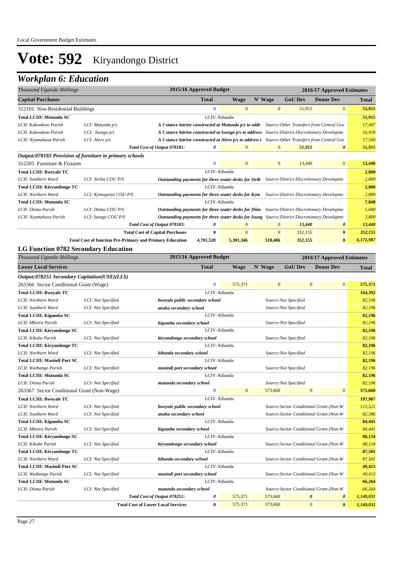| Thousand Uganda Shillings                               |                                                                 |                                                                                                      | 2015/16 Approved Budget |                                                              |                  |                                          | 2016/17 Approved Estimates |              |
|---------------------------------------------------------|-----------------------------------------------------------------|------------------------------------------------------------------------------------------------------|-------------------------|--------------------------------------------------------------|------------------|------------------------------------------|----------------------------|--------------|
| <b>Capital Purchases</b>                                |                                                                 |                                                                                                      | <b>Total</b>            | N' Wage<br><b>GoU Dev</b><br><b>Donor Dev</b><br><b>Wage</b> |                  |                                          |                            |              |
| 312101 Non-Residential Buildings                        |                                                                 |                                                                                                      | $\boldsymbol{0}$        | $\bf{0}$                                                     | $\boldsymbol{0}$ | 51,915                                   | $\boldsymbol{0}$           | 51,915       |
| <b>Total LCIII: Mutunda SC</b>                          |                                                                 |                                                                                                      |                         | LCIV: Kibanda                                                |                  |                                          |                            | 51,915       |
| LCII: Kakwokwo Parish                                   | LCI: Mutunda p/s                                                | A 5 stance latrine constructed at Mutunda p/s to addr Source: Other Transfers from Central Gov       |                         |                                                              |                  |                                          |                            | 17,497       |
| LCII: Kakwokwo Parish                                   | LCI: Isunga p/s                                                 | A 5 stance latrine constructed at Isunga p/s to address Source: District Discretionary Developme     |                         |                                                              |                  |                                          |                            | 16,918       |
| LCII: Nyamahasa Parish                                  | LCI: Alero p/s                                                  | A 5 stance latrine constructed at Alero p/s to address t Source: Other Transfers from Central Gov    |                         |                                                              |                  |                                          |                            | 17,500       |
|                                                         |                                                                 | Total Cost of Output 078181:                                                                         | 0                       | $\mathbf{0}$                                                 | $\mathbf{0}$     | 51,915                                   | 0                          | 51,915       |
| Output:078183 Provision of furniture to primary schools |                                                                 |                                                                                                      |                         |                                                              |                  |                                          |                            |              |
| 312203 Furniture & Fixtures                             |                                                                 |                                                                                                      | $\boldsymbol{0}$        | $\mathbf{0}$                                                 | $\mathbf{0}$     | 13,440                                   | $\mathbf{0}$               | 13,440       |
| <b>Total LCIII: Bweyale TC</b>                          |                                                                 |                                                                                                      |                         | LCIV: Kibanda                                                |                  |                                          |                            | 2,800        |
| LCII: Southern Ward                                     | LCI: Siriba COU P/S                                             | Outstanding payments for three seater desks for Sirib                                                |                         |                                                              |                  | Source: District Discretionary Developme |                            | 2,800        |
| Total LCIII: Kiryandongo TC                             |                                                                 |                                                                                                      |                         | LCIV: Kibanda                                                |                  |                                          |                            | 2,800        |
| LCII: Northern Ward                                     | LCI: Kymugenyi COU P/S                                          | Outstanding payments for three seater desks for Kym                                                  |                         |                                                              |                  | Source: District Discretionary Developme |                            | 2,800        |
| <b>Total LCIII: Mutunda SC</b>                          |                                                                 |                                                                                                      |                         | LCIV: Kibanda                                                |                  |                                          |                            | 7,840        |
| LCII: Diima Parish                                      | LCI: Diima COU P/S                                              | <b>Outstanding payments for three seater desks for Diim</b> Source: District Discretionary Developme |                         |                                                              |                  |                                          |                            | 5,040        |
| LCII: Nyamahasa Parish                                  | LCI: Isunga COU P/S                                             | Outstanding payments for three seater desks for Isung Source: District Discretionary Developme       |                         |                                                              |                  |                                          |                            | 2,800        |
|                                                         |                                                                 | Total Cost of Output 078183:                                                                         | 0                       | $\mathbf{0}$                                                 | $\mathbf{0}$     | 13,440                                   | 0                          | 13,440       |
|                                                         |                                                                 | <b>Total Cost of Capital Purchases</b>                                                               | 0                       | $\mathbf{0}$                                                 | $\mathbf{0}$     | 352,155                                  | $\bf{0}$                   | 352,155      |
|                                                         | <b>Total Cost of function Pre-Primary and Primary Education</b> |                                                                                                      | 4,701,528               | 5,301,346                                                    | 518,486          | 352,155                                  | $\bf{0}$                   | 6,171,987    |
| <b>LG Function 0782 Secondary Education</b>             |                                                                 |                                                                                                      |                         |                                                              |                  |                                          |                            |              |
| Thousand Uganda Shillings                               |                                                                 |                                                                                                      | 2015/16 Approved Budget |                                                              |                  |                                          | 2016/17 Approved Estimates |              |
| <b>Lower Local Services</b>                             |                                                                 |                                                                                                      | <b>Total</b>            | <b>Wage</b>                                                  | N' Wage          | <b>GoU Dev</b>                           | <b>Donor Dev</b>           | <b>Total</b> |
| Output:078251 Secondary Capitation(USE)(LLS)            |                                                                 |                                                                                                      |                         |                                                              |                  |                                          |                            |              |
| 263366 Sector Conditional Grant (Wage)                  |                                                                 |                                                                                                      | $\boldsymbol{0}$        | 575,371                                                      | $\mathbf{0}$     | $\mathbf{0}$                             | $\boldsymbol{0}$           | 575,371      |
| <b>Total LCIII: Bweyale TC</b>                          |                                                                 |                                                                                                      |                         | LCIV: Kibanda                                                |                  |                                          |                            | 164,392      |
| LCII: Northern Ward                                     | LCI: Not Specified                                              | bweyale public secondary school                                                                      |                         |                                                              |                  | Source:Not Specified                     |                            | 82,196       |
| LCII: Southern Ward                                     | LCI: Not Specified                                              | anaka secondary school                                                                               |                         |                                                              |                  | Source:Not Specified                     |                            | 82,196       |
| Total LCIII: Kigumba SC                                 |                                                                 |                                                                                                      |                         | LCIV: Kibanda                                                |                  |                                          |                            | 82,196       |
| LCII: Mboira Parish                                     | LCI: Not Specified                                              | kigumba secondary school                                                                             |                         |                                                              |                  | Source:Not Specified                     |                            | 82,196       |
| Total LCIII: Kiryandongo SC                             |                                                                 |                                                                                                      |                         | LCIV: Kibanda                                                |                  |                                          |                            | 82,196       |
| LCII: Kikube Parish                                     | LCI: Not Specified                                              | kiryandongo secondary school                                                                         |                         |                                                              |                  | Source:Not Specified                     |                            | 82,196       |
| <b>Total LCIII: Kiryandongo TC</b>                      |                                                                 |                                                                                                      |                         | LCIV: Kibanda                                                |                  |                                          |                            | 82,196       |
| LCII: Northern Ward                                     | LCI: Not Specified                                              | kibanda secondary school                                                                             |                         |                                                              |                  | Source:Not Specified                     |                            | 82,196       |
| <b>Total LCIII: Masindi Port SC</b>                     |                                                                 |                                                                                                      |                         | LCIV: Kibanda                                                |                  |                                          |                            | 82,196       |
| LCII: Waibango Parish                                   | LCI: Not Specified                                              | masindi port secondary school                                                                        |                         |                                                              |                  | Source:Not Specified                     |                            | 82,196       |
| Total LCIII: Mutunda SC                                 |                                                                 |                                                                                                      |                         | LCIV: Kibanda                                                |                  |                                          |                            | 82,196       |
| LCII: Diima Parish                                      | LCI: Not Specified                                              | mutunda secondary school                                                                             |                         |                                                              |                  | Source:Not Specified                     |                            | 82,196       |
| 263367 Sector Conditional Grant (Non-Wage)              |                                                                 |                                                                                                      | $\boldsymbol{0}$        | $\mathbf{0}$                                                 | 573,660          | $\mathbf{0}$                             | $\boldsymbol{0}$           | 573,660      |
| <b>Total LCIII: Bweyale TC</b>                          |                                                                 |                                                                                                      |                         | LCIV: Kibanda                                                |                  |                                          |                            | 197,907      |
| LCII: Northern Ward                                     | LCI: Not Specified                                              | bweyale public secondary school                                                                      |                         |                                                              |                  | Source: Sector Conditional Grant (Non-W  |                            | 115,521      |
| LCII: Southern Ward                                     | LCI: Not Specified                                              | anaka secondary school                                                                               |                         |                                                              |                  | Source: Sector Conditional Grant (Non-W  |                            | 82,386       |
| Total LCIII: Kigumba SC                                 |                                                                 |                                                                                                      |                         | LCIV: Kibanda                                                |                  |                                          |                            | 84,441       |
| LCII: Mboira Parish                                     | LCI: Not Specified                                              | kigumba secondary school                                                                             |                         |                                                              |                  | Source: Sector Conditional Grant (Non-W  |                            | 84,441       |
| Total LCIII: Kiryandongo SC                             |                                                                 |                                                                                                      |                         | LCIV: Kibanda                                                |                  |                                          |                            | 88,134       |
| LCII: Kikube Parish                                     | LCI: Not Specified                                              | kiryandongo secondary school                                                                         |                         |                                                              |                  | Source: Sector Conditional Grant (Non-W  |                            | 88,134       |
| Total LCIII: Kiryandongo TC                             |                                                                 |                                                                                                      |                         | LCIV: Kibanda                                                |                  |                                          |                            | 87,501       |
| LCII: Northern Ward                                     | LCI: Not Specified                                              | kibanda secondary school                                                                             |                         |                                                              |                  | Source: Sector Conditional Grant (Non-W  |                            | 87,501       |
| <b>Total LCIII: Masindi Port SC</b>                     |                                                                 |                                                                                                      |                         | LCIV: Kibanda                                                |                  |                                          |                            | 49,413       |
| LCII: Waibango Parish                                   | LCI: Not Specified                                              | masindi port secondary school                                                                        |                         |                                                              |                  | Source: Sector Conditional Grant (Non-W  |                            | 49,413       |
| <b>Total LCIII: Mutunda SC</b>                          |                                                                 |                                                                                                      |                         | LCIV: Kibanda                                                |                  |                                          |                            | 66,264       |
| LCII: Diima Parish                                      | LCI: Not Specified                                              | mutunda secondary school                                                                             |                         |                                                              |                  | Source: Sector Conditional Grant (Non-W  |                            | 66,264       |
|                                                         |                                                                 | Total Cost of Output 078251:                                                                         | 0                       | 575,371                                                      | 573,660          | $\boldsymbol{\theta}$                    | 0                          | 1,149,031    |
|                                                         |                                                                 | <b>Total Cost of Lower Local Services</b>                                                            | $\bf{0}$                | 575,371                                                      | 573,660          | $\mathbf{0}$                             | $\bf{0}$                   | 1,149,031    |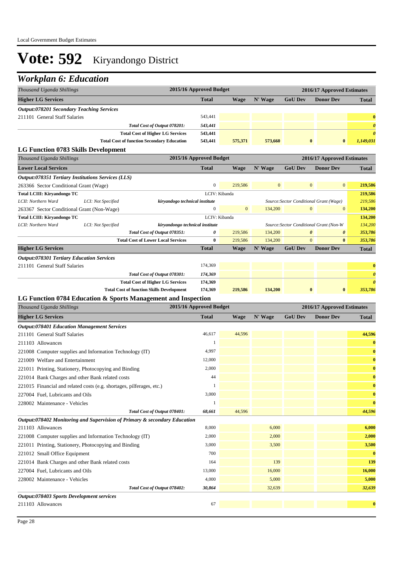| Thousand Uganda Shillings                                                 |                                                   | 2015/16 Approved Budget |              |              |                | 2016/17 Approved Estimates              |                       |
|---------------------------------------------------------------------------|---------------------------------------------------|-------------------------|--------------|--------------|----------------|-----------------------------------------|-----------------------|
| <b>Higher LG Services</b>                                                 |                                                   | <b>Total</b>            | Wage         | N' Wage      | <b>GoU Dev</b> | <b>Donor Dev</b>                        | <b>Total</b>          |
| <b>Output:078201 Secondary Teaching Services</b>                          |                                                   |                         |              |              |                |                                         |                       |
| 211101 General Staff Salaries                                             |                                                   | 543,441                 |              |              |                |                                         | $\bf{0}$              |
|                                                                           | Total Cost of Output 078201:                      | 543,441                 |              |              |                |                                         | $\boldsymbol{\theta}$ |
|                                                                           | <b>Total Cost of Higher LG Services</b>           | 543,441                 |              |              |                |                                         | $\boldsymbol{\theta}$ |
|                                                                           | <b>Total Cost of function Secondary Education</b> | 543,441                 | 575,371      | 573,660      |                | $\bf{0}$<br>$\bf{0}$                    | 1,149,031             |
| LG Function 0783 Skills Development                                       |                                                   |                         |              |              |                |                                         |                       |
| Thousand Uganda Shillings                                                 |                                                   | 2015/16 Approved Budget |              |              |                | 2016/17 Approved Estimates              |                       |
| <b>Lower Local Services</b>                                               |                                                   | <b>Total</b>            | <b>Wage</b>  | N' Wage      | <b>GoU Dev</b> | <b>Donor Dev</b>                        | <b>Total</b>          |
| Output:078351 Tertiary Institutions Services (LLS)                        |                                                   |                         |              |              |                |                                         |                       |
| 263366 Sector Conditional Grant (Wage)                                    |                                                   | $\boldsymbol{0}$        | 219,586      | $\mathbf{0}$ |                | $\boldsymbol{0}$<br>$\mathbf{0}$        | 219,586               |
| Total LCIII: Kiryandongo TC                                               |                                                   | LCIV: Kibanda           |              |              |                |                                         | 219,586               |
| LCII: Northern Ward<br>LCI: Not Specified                                 | kiryandogo technical institute                    |                         |              |              |                | Source: Sector Conditional Grant (Wage) | 219,586               |
| 263367 Sector Conditional Grant (Non-Wage)                                |                                                   | $\boldsymbol{0}$        | $\mathbf{0}$ | 134,200      |                | $\mathbf{0}$<br>$\mathbf{0}$            | 134,200               |
| Total LCIII: Kiryandongo TC<br>LCII: Northern Ward<br>LCI: Not Specified  | kiryandongo technical institute                   | LCIV: Kibanda           |              |              |                | Source: Sector Conditional Grant (Non-W | 134,200<br>134,200    |
|                                                                           | Total Cost of Output 078351:                      | 0                       | 219,586      | 134,200      |                | $\boldsymbol{\theta}$<br>0              | 353,786               |
|                                                                           | <b>Total Cost of Lower Local Services</b>         | $\bf{0}$                | 219,586      | 134,200      |                | $\overline{0}$<br>$\bf{0}$              | 353,786               |
| <b>Higher LG Services</b>                                                 |                                                   | <b>Total</b>            | <b>Wage</b>  | N' Wage      | <b>GoU Dev</b> | <b>Donor Dev</b>                        | Total                 |
| <b>Output:078301 Tertiary Education Services</b>                          |                                                   |                         |              |              |                |                                         |                       |
| 211101 General Staff Salaries                                             |                                                   | 174,369                 |              |              |                |                                         | $\bf{0}$              |
|                                                                           | Total Cost of Output 078301:                      | 174,369                 |              |              |                |                                         | $\boldsymbol{\theta}$ |
|                                                                           | <b>Total Cost of Higher LG Services</b>           | 174,369                 |              |              |                |                                         | $\boldsymbol{\theta}$ |
|                                                                           | <b>Total Cost of function Skills Development</b>  | 174,369                 | 219,586      | 134,200      |                | $\bf{0}$<br>$\bf{0}$                    | 353,786               |
| LG Function 0784 Education & Sports Management and Inspection             |                                                   |                         |              |              |                |                                         |                       |
| Thousand Uganda Shillings                                                 |                                                   | 2015/16 Approved Budget |              |              |                | 2016/17 Approved Estimates              |                       |
| <b>Higher LG Services</b>                                                 |                                                   | <b>Total</b>            | <b>Wage</b>  | N' Wage      | <b>GoU Dev</b> | <b>Donor Dev</b>                        | <b>Total</b>          |
| <b>Output:078401 Education Management Services</b>                        |                                                   |                         |              |              |                |                                         |                       |
| 211101 General Staff Salaries                                             |                                                   | 46,617                  | 44,596       |              |                |                                         | 44,596                |
| 211103 Allowances                                                         |                                                   |                         |              |              |                |                                         | $\bf{0}$              |
| 221008 Computer supplies and Information Technology (IT)                  |                                                   | 4,997                   |              |              |                |                                         | $\bf{0}$              |
| 221009 Welfare and Entertainment                                          |                                                   | 12,000                  |              |              |                |                                         | $\bf{0}$              |
| 221011 Printing, Stationery, Photocopying and Binding                     |                                                   | 2,000                   |              |              |                |                                         | $\bf{0}$              |
| 221014 Bank Charges and other Bank related costs                          |                                                   | 44                      |              |              |                |                                         | $\bf{0}$              |
| 221015 Financial and related costs (e.g. shortages, pilferages, etc.)     |                                                   |                         |              |              |                |                                         | $\bf{0}$              |
| 227004 Fuel, Lubricants and Oils                                          |                                                   | 3,000                   |              |              |                |                                         | $\bf{0}$              |
| 228002 Maintenance - Vehicles                                             |                                                   |                         |              |              |                |                                         | $\bf{0}$              |
|                                                                           | Total Cost of Output 078401:                      | 68,661                  | 44,596       |              |                |                                         | 44,596                |
| Output:078402 Monitoring and Supervision of Primary & secondary Education |                                                   |                         |              |              |                |                                         |                       |
| 211103 Allowances                                                         |                                                   | 8,000                   |              | 6,000        |                |                                         | 6,000                 |
| 221008 Computer supplies and Information Technology (IT)                  |                                                   | 2,000                   |              | 2,000        |                |                                         | 2,000                 |
| 221011 Printing, Stationery, Photocopying and Binding                     |                                                   | 3,000                   |              | 3,500        |                |                                         | 3,500                 |
| 221012 Small Office Equipment                                             |                                                   | 700                     |              |              |                |                                         | $\bf{0}$              |
| 221014 Bank Charges and other Bank related costs                          |                                                   | 164                     |              | 139          |                |                                         | 139                   |
| 227004 Fuel, Lubricants and Oils                                          |                                                   | 13,000                  |              | 16,000       |                |                                         | 16,000                |
| 228002 Maintenance - Vehicles                                             |                                                   | 4,000                   |              | 5,000        |                |                                         | 5,000                 |
|                                                                           | Total Cost of Output 078402:                      | 30,864                  |              | 32,639       |                |                                         | 32,639                |
| Output:078403 Sports Development services                                 |                                                   |                         |              |              |                |                                         |                       |
|                                                                           |                                                   | 67                      |              |              |                |                                         | $\bf{0}$              |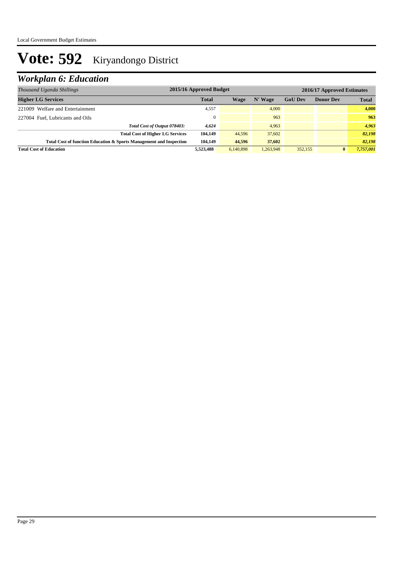| Thousand Uganda Shillings                                           | 2015/16 Approved Budget<br>2016/17 Approved Estimates |           |           |                |                  |              |  |
|---------------------------------------------------------------------|-------------------------------------------------------|-----------|-----------|----------------|------------------|--------------|--|
| <b>Higher LG Services</b>                                           | <b>Total</b>                                          | Wage      | N' Wage   | <b>GoU Dev</b> | <b>Donor Dev</b> | <b>Total</b> |  |
| 221009 Welfare and Entertainment                                    | 4,557                                                 |           | 4.000     |                |                  | 4,000        |  |
| 227004 Fuel, Lubricants and Oils                                    | $\mathbf{0}$                                          |           | 963       |                |                  | 963          |  |
| Total Cost of Output 078403:                                        | 4,624                                                 |           | 4.963     |                |                  | 4,963        |  |
| <b>Total Cost of Higher LG Services</b>                             | 104.149                                               | 44,596    | 37,602    |                |                  | 82,198       |  |
| Total Cost of function Education & Sports Management and Inspection | 104.149                                               | 44,596    | 37,602    |                |                  | 82,198       |  |
| <b>Total Cost of Education</b>                                      | 5,523,488                                             | 6.140.898 | 1.263.948 | 352,155        | $\bf{0}$         | 7.757.001    |  |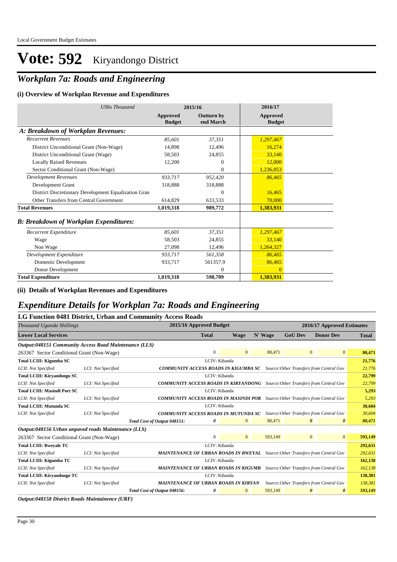## *Workplan 7a: Roads and Engineering*

#### **(i) Overview of Workplan Revenue and Expenditures**

| <b>UShs Thousand</b>                                 |                           | 2015/16                 | 2016/17                   |
|------------------------------------------------------|---------------------------|-------------------------|---------------------------|
|                                                      | Approved<br><b>Budget</b> | Outturn by<br>end March | Approved<br><b>Budget</b> |
| A: Breakdown of Workplan Revenues:                   |                           |                         |                           |
| <b>Recurrent Revenues</b>                            | 85,601                    | 37,351                  | 1,297,467                 |
| District Unconditional Grant (Non-Wage)              | 14,898                    | 12,496                  | 16,274                    |
| District Unconditional Grant (Wage)                  | 58,503                    | 24,855                  | 33,140                    |
| <b>Locally Raised Revenues</b>                       | 12,200                    | $\Omega$                | 12,000                    |
| Sector Conditional Grant (Non-Wage)                  |                           | $\mathbf{0}$            | 1,236,053                 |
| <b>Development Revenues</b>                          | 933,717                   | 952,420                 | 86,465                    |
| Development Grant                                    | 318,888                   | 318,888                 |                           |
| District Discretionary Development Equalization Gran |                           | $\Omega$                | 16,465                    |
| Other Transfers from Central Government              | 614,829                   | 633.533                 | 70,000                    |
| <b>Total Revenues</b>                                | 1,019,318                 | 989,772                 | 1,383,931                 |
| <b>B: Breakdown of Workplan Expenditures:</b>        |                           |                         |                           |
| Recurrent Expenditure                                | 85,601                    | 37,351                  | 1,297,467                 |
| Wage                                                 | 58,503                    | 24,855                  | 33,140                    |
| Non Wage                                             | 27,098                    | 12,496                  | 1,264,327                 |
| Development Expenditure                              | 933,717                   | 561,358                 | 86,465                    |
| Domestic Development                                 | 933,717                   | 561357.9                | 86,465                    |
| Donor Development                                    |                           | $\theta$                | $\Omega$                  |
| <b>Total Expenditure</b>                             | 1,019,318                 | 598,709                 | 1,383,931                 |

**(ii) Details of Workplan Revenues and Expenditures**

#### *Expenditure Details for Workplan 7a: Roads and Engineering*

|                                                       |                    | LG Function 0481 District, Urban and Community Access Roads |                                                                                       |                |         |                |                                                                                      |              |  |  |
|-------------------------------------------------------|--------------------|-------------------------------------------------------------|---------------------------------------------------------------------------------------|----------------|---------|----------------|--------------------------------------------------------------------------------------|--------------|--|--|
| Thousand Uganda Shillings                             |                    |                                                             | 2015/16 Approved Budget                                                               |                |         |                | 2016/17 Approved Estimates                                                           |              |  |  |
| <b>Lower Local Services</b>                           |                    |                                                             | <b>Total</b>                                                                          | Wage           | N' Wage | <b>GoU Dev</b> | <b>Donor Dev</b>                                                                     | <b>Total</b> |  |  |
| Output:048151 Community Access Road Maintenance (LLS) |                    |                                                             |                                                                                       |                |         |                |                                                                                      |              |  |  |
| 263367 Sector Conditional Grant (Non-Wage)            |                    |                                                             | $\overline{0}$                                                                        | $\Omega$       | 80,471  |                | $\mathbf{0}$<br>$\mathbf{0}$                                                         | 80,471       |  |  |
| <b>Total LCIII: Kigumba SC</b>                        |                    |                                                             | LCIV: Kibanda                                                                         |                |         |                |                                                                                      | 21,776       |  |  |
| LCII: Not Specified                                   | LCI: Not Specified |                                                             |                                                                                       |                |         |                | <b>COMMUNITY ACCESS ROADS IN KIGUMBA SC</b> Source: Other Transfers from Central Gov | 21,776       |  |  |
| <b>Total LCIII: Kiryandongo SC</b>                    |                    |                                                             | LCIV: Kibanda                                                                         |                |         |                |                                                                                      | 22,799       |  |  |
| LCII: Not Specified                                   | LCI: Not Specified |                                                             | <b>COMMUNITY ACCESS ROADS IN KIRYANDONG</b> Source: Other Transfers from Central Gov  |                |         |                |                                                                                      |              |  |  |
| <b>Total LCIII: Masindi Port SC</b>                   |                    |                                                             | LCIV: Kibanda                                                                         |                |         |                |                                                                                      |              |  |  |
| LCII: Not Specified                                   | LCI: Not Specified |                                                             | <b>COMMUNITY ACCESS ROADS IN MASINDI POR</b> Source: Other Transfers from Central Gov |                |         |                |                                                                                      |              |  |  |
| <b>Total LCIII: Mutunda SC</b>                        |                    |                                                             | LCIV: Kibanda                                                                         |                |         |                |                                                                                      | 30,604       |  |  |
| LCII: Not Specified                                   | LCI: Not Specified | COMMUNITY ACCESS ROADS IN MUTUNDA SC                        |                                                                                       |                |         |                | Source: Other Transfers from Central Gov                                             | 30,604       |  |  |
|                                                       |                    | Total Cost of Output 048151:                                | 0                                                                                     | $\overline{0}$ | 80,471  |                | $\boldsymbol{\theta}$<br>$\boldsymbol{\theta}$                                       | 80,471       |  |  |
| Output:048156 Urban unpaved roads Maintenance (LLS)   |                    |                                                             |                                                                                       |                |         |                |                                                                                      |              |  |  |
| 263367 Sector Conditional Grant (Non-Wage)            |                    |                                                             | $\overline{0}$                                                                        | $\mathbf{0}$   | 593,149 |                | $\mathbf{0}$<br>$\overline{0}$                                                       | 593,149      |  |  |
| <b>Total LCIII: Bwevale TC</b>                        |                    |                                                             | LCIV: Kibanda                                                                         |                |         |                |                                                                                      | 292,631      |  |  |
| LCII: Not Specified                                   | LCI: Not Specified |                                                             |                                                                                       |                |         |                | <b>MAINTENANCE OF URBAN ROADS IN BWEYAL</b> Source: Other Transfers from Central Gov | 292,631      |  |  |
| Total LCIII: Kigumba TC                               |                    |                                                             | LCIV: Kibanda                                                                         |                |         |                |                                                                                      | 162,138      |  |  |
| LCII: Not Specified                                   | LCI: Not Specified | <b>MAINTENANCE OF URBAN ROADS IN KIGUMB</b>                 |                                                                                       |                |         |                | Source: Other Transfers from Central Gov                                             | 162,138      |  |  |
| Total LCIII: Kirvandongo TC                           |                    |                                                             | LCIV: Kibanda                                                                         |                |         |                |                                                                                      | 138,381      |  |  |
| LCII: Not Specified                                   | LCI: Not Specified | <b>MAINTENANCE OF URBAN ROADS IN KIRYAN</b>                 |                                                                                       |                |         |                | Source: Other Transfers from Central Gov                                             | 138,381      |  |  |
|                                                       |                    | Total Cost of Output 048156:                                | 0                                                                                     | $\mathbf{0}$   | 593,149 |                | $\boldsymbol{\theta}$<br>0                                                           | 593,149      |  |  |

*Output:048158 District Roads Maintainence (URF)*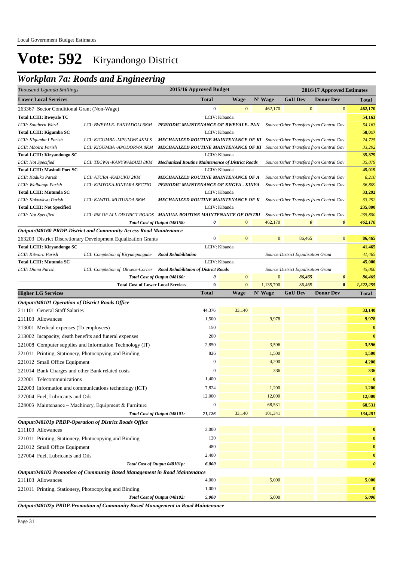### *Workplan 7a: Roads and Engineering*

| Thousand Uganda Shillings                                                       |                                                                           | 2015/16 Approved Budget                                                              |                  |                |           |                                     | 2016/17 Approved Estimates               |                       |                       |
|---------------------------------------------------------------------------------|---------------------------------------------------------------------------|--------------------------------------------------------------------------------------|------------------|----------------|-----------|-------------------------------------|------------------------------------------|-----------------------|-----------------------|
| <b>Lower Local Services</b>                                                     |                                                                           | <b>Total</b>                                                                         |                  | <b>Wage</b>    | N' Wage   | <b>GoU Dev</b>                      | <b>Donor Dev</b>                         |                       | <b>Total</b>          |
| 263367 Sector Conditional Grant (Non-Wage)                                      |                                                                           |                                                                                      | $\boldsymbol{0}$ | $\mathbf{0}$   | 462,170   |                                     | $\boldsymbol{0}$                         | $\mathbf{0}$          | 462,170               |
| <b>Total LCIII: Bweyale TC</b>                                                  |                                                                           |                                                                                      |                  | LCIV: Kibanda  |           |                                     |                                          |                       | 54,163                |
| LCII: Southern Ward                                                             | LCI: BWEYALE- PANYADOLI 6KM                                               | PERIODIC MAINTENANCE OF BWEYALE-PAN                                                  |                  |                |           |                                     | Source: Other Transfers from Central Gov |                       | 54,163                |
| Total LCIII: Kigumba SC                                                         |                                                                           |                                                                                      |                  | LCIV: Kibanda  |           |                                     |                                          |                       | 58,017                |
| LCII: Kigumba I Parish                                                          | LCI: KIGUMBA -MPUMWE 4KM S                                                | <b>MECHANIZED ROUTINE MAINTENANCE OF KI</b> Source: Other Transfers from Central Gov |                  |                |           |                                     |                                          |                       | 24,725                |
| LCII: Mboira Parish                                                             | LCI: KIGUMBA -APODORWA 8KM                                                | <b>MECHANIZED ROUTINE MAINTENANCE OF KI</b> Source: Other Transfers from Central Gov |                  |                |           |                                     |                                          |                       | 33,292                |
| <b>Total LCIII: Kiryandongo SC</b>                                              |                                                                           |                                                                                      |                  | LCIV: Kibanda  |           |                                     |                                          |                       | 35,879                |
| LCII: Not Specified                                                             | LCI: TECWA -KANYWAMAIZI 8KM                                               | <b>Mechanized Routine Maintenance of District Roads</b>                              |                  |                |           |                                     | Source: Other Transfers from Central Gov |                       | 35,879                |
| <b>Total LCIII: Masindi Port SC</b>                                             |                                                                           |                                                                                      |                  | LCIV: Kibanda  |           |                                     |                                          |                       | 45,019                |
| LCII: Kaduku Parish                                                             | LCI: ATURA -KADUKU 2KM                                                    | MECHANIZED ROUTINE MAINTENANCE OF A                                                  |                  |                |           |                                     | Source: Other Transfers from Central Gov |                       | 8,210                 |
| LCII: Waibango Parish                                                           | LCI: KIMYOKA-KINYARA SECTIO                                               | PERIODIC MAINTENANCE OF KIIGYA - KINYA                                               |                  |                |           |                                     | Source: Other Transfers from Central Gov |                       | 36,809                |
| <b>Total LCIII: Mutunda SC</b>                                                  |                                                                           |                                                                                      |                  | LCIV: Kibanda  |           |                                     |                                          |                       | 33,292                |
| LCII: Kakwokwo Parish                                                           | LCI: KAWITI- MUTUNDA 6KM                                                  | <b>MECHANIZED ROUTINE MAINTENANCE OF K</b> Source: Other Transfers from Central Gov  |                  | LCIV: Kibanda  |           |                                     |                                          |                       | 33,292<br>235,800     |
| <b>Total LCIII: Not Specified</b><br>LCII: Not Specified                        | LCI: RM OF ALL DISTRICT ROADS MANUAL ROUTINE MAINTENANCE OF DISTRI        |                                                                                      |                  |                |           |                                     | Source: Other Transfers from Central Gov |                       | 235,800               |
|                                                                                 |                                                                           | Total Cost of Output 048158:                                                         | 0                | $\mathbf{0}$   | 462,170   |                                     | 0                                        | $\boldsymbol{\theta}$ | 462,170               |
|                                                                                 | Output:048160 PRDP-District and Community Access Road Maintenance         |                                                                                      |                  |                |           |                                     |                                          |                       |                       |
|                                                                                 | 263203 District Discretionary Development Equalization Grants             |                                                                                      | $\boldsymbol{0}$ | $\mathbf{0}$   |           | $\mathbf{0}$<br>86,465              |                                          | $\mathbf{0}$          | 86,465                |
| Total LCIII: Kiryandongo SC                                                     |                                                                           |                                                                                      |                  | LCIV: Kibanda  |           |                                     |                                          |                       | 41,465                |
| LCII: Kitwara Parish                                                            | LCI: Completion of Kiryampungula-                                         | <b>Road Rehabilitation</b>                                                           |                  |                |           | Source: District Equalisation Grant |                                          |                       | 41,465                |
| <b>Total LCIII: Mutunda SC</b>                                                  |                                                                           |                                                                                      |                  | LCIV: Kibanda  |           |                                     |                                          |                       | 45,000                |
| LCII: Diima Parish                                                              | LCI: Completion of Okwece-Corner Road Rehabilitaion of District Roads     |                                                                                      |                  |                |           | Source: District Equalisation Grant |                                          |                       | 45,000                |
|                                                                                 |                                                                           | Total Cost of Output 048160:                                                         | 0                | $\mathbf{0}$   |           | $\mathbf{0}$<br>86,465              |                                          | $\boldsymbol{\theta}$ | 86,465                |
|                                                                                 | <b>Total Cost of Lower Local Services</b>                                 |                                                                                      | $\bf{0}$         | $\overline{0}$ | 1,135,790 | 86,465                              |                                          | $\bf{0}$              | 1,222,255             |
| <b>Higher LG Services</b>                                                       |                                                                           | <b>Total</b>                                                                         |                  | Wage           | N' Wage   | <b>GoU Dev</b>                      | <b>Donor Dev</b>                         |                       | <b>Total</b>          |
| <b>Output:048101 Operation of District Roads Office</b>                         |                                                                           |                                                                                      |                  |                |           |                                     |                                          |                       |                       |
| 211101 General Staff Salaries                                                   |                                                                           | 44,376                                                                               |                  | 33,140         |           |                                     |                                          |                       | 33,140                |
| 211103 Allowances                                                               |                                                                           | 1,500                                                                                |                  |                | 9,978     |                                     |                                          |                       | 9,978                 |
| 213001 Medical expenses (To employees)                                          |                                                                           |                                                                                      | 150              |                |           |                                     |                                          |                       | $\bf{0}$              |
| 213002 Incapacity, death benefits and funeral expenses                          |                                                                           |                                                                                      | 200              |                |           |                                     |                                          |                       | $\bf{0}$              |
|                                                                                 |                                                                           |                                                                                      | 2,850            |                | 3,596     |                                     |                                          |                       | 3,596                 |
|                                                                                 | 221008 Computer supplies and Information Technology (IT)                  |                                                                                      |                  |                |           |                                     |                                          |                       |                       |
| 221011 Printing, Stationery, Photocopying and Binding                           |                                                                           |                                                                                      | 826              |                | 1,500     |                                     |                                          |                       | 1,500                 |
| 221012 Small Office Equipment                                                   |                                                                           |                                                                                      | $\mathbf{0}$     |                | 4,200     |                                     |                                          |                       | 4,200                 |
| 221014 Bank Charges and other Bank related costs                                |                                                                           |                                                                                      | $\mathbf{0}$     |                | 336       |                                     |                                          |                       | 336                   |
| 222001 Telecommunications                                                       |                                                                           | 1,400                                                                                |                  |                |           |                                     |                                          |                       | $\bf{0}$              |
|                                                                                 | 222003 Information and communications technology (ICT)                    | 7,824                                                                                |                  |                | 1,200     |                                     |                                          |                       | 1,200                 |
| 227004 Fuel, Lubricants and Oils                                                |                                                                           | 12,000                                                                               |                  |                | 12,000    |                                     |                                          |                       | 12,000                |
|                                                                                 | 228003 Maintenance - Machinery, Equipment & Furniture                     |                                                                                      | $\boldsymbol{0}$ |                | 68,531    |                                     |                                          |                       | 68,531                |
|                                                                                 |                                                                           | Total Cost of Output 048101:<br>71,126                                               |                  | 33,140         | 101,341   |                                     |                                          |                       | 134,481               |
|                                                                                 | Output:048101p PRDP-Operation of District Roads Office                    |                                                                                      |                  |                |           |                                     |                                          |                       |                       |
| 211103 Allowances                                                               |                                                                           |                                                                                      | 3,000            |                |           |                                     |                                          |                       | $\bf{0}$              |
| 221011 Printing, Stationery, Photocopying and Binding                           |                                                                           |                                                                                      | 120              |                |           |                                     |                                          |                       | $\bf{0}$              |
| 221012 Small Office Equipment                                                   |                                                                           |                                                                                      | 480              |                |           |                                     |                                          |                       | $\bf{0}$              |
| 227004 Fuel, Lubricants and Oils                                                |                                                                           | 2,400                                                                                |                  |                |           |                                     |                                          |                       | $\bf{0}$              |
|                                                                                 |                                                                           | Total Cost of Output 048101p:                                                        | 6,000            |                |           |                                     |                                          |                       | $\boldsymbol{\theta}$ |
|                                                                                 | Output:048102 Promotion of Community Based Management in Road Maintenance |                                                                                      |                  |                |           |                                     |                                          |                       |                       |
| 211103 Allowances                                                               |                                                                           | 4,000                                                                                |                  |                | 5,000     |                                     |                                          |                       | 5,000                 |
|                                                                                 |                                                                           |                                                                                      | 1,000            |                |           |                                     |                                          |                       | $\bf{0}$              |
| 221011 Printing, Stationery, Photocopying and Binding                           |                                                                           |                                                                                      |                  |                | 5,000     |                                     |                                          |                       |                       |
| Output, 0.49102n DDDD Deemotion of Community Daved Management in Dood Maintenan |                                                                           | Total Cost of Output 048102:                                                         | 5,000            |                |           |                                     |                                          |                       | 5,000                 |

*Output:048102p PRDP-Promotion of Community Based Management in Road Maintenance*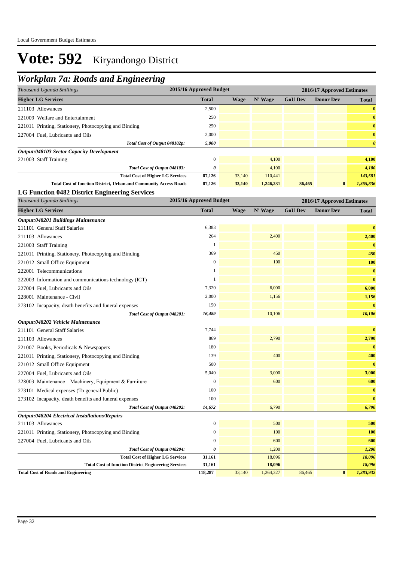## *Workplan 7a: Roads and Engineering*

| Thousand Uganda Shillings                                                                              | 2015/16 Approved Budget |             |                  |                | 2016/17 Approved Estimates |                       |
|--------------------------------------------------------------------------------------------------------|-------------------------|-------------|------------------|----------------|----------------------------|-----------------------|
| <b>Higher LG Services</b>                                                                              | <b>Total</b>            | Wage        | N' Wage          | <b>GoU Dev</b> | <b>Donor Dev</b>           | Total                 |
| 211103 Allowances                                                                                      | 2,500                   |             |                  |                |                            | $\bf{0}$              |
| 221009 Welfare and Entertainment                                                                       | 250                     |             |                  |                |                            | $\bf{0}$              |
| 221011 Printing, Stationery, Photocopying and Binding                                                  | 250                     |             |                  |                |                            | $\bf{0}$              |
| 227004 Fuel, Lubricants and Oils                                                                       | 2,000                   |             |                  |                |                            | $\bf{0}$              |
| Total Cost of Output 048102p:                                                                          | 5,000                   |             |                  |                |                            | $\boldsymbol{\theta}$ |
| Output:048103 Sector Capacity Development                                                              |                         |             |                  |                |                            |                       |
| 221003 Staff Training                                                                                  | $\boldsymbol{0}$        |             | 4,100            |                |                            | 4,100                 |
| Total Cost of Output 048103:                                                                           | 0                       |             | 4,100            |                |                            | 4,100                 |
| <b>Total Cost of Higher LG Services</b>                                                                | 87,126                  | 33,140      | 110,441          |                |                            | 143,581               |
| <b>Total Cost of function District, Urban and Community Access Roads</b>                               | 87,126                  | 33,140      | 1,246,231        | 86,465         | $\bf{0}$                   | 1,365,836             |
| <b>LG Function 0482 District Engineering Services</b>                                                  |                         |             |                  |                |                            |                       |
| Thousand Uganda Shillings                                                                              | 2015/16 Approved Budget |             |                  |                | 2016/17 Approved Estimates |                       |
| <b>Higher LG Services</b>                                                                              | <b>Total</b>            | <b>Wage</b> | N' Wage          | <b>GoU Dev</b> | <b>Donor Dev</b>           | <b>Total</b>          |
| <b>Output:048201 Buildings Maintenance</b>                                                             |                         |             |                  |                |                            |                       |
| 211101 General Staff Salaries                                                                          | 6,383                   |             |                  |                |                            | $\bf{0}$              |
| 211103 Allowances                                                                                      | 264                     |             | 2,400            |                |                            | 2,400                 |
| 221003 Staff Training                                                                                  | 1                       |             |                  |                |                            | $\bf{0}$              |
| 221011 Printing, Stationery, Photocopying and Binding                                                  | 369                     |             | 450              |                |                            | 450                   |
| 221012 Small Office Equipment                                                                          | $\mathbf{0}$            |             | 100              |                |                            | 100                   |
| 222001 Telecommunications                                                                              | 1                       |             |                  |                |                            | $\bf{0}$              |
| 222003 Information and communications technology (ICT)                                                 | 1                       |             |                  |                |                            | $\bf{0}$              |
| 227004 Fuel, Lubricants and Oils                                                                       | 7,320                   |             | 6,000            |                |                            | 6,000                 |
| 228001 Maintenance - Civil                                                                             | 2,000                   |             | 1,156            |                |                            | 1,156                 |
| 273102 Incapacity, death benefits and funeral expenses                                                 | 150                     |             |                  |                |                            | $\mathbf{0}$          |
| Total Cost of Output 048201:                                                                           | 16,489                  |             | 10,106           |                |                            | 10,106                |
| Output:048202 Vehicle Maintenance                                                                      |                         |             |                  |                |                            |                       |
| 211101 General Staff Salaries                                                                          | 7,744                   |             |                  |                |                            | $\bf{0}$              |
| 211103 Allowances                                                                                      | 869                     |             | 2,790            |                |                            | 2,790                 |
| 221007 Books, Periodicals & Newspapers                                                                 | 180                     |             |                  |                |                            | $\bf{0}$              |
| 221011 Printing, Stationery, Photocopying and Binding                                                  | 139                     |             | 400              |                |                            | 400                   |
| 221012 Small Office Equipment                                                                          | 500                     |             |                  |                |                            | $\bf{0}$              |
| 227004 Fuel, Lubricants and Oils                                                                       | 5,040                   |             | 3,000            |                |                            | 3,000                 |
| 228003 Maintenance – Machinery, Equipment & Furniture                                                  | $\mathbf{0}$            |             | 600              |                |                            | 600                   |
| 273101 Medical expenses (To general Public)                                                            | 100                     |             |                  |                |                            | $\bf{0}$              |
| 273102 Incapacity, death benefits and funeral expenses                                                 | 100                     |             |                  |                |                            | $\bf{0}$              |
| Total Cost of Output 048202:                                                                           | 14,672                  |             | 6,790            |                |                            | 6,790                 |
| Output:048204 Electrical Installations/Repairs                                                         |                         |             |                  |                |                            |                       |
| 211103 Allowances                                                                                      | 0                       |             | 500              |                |                            | 500                   |
| 221011 Printing, Stationery, Photocopying and Binding                                                  | $\boldsymbol{0}$        |             | 100              |                |                            | <b>100</b>            |
| 227004 Fuel, Lubricants and Oils                                                                       | 0                       |             | 600              |                |                            | 600                   |
| Total Cost of Output 048204:                                                                           | 0                       |             | 1,200            |                |                            | 1,200                 |
| <b>Total Cost of Higher LG Services</b><br><b>Total Cost of function District Engineering Services</b> | 31,161<br>31,161        |             | 18,096<br>18,096 |                |                            | 18,096<br>18,096      |
| <b>Total Cost of Roads and Engineering</b>                                                             | 118,287                 | 33,140      | 1,264,327        | 86,465         | $\bf{0}$                   | 1,383,932             |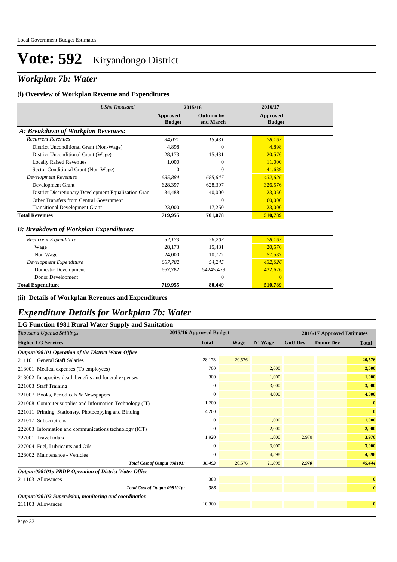### *Workplan 7b: Water*

#### **(i) Overview of Workplan Revenue and Expenditures**

| <b>UShs Thousand</b>                                 |                           | 2015/16                        | 2016/17                          |
|------------------------------------------------------|---------------------------|--------------------------------|----------------------------------|
|                                                      | Approved<br><b>Budget</b> | <b>Outturn by</b><br>end March | <b>Approved</b><br><b>Budget</b> |
| A: Breakdown of Workplan Revenues:                   |                           |                                |                                  |
| <b>Recurrent Revenues</b>                            | 34.071                    | 15.431                         | 78,163                           |
| District Unconditional Grant (Non-Wage)              | 4,898                     | $\mathbf{0}$                   | 4,898                            |
| District Unconditional Grant (Wage)                  | 28,173                    | 15,431                         | 20,576                           |
| <b>Locally Raised Revenues</b>                       | 1,000                     | $\overline{0}$                 | 11,000                           |
| Sector Conditional Grant (Non-Wage)                  | $\Omega$                  | $\Omega$                       | 41,689                           |
| <b>Development Revenues</b>                          | 685,884                   | 685,647                        | 432,626                          |
| Development Grant                                    | 628,397                   | 628,397                        | 326,576                          |
| District Discretionary Development Equalization Gran | 34,488                    | 40,000                         | 23,050                           |
| Other Transfers from Central Government              |                           | $\Omega$                       | 60,000                           |
| <b>Transitional Development Grant</b>                | 23,000                    | 17,250                         | 23,000                           |
| <b>Total Revenues</b>                                | 719,955                   | 701,078                        | 510,789                          |
| <b>B: Breakdown of Workplan Expenditures:</b>        |                           |                                |                                  |
| Recurrent Expenditure                                | 52,173                    | 26,203                         | 78,163                           |
| Wage                                                 | 28,173                    | 15,431                         | 20,576                           |
| Non Wage                                             | 24,000                    | 10,772                         | 57,587                           |
| Development Expenditure                              | 667,782                   | 54.245                         | 432,626                          |
| Domestic Development                                 | 667,782                   | 54245.479                      | 432,626                          |
| Donor Development                                    |                           | $\mathbf{0}$                   | $\Omega$                         |
| <b>Total Expenditure</b>                             | 719,955                   | 80,449                         | 510,789                          |

#### **(ii) Details of Workplan Revenues and Expenditures**

#### *Expenditure Details for Workplan 7b: Water*

#### **LG Function 0981 Rural Water Supply and Sanitation**

| T 1 - J<br>Thousand Uganda Shillings                     | 2015/16 Approved Budget |             |         | 2016/17 Approved Estimates |                  |                       |
|----------------------------------------------------------|-------------------------|-------------|---------|----------------------------|------------------|-----------------------|
| <b>Higher LG Services</b>                                | <b>Total</b>            | <b>Wage</b> | N' Wage | <b>GoU Dev</b>             | <b>Donor Dev</b> | <b>Total</b>          |
| Output:098101 Operation of the District Water Office     |                         |             |         |                            |                  |                       |
| 211101 General Staff Salaries                            | 28,173                  | 20,576      |         |                            |                  | 20,576                |
| 213001 Medical expenses (To employees)                   | 700                     |             | 2,000   |                            |                  | 2,000                 |
| 213002 Incapacity, death benefits and funeral expenses   | 300                     |             | 1,000   |                            |                  | 1,000                 |
| 221003 Staff Training                                    | 0                       |             | 3,000   |                            |                  | 3,000                 |
| 221007 Books, Periodicals & Newspapers                   | 0                       |             | 4,000   |                            |                  | 4,000                 |
| 221008 Computer supplies and Information Technology (IT) | 1,200                   |             |         |                            |                  | $\bf{0}$              |
| 221011 Printing, Stationery, Photocopying and Binding    | 4,200                   |             |         |                            |                  | $\bf{0}$              |
| 221017 Subscriptions                                     | 0                       |             | 1,000   |                            |                  | 1,000                 |
| 222003 Information and communications technology (ICT)   | 0                       |             | 2,000   |                            |                  | 2,000                 |
| 227001 Travel inland                                     | 1,920                   |             | 1,000   | 2,970                      |                  | 3,970                 |
| 227004 Fuel, Lubricants and Oils                         | 0                       |             | 3,000   |                            |                  | 3,000                 |
| 228002 Maintenance - Vehicles                            | 0                       |             | 4,898   |                            |                  | 4,898                 |
| Total Cost of Output 098101:                             | 36,493                  | 20,576      | 21,898  | 2,970                      |                  | 45,444                |
| Output:098101p PRDP-Operation of District Water Office   |                         |             |         |                            |                  |                       |
| 211103 Allowances                                        | 388                     |             |         |                            |                  | $\bf{0}$              |
| Total Cost of Output 098101p:                            | 388                     |             |         |                            |                  | $\boldsymbol{\theta}$ |
| Output:098102 Supervision, monitoring and coordination   |                         |             |         |                            |                  |                       |
| 211103 Allowances                                        | 10,360                  |             |         |                            |                  | $\bf{0}$              |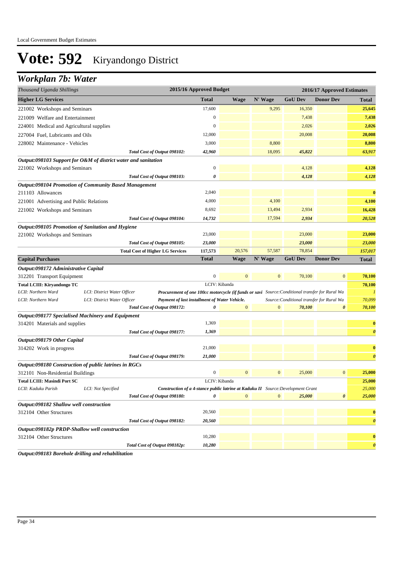## *Workplan 7b: Water*

| Thousand Uganda Shillings                             |                                                                | 2015/16 Approved Budget                                                                         |               |                |                | 2016/17 Approved Estimates                |                       |
|-------------------------------------------------------|----------------------------------------------------------------|-------------------------------------------------------------------------------------------------|---------------|----------------|----------------|-------------------------------------------|-----------------------|
| <b>Higher LG Services</b>                             |                                                                | <b>Total</b>                                                                                    | <b>Wage</b>   | N' Wage        | <b>GoU Dev</b> | <b>Donor Dev</b>                          | <b>Total</b>          |
| 221002 Workshops and Seminars                         |                                                                | 17,600                                                                                          |               | 9,295          | 16,350         |                                           | 25,645                |
| 221009 Welfare and Entertainment                      |                                                                | 0                                                                                               |               |                | 7,438          |                                           | 7,438                 |
| 224001 Medical and Agricultural supplies              |                                                                | $\boldsymbol{0}$                                                                                |               |                | 2,026          |                                           | 2,026                 |
| 227004 Fuel, Lubricants and Oils                      |                                                                | 12,000                                                                                          |               |                | 20,008         |                                           | 20,008                |
| 228002 Maintenance - Vehicles                         |                                                                | 3,000                                                                                           |               | 8,800          |                |                                           | 8,800                 |
|                                                       | Total Cost of Output 098102:                                   | 42,960                                                                                          |               | 18,095         | 45,822         |                                           | 63,917                |
|                                                       | Output:098103 Support for O&M of district water and sanitation |                                                                                                 |               |                |                |                                           |                       |
| 221002 Workshops and Seminars                         |                                                                | $\boldsymbol{0}$                                                                                |               |                | 4,128          |                                           | 4,128                 |
|                                                       | Total Cost of Output 098103:                                   | 0                                                                                               |               |                | 4,128          |                                           | 4,128                 |
|                                                       | Output:098104 Promotion of Community Based Management          |                                                                                                 |               |                |                |                                           |                       |
| 211103 Allowances                                     |                                                                | 2,040                                                                                           |               |                |                |                                           | $\bf{0}$              |
| 221001 Advertising and Public Relations               |                                                                | 4,000                                                                                           |               | 4,100          |                |                                           | 4,100                 |
| 221002 Workshops and Seminars                         |                                                                | 8,692                                                                                           |               | 13,494         | 2,934          |                                           | 16,428                |
|                                                       | Total Cost of Output 098104:                                   | 14,732                                                                                          |               | 17,594         | 2,934          |                                           | 20,528                |
| Output:098105 Promotion of Sanitation and Hygiene     |                                                                |                                                                                                 |               |                |                |                                           |                       |
| 221002 Workshops and Seminars                         |                                                                | 23,000                                                                                          |               |                | 23,000         |                                           | 23,000                |
|                                                       | Total Cost of Output 098105:                                   | 23,000                                                                                          |               |                | 23,000         |                                           | 23,000                |
|                                                       | <b>Total Cost of Higher LG Services</b>                        | 117,573                                                                                         | 20,576        | 57,587         | 78,854         |                                           | 157,017               |
| <b>Capital Purchases</b>                              |                                                                | <b>Total</b>                                                                                    | <b>Wage</b>   | N' Wage        | <b>GoU Dev</b> | <b>Donor Dev</b>                          | <b>Total</b>          |
| Output:098172 Administrative Capital                  |                                                                |                                                                                                 |               |                |                |                                           |                       |
| 312201 Transport Equipment                            |                                                                | $\boldsymbol{0}$                                                                                | $\mathbf{0}$  | $\mathbf{0}$   | 70,100         | $\overline{0}$                            | 70,100                |
| Total LCIII: Kiryandongo TC                           |                                                                |                                                                                                 | LCIV: Kibanda |                |                |                                           | 70,100                |
| LCII: Northern Ward                                   | LCI: District Water Officer                                    | Procurement of one 100cc motorcycle (if funds or savi Source: Conditional transfer for Rural Wa |               |                |                |                                           | $\boldsymbol{l}$      |
| LCII: Northern Ward                                   | LCI: District Water Officer                                    | Payment of last installment of Water Vehicle.                                                   |               |                |                | Source: Conditional transfer for Rural Wa | 70,099                |
|                                                       | Total Cost of Output 098172:                                   | 0                                                                                               | $\mathbf{0}$  | $\mathbf{0}$   | 70,100         | 0                                         | 70,100                |
| Output:098177 Specialised Machinery and Equipment     |                                                                |                                                                                                 |               |                |                |                                           |                       |
| 314201 Materials and supplies                         |                                                                | 1,369                                                                                           |               |                |                |                                           | $\bf{0}$              |
|                                                       | Total Cost of Output 098177:                                   | 1,369                                                                                           |               |                |                |                                           | $\boldsymbol{\theta}$ |
| Output:098179 Other Capital                           |                                                                |                                                                                                 |               |                |                |                                           |                       |
| 314202 Work in progress                               |                                                                | 21,000                                                                                          |               |                |                |                                           | $\bf{0}$              |
|                                                       | Total Cost of Output 098179:                                   | 21,000                                                                                          |               |                |                |                                           | $\boldsymbol{\theta}$ |
| Output:098180 Construction of public latrines in RGCs |                                                                |                                                                                                 |               |                |                |                                           |                       |
| 312101 Non-Residential Buildings                      |                                                                | $\overline{0}$                                                                                  | $\mathbf{0}$  | $\mathbf{0}$   | 25,000         | $\bf{0}$                                  | 25,000                |
| <b>Total LCIII: Masindi Port SC</b>                   |                                                                |                                                                                                 | LCIV: Kibanda |                |                |                                           | 25,000                |
| LCII: Kaduku Parish                                   | LCI: Not Specified                                             | Construction of a 4-stance public latrine at Kaduku II Source: Development Grant                |               |                |                |                                           | 25,000                |
|                                                       | Total Cost of Output 098180:                                   |                                                                                                 |               | $\overline{0}$ | 25,000         | 0                                         | 25,000                |
| Output:098182 Shallow well construction               |                                                                |                                                                                                 |               |                |                |                                           |                       |
| 312104 Other Structures                               |                                                                | 20,560                                                                                          |               |                |                |                                           | $\bf{0}$              |
|                                                       | Total Cost of Output 098182:                                   | 20,560                                                                                          |               |                |                |                                           | $\boldsymbol{\theta}$ |
| Output:098182p PRDP-Shallow well construction         |                                                                |                                                                                                 |               |                |                |                                           |                       |
| 312104 Other Structures                               |                                                                | 10,280                                                                                          |               |                |                |                                           | $\bf{0}$              |
|                                                       | Total Cost of Output 098182p:                                  | 10,280                                                                                          |               |                |                |                                           | $\boldsymbol{\theta}$ |

*Output:098183 Borehole drilling and rehabilitation*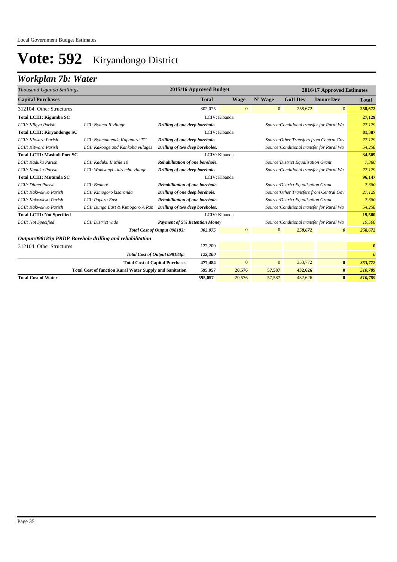## *Workplan 7b: Water*

| Thousand Uganda Shillings           |                                                                 |                                                                        | 2015/16 Approved Budget                                                     |                |                | 2016/17 Approved Estimates          |                                           |                       |  |
|-------------------------------------|-----------------------------------------------------------------|------------------------------------------------------------------------|-----------------------------------------------------------------------------|----------------|----------------|-------------------------------------|-------------------------------------------|-----------------------|--|
| <b>Capital Purchases</b>            |                                                                 |                                                                        | <b>Total</b>                                                                | <b>Wage</b>    | N' Wage        | <b>GoU Dev</b>                      | <b>Donor Dev</b>                          | <b>Total</b>          |  |
| 312104 Other Structures             |                                                                 |                                                                        | 302,075                                                                     | $\overline{0}$ | $\mathbf{0}$   | 258,672                             | $\overline{0}$                            | 258,672               |  |
| Total LCIII: Kigumba SC             |                                                                 |                                                                        | LCIV: Kibanda                                                               |                |                |                                     |                                           | 27,129                |  |
| LCII: Kiigya Parish                 | LCI: Nyama II village                                           |                                                                        | Source: Conditional transfer for Rural Wa<br>Drilling of one deep borehole. |                |                |                                     | 27,129                                    |                       |  |
| Total LCIII: Kiryandongo SC         |                                                                 |                                                                        | LCIV: Kibanda                                                               |                |                |                                     |                                           | 81,387                |  |
| LCII: Kitwara Parish                | LCI: Nyamuntende Kapapura TC                                    | Drilling of one deep borehole.                                         |                                                                             |                |                |                                     | Source: Other Transfers from Central Gov  | 27,129                |  |
| LCII: Kitwara Parish                | LCI: Kakooge and Kankoba villages                               | Drilling of two deep boreholes.                                        |                                                                             |                |                |                                     | Source: Conditional transfer for Rural Wa | 54,258                |  |
| <b>Total LCIII: Masindi Port SC</b> |                                                                 |                                                                        | LCIV: Kibanda                                                               |                |                |                                     |                                           |                       |  |
| LCII: Kaduku Parish                 | LCI: Kaduku II Mile 10                                          | Rehabilitation of one borehole.                                        |                                                                             |                |                | Source: District Equalisation Grant |                                           | 7,380                 |  |
| LCII: Kaduku Parish                 | LCI: Wakisanyi - kirembo village                                |                                                                        | Drilling of one deep borehole.<br>Source: Conditional transfer for Rural Wa |                |                |                                     |                                           | 27,129                |  |
| <b>Total LCIII: Mutunda SC</b>      |                                                                 |                                                                        |                                                                             | LCIV: Kibanda  |                |                                     |                                           | 96,147                |  |
| LCII: Diima Parish                  | LCI: Bedmot                                                     | Rehabilitation of one borehole.<br>Source: District Equalisation Grant |                                                                             |                |                | 7,380                               |                                           |                       |  |
| LCII: Kakwokwo Parish               | LCI: Kimogoro kisaranda                                         | Drilling of one deep borehole.                                         |                                                                             |                |                |                                     | Source: Other Transfers from Central Gov  | 27,129                |  |
| LCII: Kakwokwo Parish               | LCI: Popara East                                                | Rehabilitation of one borehole.                                        |                                                                             |                |                | Source: District Equalisation Grant |                                           | 7,380                 |  |
| LCII: Kakwokwo Parish               | LCI: Isunga East & Kimogoro A Ran                               | Drilling of two deep boreholes.                                        |                                                                             |                |                |                                     | Source: Conditional transfer for Rural Wa | 54,258                |  |
| <b>Total LCIII: Not Specified</b>   |                                                                 |                                                                        | LCIV: Kibanda                                                               |                |                |                                     |                                           | 19,500                |  |
| LCII: Not Specified                 | LCI: District wide                                              | <b>Payment of 5% Retention Money</b>                                   |                                                                             |                |                |                                     | Source: Conditional transfer for Rural Wa | 19,500                |  |
|                                     |                                                                 | Total Cost of Output 098183:                                           | 302,075                                                                     | $\mathbf{0}$   | $\overline{0}$ | 258,672                             | $\boldsymbol{\theta}$                     | 258,672               |  |
|                                     | Output:098183p PRDP-Borehole drilling and rehabilitation        |                                                                        |                                                                             |                |                |                                     |                                           |                       |  |
| 312104 Other Structures             |                                                                 |                                                                        | 122,200                                                                     |                |                |                                     |                                           | $\bf{0}$              |  |
|                                     |                                                                 | Total Cost of Output 098183p:                                          | 122,200                                                                     |                |                |                                     |                                           | $\boldsymbol{\theta}$ |  |
|                                     | <b>Total Cost of Capital Purchases</b>                          |                                                                        | 477,484                                                                     | $\mathbf{0}$   | $\mathbf{0}$   | 353,772                             | $\bf{0}$                                  | 353,772               |  |
|                                     | <b>Total Cost of function Rural Water Supply and Sanitation</b> |                                                                        | 595,057                                                                     | 20,576         | 57,587         | 432,626                             | $\bf{0}$                                  | 510,789               |  |
| <b>Total Cost of Water</b>          |                                                                 |                                                                        | 595,057                                                                     | 20,576         | 57,587         | 432,626                             | $\bf{0}$                                  | 510,789               |  |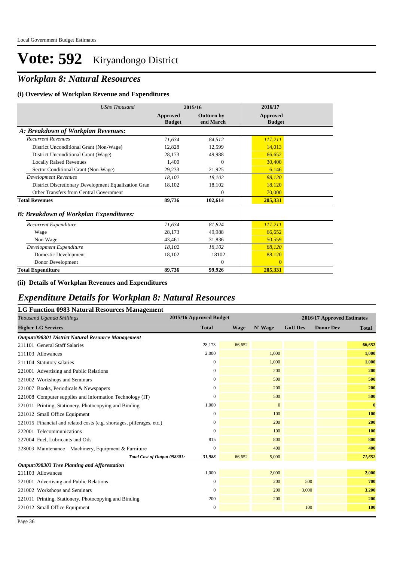## *Workplan 8: Natural Resources*

#### **(i) Overview of Workplan Revenue and Expenditures**

| <b>UShs Thousand</b>                                 | 2015/16                   |                                | 2016/17                          |
|------------------------------------------------------|---------------------------|--------------------------------|----------------------------------|
|                                                      | Approved<br><b>Budget</b> | <b>Outturn by</b><br>end March | <b>Approved</b><br><b>Budget</b> |
| A: Breakdown of Workplan Revenues:                   |                           |                                |                                  |
| <b>Recurrent Revenues</b>                            | 71,634                    | 84,512                         | 117,211                          |
| District Unconditional Grant (Non-Wage)              | 12,828                    | 12,599                         | 14,013                           |
| District Unconditional Grant (Wage)                  | 28,173                    | 49,988                         | 66,652                           |
| <b>Locally Raised Revenues</b>                       | 1,400                     | $\overline{0}$                 | 30,400                           |
| Sector Conditional Grant (Non-Wage)                  | 29,233                    | 21,925                         | 6,146                            |
| <b>Development Revenues</b>                          | 18,102                    | 18.102                         | 88,120                           |
| District Discretionary Development Equalization Gran | 18,102                    | 18,102                         | 18,120                           |
| Other Transfers from Central Government              |                           | $\mathbf{0}$                   | 70,000                           |
| <b>Total Revenues</b>                                | 89,736                    | 102,614                        | 205,331                          |
| <b>B: Breakdown of Workplan Expenditures:</b>        |                           |                                |                                  |
| Recurrent Expenditure                                | 71,634                    | 81,824                         | 117,211                          |
| Wage                                                 | 28,173                    | 49,988                         | 66,652                           |
| Non Wage                                             | 43,461                    | 31,836                         | 50,559                           |
| Development Expenditure                              | 18,102                    | 18,102                         | 88,120                           |
| Domestic Development                                 | 18,102                    | 18102                          | 88,120                           |
| Donor Development                                    |                           | $\Omega$                       | $\Omega$                         |
| <b>Total Expenditure</b>                             | 89,736                    | 99,926                         | 205,331                          |

#### **(ii) Details of Workplan Revenues and Expenditures**

#### *Expenditure Details for Workplan 8: Natural Resources*

#### **LG Function 0983 Natural Resources Management**

| Thousand Uganda Shillings                                             | 2015/16 Approved Budget                |             |              |                | 2016/17 Approved Estimates |              |
|-----------------------------------------------------------------------|----------------------------------------|-------------|--------------|----------------|----------------------------|--------------|
| <b>Higher LG Services</b>                                             | <b>Total</b>                           | <b>Wage</b> | N' Wage      | <b>GoU Dev</b> | <b>Donor Dev</b>           | <b>Total</b> |
| Output:098301 District Natural Resource Management                    |                                        |             |              |                |                            |              |
| 211101 General Staff Salaries                                         | 28,173                                 | 66,652      |              |                |                            | 66,652       |
| 211103 Allowances                                                     | 2,000                                  |             | 1,000        |                |                            | 1,000        |
| 211104 Statutory salaries                                             | 0                                      |             | 1,000        |                |                            | 1,000        |
| 221001 Advertising and Public Relations                               | 0                                      |             | 200          |                |                            | 200          |
| 221002 Workshops and Seminars                                         | 0                                      |             | 500          |                |                            | 500          |
| 221007 Books, Periodicals & Newspapers                                | $\overline{0}$                         |             | 200          |                |                            | 200          |
| 221008 Computer supplies and Information Technology (IT)              | $\Omega$                               |             | 500          |                |                            | 500          |
| 221011 Printing, Stationery, Photocopying and Binding                 | 1,000                                  |             | $\mathbf{0}$ |                |                            | $\bf{0}$     |
| 221012 Small Office Equipment                                         | 0                                      |             | 100          |                |                            | 100          |
| 221015 Financial and related costs (e.g. shortages, pilferages, etc.) | 0                                      |             | 200          |                |                            | 200          |
| 222001 Telecommunications                                             | 0                                      |             | 100          |                |                            | 100          |
| 227004 Fuel, Lubricants and Oils                                      | 815                                    |             | 800          |                |                            | 800          |
| 228003 Maintenance – Machinery, Equipment & Furniture                 | 0                                      |             | 400          |                |                            | 400          |
|                                                                       | 31,988<br>Total Cost of Output 098301: | 66,652      | 5,000        |                |                            | 71,652       |
| Output:098303 Tree Planting and Afforestation                         |                                        |             |              |                |                            |              |
| 211103 Allowances                                                     | 1,000                                  |             | 2,000        |                |                            | 2,000        |
| 221001 Advertising and Public Relations                               | 0                                      |             | 200          | 500            |                            | 700          |
| 221002 Workshops and Seminars                                         | 0                                      |             | 200          | 3,000          |                            | 3,200        |
| 221011 Printing, Stationery, Photocopying and Binding                 | 200                                    |             | 200          |                |                            | 200          |
| 221012 Small Office Equipment                                         | $\mathbf{0}$                           |             |              | 100            |                            | <b>100</b>   |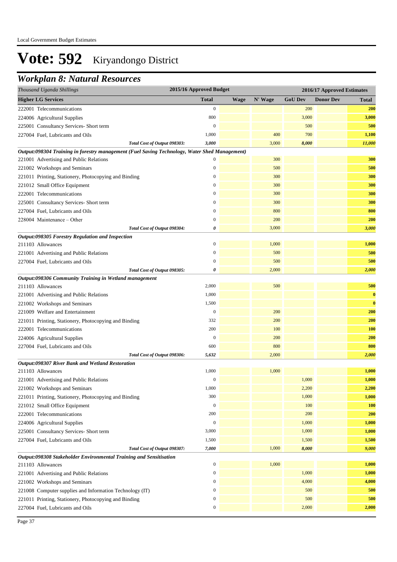### *Workplan 8: Natural Resources*

| Thousand Uganda Shillings                                                                     | 2015/16 Approved Budget |             |         |                | 2016/17 Approved Estimates |              |
|-----------------------------------------------------------------------------------------------|-------------------------|-------------|---------|----------------|----------------------------|--------------|
| <b>Higher LG Services</b>                                                                     | <b>Total</b>            | <b>Wage</b> | N' Wage | <b>GoU Dev</b> | <b>Donor Dev</b>           | <b>Total</b> |
| 222001 Telecommunications                                                                     | $\mathbf{0}$            |             |         | 200            |                            | <b>200</b>   |
| 224006 Agricultural Supplies                                                                  | 800                     |             |         | 3,000          |                            | 3,000        |
| 225001 Consultancy Services- Short term                                                       | $\mathbf{0}$            |             |         | 500            |                            | 500          |
| 227004 Fuel, Lubricants and Oils                                                              | 1,000                   |             | 400     | 700            |                            | 1,100        |
| Total Cost of Output 098303:                                                                  | 3,000                   |             | 3,000   | 8,000          |                            | 11,000       |
| Output:098304 Training in forestry management (Fuel Saving Technology, Water Shed Management) |                         |             |         |                |                            |              |
| 221001 Advertising and Public Relations                                                       | $\boldsymbol{0}$        |             | 300     |                |                            | 300          |
| 221002 Workshops and Seminars                                                                 | $\boldsymbol{0}$        |             | 500     |                |                            | 500          |
| 221011 Printing, Stationery, Photocopying and Binding                                         | $\boldsymbol{0}$        |             | 300     |                |                            | 300          |
| 221012 Small Office Equipment                                                                 | $\mathbf{0}$            |             | 300     |                |                            | 300          |
| 222001 Telecommunications                                                                     | $\mathbf{0}$            |             | 300     |                |                            | 300          |
| 225001 Consultancy Services- Short term                                                       | $\mathbf{0}$            |             | 300     |                |                            | 300          |
| 227004 Fuel, Lubricants and Oils                                                              | $\mathbf{0}$            |             | 800     |                |                            | 800          |
| 228004 Maintenance – Other                                                                    | $\mathbf{0}$            |             | 200     |                |                            | 200          |
| Total Cost of Output 098304:                                                                  | 0                       |             | 3,000   |                |                            | 3,000        |
| Output:098305 Forestry Regulation and Inspection                                              |                         |             |         |                |                            |              |
| 211103 Allowances                                                                             | $\boldsymbol{0}$        |             | 1,000   |                |                            | 1,000        |
| 221001 Advertising and Public Relations                                                       | $\boldsymbol{0}$        |             | 500     |                |                            | 500          |
| 227004 Fuel, Lubricants and Oils                                                              | $\mathbf{0}$            |             | 500     |                |                            | 500          |
| Total Cost of Output 098305:                                                                  | 0                       |             | 2,000   |                |                            | 2,000        |
| Output:098306 Community Training in Wetland management                                        |                         |             |         |                |                            |              |
| 211103 Allowances                                                                             | 2,000                   |             | 500     |                |                            | 500          |
| 221001 Advertising and Public Relations                                                       | 1,000                   |             |         |                |                            | $\bf{0}$     |
| 221002 Workshops and Seminars                                                                 | 1,500                   |             |         |                |                            | $\bf{0}$     |
| 221009 Welfare and Entertainment                                                              | $\boldsymbol{0}$        |             | 200     |                |                            | 200          |
| 221011 Printing, Stationery, Photocopying and Binding                                         | 332                     |             | 200     |                |                            | 200          |
| 222001 Telecommunications                                                                     | 200                     |             | 100     |                |                            | 100          |
| 224006 Agricultural Supplies                                                                  | $\mathbf{0}$            |             | 200     |                |                            | 200          |
| 227004 Fuel, Lubricants and Oils                                                              | 600                     |             | 800     |                |                            | 800          |
| Total Cost of Output 098306:                                                                  | 5,632                   |             | 2,000   |                |                            | 2,000        |
| Output:098307 River Bank and Wetland Restoration<br>211103 Allowances                         | 1,000                   |             | 1,000   |                |                            | 1,000        |
|                                                                                               | $\boldsymbol{0}$        |             |         | 1,000          |                            | 1,000        |
| 221001 Advertising and Public Relations<br>221002 Workshops and Seminars                      | 1,000                   |             |         | 2,200          |                            | 2,200        |
|                                                                                               | 300                     |             |         | 1,000          |                            | 1,000        |
| 221011 Printing, Stationery, Photocopying and Binding<br>221012 Small Office Equipment        | $\boldsymbol{0}$        |             |         | 100            |                            | <b>100</b>   |
| 222001 Telecommunications                                                                     | 200                     |             |         | 200            |                            | 200          |
| 224006 Agricultural Supplies                                                                  | $\boldsymbol{0}$        |             |         | 1,000          |                            | 1,000        |
| 225001 Consultancy Services- Short term                                                       | 3,000                   |             |         | 1,000          |                            | 1,000        |
| 227004 Fuel, Lubricants and Oils                                                              | 1,500                   |             |         | 1,500          |                            | 1,500        |
| Total Cost of Output 098307:                                                                  | 7,000                   |             | 1,000   | 8,000          |                            | 9,000        |
| Output:098308 Stakeholder Environmental Training and Sensitisation                            |                         |             |         |                |                            |              |
| 211103 Allowances                                                                             | $\boldsymbol{0}$        |             | 1,000   |                |                            | 1,000        |
| 221001 Advertising and Public Relations                                                       | $\bf{0}$                |             |         | 1,000          |                            | 1,000        |
| 221002 Workshops and Seminars                                                                 | $\boldsymbol{0}$        |             |         | 4,000          |                            | 4,000        |
| 221008 Computer supplies and Information Technology (IT)                                      | $\boldsymbol{0}$        |             |         | 500            |                            | 500          |
| 221011 Printing, Stationery, Photocopying and Binding                                         | $\boldsymbol{0}$        |             |         | 500            |                            | 500          |
| 227004 Fuel, Lubricants and Oils                                                              | $\boldsymbol{0}$        |             |         | 2,000          |                            | 2,000        |
|                                                                                               |                         |             |         |                |                            |              |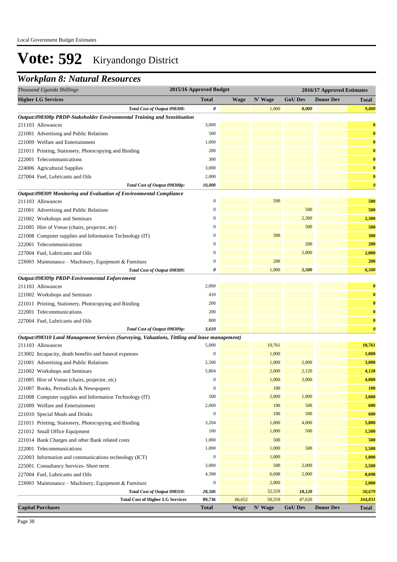## *Workplan 8: Natural Resources*

| Thousand Uganda Shillings                                                                     | 2015/16 Approved Budget |             |         | 2016/17 Approved Estimates |                  |                       |  |
|-----------------------------------------------------------------------------------------------|-------------------------|-------------|---------|----------------------------|------------------|-----------------------|--|
| <b>Higher LG Services</b>                                                                     | <b>Total</b>            | <b>Wage</b> | N' Wage | <b>GoU Dev</b>             | <b>Donor Dev</b> | <b>Total</b>          |  |
| Total Cost of Output 098308:                                                                  | 0                       |             | 1,000   | 8,000                      |                  | 9,000                 |  |
| Output:098308p PRDP-Stakeholder Environmental Training and Sensitisation                      |                         |             |         |                            |                  |                       |  |
| 211103 Allowances                                                                             | 3,000                   |             |         |                            |                  | $\bf{0}$              |  |
| 221001 Advertising and Public Relations                                                       | 500                     |             |         |                            |                  | $\bf{0}$              |  |
| 221009 Welfare and Entertainment                                                              | 1,000                   |             |         |                            |                  | $\bf{0}$              |  |
| 221011 Printing, Stationery, Photocopying and Binding                                         | 200                     |             |         |                            |                  | $\bf{0}$              |  |
| 222001 Telecommunications                                                                     | 300                     |             |         |                            |                  | $\bf{0}$              |  |
| 224006 Agricultural Supplies                                                                  | 3,000                   |             |         |                            |                  | $\bf{0}$              |  |
| 227004 Fuel, Lubricants and Oils                                                              | 2,000                   |             |         |                            |                  | $\bf{0}$              |  |
| Total Cost of Output 098308p:                                                                 | 10,000                  |             |         |                            |                  | $\boldsymbol{\theta}$ |  |
| Output:098309 Monitoring and Evaluation of Environmental Compliance                           |                         |             |         |                            |                  |                       |  |
| 211103 Allowances                                                                             | $\boldsymbol{0}$        |             | 500     |                            |                  | 500                   |  |
| 221001 Advertising and Public Relations                                                       | $\mathbf{0}$            |             |         | 500                        |                  | 500                   |  |
| 221002 Workshops and Seminars                                                                 | $\mathbf{0}$            |             |         | 2,300                      |                  | 2,300                 |  |
| 221005 Hire of Venue (chairs, projector, etc)                                                 | $\boldsymbol{0}$        |             |         | 500                        |                  | 500                   |  |
| 221008 Computer supplies and Information Technology (IT)                                      | $\mathbf{0}$            |             | 300     |                            |                  | 300                   |  |
| 222001 Telecommunications                                                                     | $\mathbf{0}$            |             |         | 200                        |                  | 200                   |  |
| 227004 Fuel, Lubricants and Oils                                                              | $\boldsymbol{0}$        |             |         | 2,000                      |                  | 2,000                 |  |
| 228003 Maintenance - Machinery, Equipment & Furniture                                         | $\mathbf{0}$            |             | 200     |                            |                  | 200                   |  |
| Total Cost of Output 098309:                                                                  | 0                       |             | 1,000   | 5,500                      |                  | 6,500                 |  |
| Output:098309p PRDP-Environmental Enforcement                                                 |                         |             |         |                            |                  |                       |  |
| 211103 Allowances                                                                             | 2,000                   |             |         |                            |                  | $\bf{0}$              |  |
| 221002 Workshops and Seminars                                                                 | 410                     |             |         |                            |                  | $\bf{0}$              |  |
| 221011 Printing, Stationery, Photocopying and Binding                                         | 200                     |             |         |                            |                  | $\bf{0}$              |  |
| 222001 Telecommunications                                                                     | 200                     |             |         |                            |                  | $\bf{0}$              |  |
| 227004 Fuel, Lubricants and Oils                                                              | 800                     |             |         |                            |                  | $\bf{0}$              |  |
| Total Cost of Output 098309p:                                                                 | 3,610                   |             |         |                            |                  | $\boldsymbol{\theta}$ |  |
| Output:098310 Land Management Services (Surveying, Valuations, Tittling and lease management) |                         |             |         |                            |                  |                       |  |
| 211103 Allowances                                                                             | 5,000                   |             | 10,761  |                            |                  | 10,761                |  |
| 213002 Incapacity, death benefits and funeral expenses                                        | $\boldsymbol{0}$        |             | 1,000   |                            |                  | 1,000                 |  |
| 221001 Advertising and Public Relations                                                       | 2,500                   |             | 1,000   | 2,000                      |                  | 3,000                 |  |
| 221002 Workshops and Seminars                                                                 | 5,804                   |             | 2,000   | 2,120                      |                  | 4,120                 |  |
| 221005 Hire of Venue (chairs, projector, etc)                                                 | $\boldsymbol{0}$        |             | 1,000   | 3,000                      |                  | 4,000                 |  |
| 221007 Books, Periodicals & Newspapers                                                        | $\boldsymbol{0}$        |             | 100     |                            |                  | <b>100</b>            |  |
| 221008 Computer supplies and Information Technology (IT)                                      | 500                     |             | 2,000   | 1,000                      |                  | 3,000                 |  |
| 221009 Welfare and Entertainment                                                              | 2,000                   |             | 100     | 500                        |                  | 600                   |  |
| 221010 Special Meals and Drinks                                                               | $\boldsymbol{0}$        |             | 100     | 500                        |                  | 600                   |  |
| 221011 Printing, Stationery, Photocopying and Binding                                         | 3,204                   |             | 1,800   | 4,000                      |                  | 5,800                 |  |
| 221012 Small Office Equipment                                                                 | 100                     |             | 1,000   | 500                        |                  | 1,500                 |  |
| 221014 Bank Charges and other Bank related costs                                              | 1,000                   |             | 500     |                            |                  | 500                   |  |
| 222001 Telecommunications                                                                     | 1,000                   |             | 1,000   | 500                        |                  | 1,500                 |  |
| 222003 Information and communications technology (ICT)                                        | $\boldsymbol{0}$        |             | 1,000   |                            |                  | 1,000                 |  |
| 225001 Consultancy Services- Short term                                                       | 3,000                   |             | 500     | 2,000                      |                  | 2,500                 |  |
| 227004 Fuel, Lubricants and Oils                                                              | 4,398                   |             | 6,698   | 2,000                      |                  | 8,698                 |  |
| 228003 Maintenance - Machinery, Equipment & Furniture                                         | $\boldsymbol{0}$        |             | 2,000   |                            |                  | 2,000                 |  |
| Total Cost of Output 098310:                                                                  | 28,506                  |             | 32,559  | 18,120                     |                  | 50,679                |  |
| <b>Total Cost of Higher LG Services</b>                                                       | 89,736                  | 66,652      | 50,559  | 47,620                     |                  | 164,831               |  |
| <b>Capital Purchases</b>                                                                      | Total                   | <b>Wage</b> | N' Wage | <b>GoU Dev</b>             | <b>Donor Dev</b> | <b>Total</b>          |  |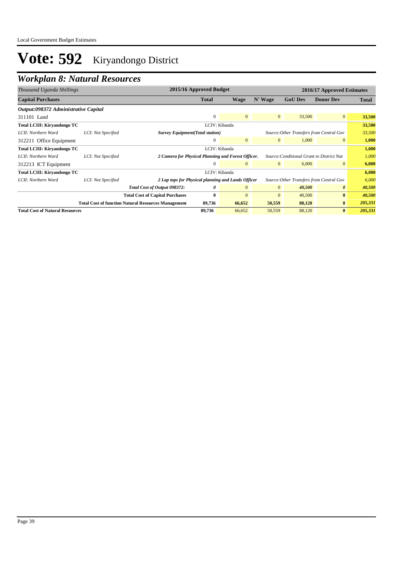## *Workplan 8: Natural Resources*

| Thousand Uganda Shillings              |                    | 2015/16 Approved Budget                                    |               |                |                |                                           | 2016/17 Approved Estimates |         |
|----------------------------------------|--------------------|------------------------------------------------------------|---------------|----------------|----------------|-------------------------------------------|----------------------------|---------|
| <b>Capital Purchases</b>               |                    |                                                            | <b>Total</b>  | <b>Wage</b>    | N' Wage        | <b>GoU Dev</b>                            | <b>Donor Dev</b>           | Total   |
| Output:098372 Administrative Capital   |                    |                                                            |               |                |                |                                           |                            |         |
| 311101 Land                            |                    |                                                            | $\mathbf{0}$  | $\mathbf{0}$   | $\overline{0}$ | 33,500                                    | $\overline{0}$             | 33,500  |
| <b>Total LCIII: Kiryandongo TC</b>     |                    |                                                            |               | LCIV: Kibanda  |                |                                           |                            | 33,500  |
| LCII: Northern Ward                    | LCI: Not Specified | <b>Survey Equipment</b> (Total station)                    |               |                |                | Source: Other Transfers from Central Gov  |                            | 33,500  |
| 312211 Office Equipment                |                    |                                                            | $\mathbf{0}$  | $\mathbf{0}$   | $\overline{0}$ | 1,000                                     | $\mathbf{0}$               | 1,000   |
| <b>Total LCIII: Kiryandongo TC</b>     |                    |                                                            | LCIV: Kibanda |                |                |                                           |                            | 1,000   |
| LCII: Northern Ward                    | LCI: Not Specified | 2 Camera for Physical Planning and Forest Officer.         |               |                |                | Source: Conditional Grant to District Nat |                            | 1,000   |
| 312213 ICT Equipment                   |                    |                                                            | $\Omega$      | $\mathbf{0}$   | $\overline{0}$ | 6,000                                     | $\mathbf{0}$               | 6,000   |
| <b>Total LCIII: Kiryandongo TC</b>     |                    |                                                            | LCIV: Kibanda |                |                |                                           |                            | 6,000   |
| LCII: Northern Ward                    | LCI: Not Specified | 2 Lap tops for Physical planning and Lands Officer         |               |                |                | Source: Other Transfers from Central Gov  |                            | 6,000   |
|                                        |                    | Total Cost of Output 098372:                               | 0             | $\overline{0}$ | $\overline{0}$ | 40,500                                    | $\boldsymbol{\theta}$      | 40,500  |
|                                        |                    | <b>Total Cost of Capital Purchases</b>                     | $\mathbf{0}$  | $\Omega$       | $\overline{0}$ | 40,500                                    | $\mathbf{0}$               | 40,500  |
|                                        |                    | <b>Total Cost of function Natural Resources Management</b> | 89,736        | 66,652         | 50,559         | 88,120                                    | $\bf{0}$                   | 205,331 |
| <b>Total Cost of Natural Resources</b> |                    |                                                            | 89,736        | 66,652         | 50,559         | 88,120                                    | $\mathbf{0}$               | 205,331 |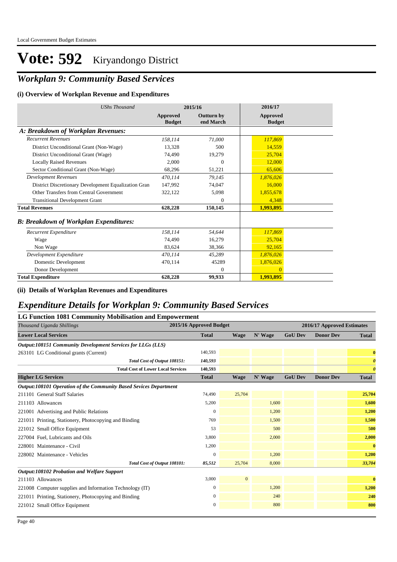### *Workplan 9: Community Based Services*

#### **(i) Overview of Workplan Revenue and Expenditures**

| <b>UShs Thousand</b>                                 |                           | 2015/16                 | 2016/17                   |
|------------------------------------------------------|---------------------------|-------------------------|---------------------------|
|                                                      | Approved<br><b>Budget</b> | Outturn by<br>end March | Approved<br><b>Budget</b> |
| A: Breakdown of Workplan Revenues:                   |                           |                         |                           |
| <b>Recurrent Revenues</b>                            | 158,114                   | 71,000                  | 117,869                   |
| District Unconditional Grant (Non-Wage)              | 13,328                    | 500                     | 14,559                    |
| District Unconditional Grant (Wage)                  | 74,490                    | 19,279                  | 25,704                    |
| <b>Locally Raised Revenues</b>                       | 2.000                     | $\theta$                | 12,000                    |
| Sector Conditional Grant (Non-Wage)                  | 68,296                    | 51,221                  | 65,606                    |
| <b>Development Revenues</b>                          | 470,114                   | 79,145                  | 1,876,026                 |
| District Discretionary Development Equalization Gran | 147,992                   | 74,047                  | 16,000                    |
| Other Transfers from Central Government              | 322,122                   | 5,098                   | 1,855,678                 |
| <b>Transitional Development Grant</b>                |                           | $\theta$                | 4,348                     |
| <b>Total Revenues</b>                                | 628,228                   | 150,145                 | 1,993,895                 |
| <b>B: Breakdown of Workplan Expenditures:</b>        |                           |                         |                           |
| Recurrent Expenditure                                | 158,114                   | 54.644                  | 117,869                   |
| Wage                                                 | 74.490                    | 16,279                  | 25,704                    |
| Non Wage                                             | 83,624                    | 38,366                  | 92,165                    |
| Development Expenditure                              | 470,114                   | 45,289                  | 1,876,026                 |
| Domestic Development                                 | 470.114                   | 45289                   | 1,876,026                 |
| Donor Development                                    |                           | $\overline{0}$          | $\Omega$                  |
| <b>Total Expenditure</b>                             | 628,228                   | 99.933                  | 1.993.895                 |

**(ii) Details of Workplan Revenues and Expenditures**

#### *Expenditure Details for Workplan 9: Community Based Services*

| <b>LG Function 1081 Community Mobilisation and Empowerment</b>    |                         |              |         |                |                            |                       |
|-------------------------------------------------------------------|-------------------------|--------------|---------|----------------|----------------------------|-----------------------|
| Thousand Uganda Shillings                                         | 2015/16 Approved Budget |              |         |                | 2016/17 Approved Estimates |                       |
| <b>Lower Local Services</b>                                       | <b>Total</b>            | <b>Wage</b>  | N' Wage | <b>GoU Dev</b> | <b>Donor Dev</b>           | <b>Total</b>          |
| Output:108151 Community Development Services for LLGs (LLS)       |                         |              |         |                |                            |                       |
| 263101 LG Conditional grants (Current)                            | 140,593                 |              |         |                |                            | $\bf{0}$              |
| Total Cost of Output 108151:                                      | 140,593                 |              |         |                |                            | $\boldsymbol{\theta}$ |
| <b>Total Cost of Lower Local Services</b>                         | 140,593                 |              |         |                |                            | $\boldsymbol{\theta}$ |
| <b>Higher LG Services</b>                                         | <b>Total</b>            | <b>Wage</b>  | N' Wage | <b>GoU Dev</b> | <b>Donor Dev</b>           | <b>Total</b>          |
| Output:108101 Operation of the Community Based Sevices Department |                         |              |         |                |                            |                       |
| 211101 General Staff Salaries                                     | 74,490                  | 25,704       |         |                |                            | 25,704                |
| 211103 Allowances                                                 | 5,200                   |              | 1,600   |                |                            | 1,600                 |
| 221001 Advertising and Public Relations                           | $\mathbf{0}$            |              | 1,200   |                |                            | 1,200                 |
| 221011 Printing, Stationery, Photocopying and Binding             | 769                     |              | 1,500   |                |                            | 1,500                 |
| 221012 Small Office Equipment                                     | 53                      |              | 500     |                |                            | 500                   |
| 227004 Fuel, Lubricants and Oils                                  | 3,800                   |              | 2,000   |                |                            | 2,000                 |
| 228001 Maintenance - Civil                                        | 1,200                   |              |         |                |                            | $\bf{0}$              |
| 228002 Maintenance - Vehicles                                     | $\Omega$                |              | 1,200   |                |                            | 1,200                 |
| Total Cost of Output 108101:                                      | 85,512                  | 25,704       | 8,000   |                |                            | 33,704                |
| Output:108102 Probation and Welfare Support                       |                         |              |         |                |                            |                       |
| 211103 Allowances                                                 | 3,000                   | $\mathbf{0}$ |         |                |                            | $\bf{0}$              |
| 221008 Computer supplies and Information Technology (IT)          | $\mathbf{0}$            |              | 1,200   |                |                            | 1,200                 |
| 221011 Printing, Stationery, Photocopying and Binding             | $\mathbf{0}$            |              | 240     |                |                            | 240                   |
| 221012 Small Office Equipment                                     | $\boldsymbol{0}$        |              | 800     |                |                            | 800                   |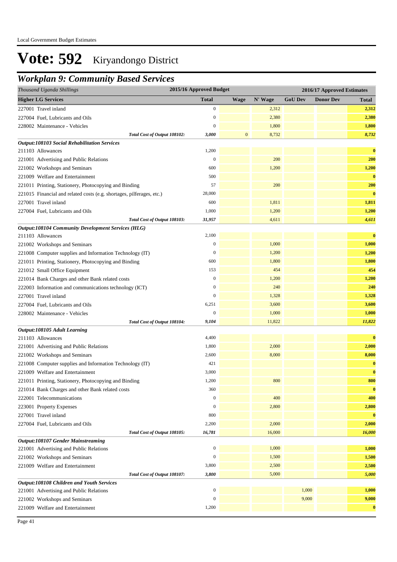### *Workplan 9: Community Based Services*

| Thousand Uganda Shillings                                                            | 2015/16 Approved Budget |              |         |                | 2016/17 Approved Estimates |              |
|--------------------------------------------------------------------------------------|-------------------------|--------------|---------|----------------|----------------------------|--------------|
| <b>Higher LG Services</b>                                                            | <b>Total</b>            | <b>Wage</b>  | N' Wage | <b>GoU Dev</b> | <b>Donor Dev</b>           | <b>Total</b> |
| 227001 Travel inland                                                                 | $\boldsymbol{0}$        |              | 2,312   |                |                            | 2,312        |
| 227004 Fuel, Lubricants and Oils                                                     | $\boldsymbol{0}$        |              | 2,380   |                |                            | 2,380        |
| 228002 Maintenance - Vehicles                                                        | $\mathbf{0}$            |              | 1,800   |                |                            | 1,800        |
| Total Cost of Output 108102:                                                         | 3,000                   | $\mathbf{0}$ | 8,732   |                |                            | 8,732        |
| <b>Output:108103 Social Rehabilitation Services</b>                                  |                         |              |         |                |                            |              |
| 211103 Allowances                                                                    | 1,200                   |              |         |                |                            | $\bf{0}$     |
| 221001 Advertising and Public Relations                                              | $\boldsymbol{0}$        |              | 200     |                |                            | 200          |
| 221002 Workshops and Seminars                                                        | 600                     |              | 1,200   |                |                            | 1,200        |
| 221009 Welfare and Entertainment                                                     | 500                     |              |         |                |                            | $\bf{0}$     |
| 221011 Printing, Stationery, Photocopying and Binding                                | 57                      |              | 200     |                |                            | 200          |
| 221015 Financial and related costs (e.g. shortages, pilferages, etc.)                | 28,000                  |              |         |                |                            | $\bf{0}$     |
| 227001 Travel inland                                                                 | 600                     |              | 1,811   |                |                            | 1,811        |
| 227004 Fuel, Lubricants and Oils                                                     | 1,000                   |              | 1,200   |                |                            | 1,200        |
| Total Cost of Output 108103:                                                         | 31,957                  |              | 4,611   |                |                            | 4,611        |
| <b>Output:108104 Community Development Services (HLG)</b>                            |                         |              |         |                |                            |              |
| 211103 Allowances                                                                    | 2,100                   |              |         |                |                            | $\bf{0}$     |
| 221002 Workshops and Seminars                                                        | $\boldsymbol{0}$        |              | 1,000   |                |                            | 1,000        |
| 221008 Computer supplies and Information Technology (IT)                             | $\boldsymbol{0}$        |              | 1,200   |                |                            | 1,200        |
| 221011 Printing, Stationery, Photocopying and Binding                                | 600                     |              | 1,800   |                |                            | 1,800        |
| 221012 Small Office Equipment                                                        | 153                     |              | 454     |                |                            | 454          |
| 221014 Bank Charges and other Bank related costs                                     | $\mathbf{0}$            |              | 1,200   |                |                            | 1,200        |
| 222003 Information and communications technology (ICT)                               | $\mathbf{0}$            |              | 240     |                |                            | 240          |
| 227001 Travel inland                                                                 | $\boldsymbol{0}$        |              | 1,328   |                |                            | 1,328        |
| 227004 Fuel, Lubricants and Oils                                                     | 6,251                   |              | 3,600   |                |                            | 3,600        |
| 228002 Maintenance - Vehicles                                                        | $\boldsymbol{0}$        |              | 1,000   |                |                            | 1,000        |
| Total Cost of Output 108104:                                                         | 9,104                   |              | 11,822  |                |                            | 11,822       |
| Output:108105 Adult Learning                                                         |                         |              |         |                |                            |              |
| 211103 Allowances                                                                    | 4,400                   |              |         |                |                            | $\bf{0}$     |
| 221001 Advertising and Public Relations                                              | 1,800                   |              | 2,000   |                |                            | 2,000        |
| 221002 Workshops and Seminars                                                        | 2,600                   |              | 8,000   |                |                            | 8,000        |
| 221008 Computer supplies and Information Technology (IT)                             | 421                     |              |         |                |                            | $\bf{0}$     |
| 221009 Welfare and Entertainment                                                     | 3,000                   |              |         |                |                            | $\bf{0}$     |
| 221011 Printing, Stationery, Photocopying and Binding                                | 1,200                   |              | 800     |                |                            | 800          |
| 221014 Bank Charges and other Bank related costs                                     | 360                     |              |         |                |                            | $\bf{0}$     |
| 222001 Telecommunications                                                            | $\mathbf{0}$            |              | 400     |                |                            | 400          |
| 223001 Property Expenses                                                             | $\mathbf{0}$            |              | 2,800   |                |                            | 2,800        |
| 227001 Travel inland                                                                 | 800                     |              |         |                |                            | $\bf{0}$     |
| 227004 Fuel, Lubricants and Oils                                                     | 2,200                   |              | 2,000   |                |                            | 2,000        |
| Total Cost of Output 108105:                                                         | 16,781                  |              | 16,000  |                |                            | 16,000       |
| <b>Output:108107 Gender Mainstreaming</b>                                            |                         |              |         |                |                            |              |
| 221001 Advertising and Public Relations                                              | $\boldsymbol{0}$        |              | 1,000   |                |                            | 1,000        |
| 221002 Workshops and Seminars                                                        | $\boldsymbol{0}$        |              | 1,500   |                |                            | 1,500        |
| 221009 Welfare and Entertainment                                                     | 3,800                   |              | 2,500   |                |                            | 2,500        |
| Total Cost of Output 108107:                                                         | 3,800                   |              | 5,000   |                |                            | 5,000        |
| Output:108108 Children and Youth Services<br>221001 Advertising and Public Relations | $\boldsymbol{0}$        |              |         | 1,000          |                            | 1,000        |
| 221002 Workshops and Seminars                                                        | $\boldsymbol{0}$        |              |         | 9,000          |                            | 9,000        |
| 221009 Welfare and Entertainment                                                     | 1,200                   |              |         |                |                            | $\bf{0}$     |
|                                                                                      |                         |              |         |                |                            |              |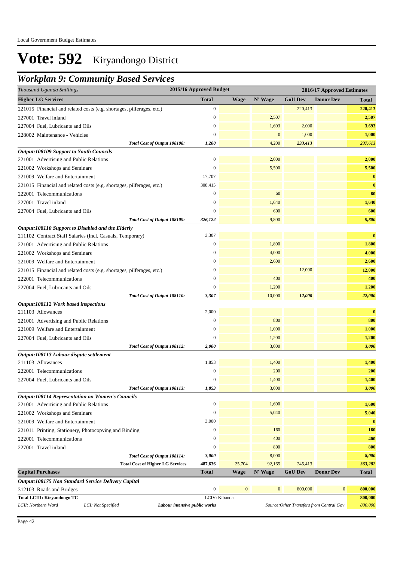### *Workplan 9: Community Based Services*

| <b>Higher LG Services</b><br><b>Total</b><br>N' Wage<br><b>GoU Dev</b><br><b>Wage</b><br><b>Donor Dev</b><br>Total<br>$\boldsymbol{0}$<br>220,413<br>221015 Financial and related costs (e.g. shortages, pilferages, etc.)<br>$\boldsymbol{0}$<br>2,507<br>227001 Travel inland<br>1,693<br>227004 Fuel, Lubricants and Oils<br>$\boldsymbol{0}$<br>2,000<br>$\mathbf{0}$<br>$\mathbf{0}$<br>1,000<br>228002 Maintenance - Vehicles<br>4,200<br>233,413<br>Total Cost of Output 108108:<br>1,200<br><b>Output:108109 Support to Youth Councils</b><br>$\boldsymbol{0}$<br>2,000<br>221001 Advertising and Public Relations<br>5,500<br>221002 Workshops and Seminars<br>$\boldsymbol{0}$<br>17,707<br>221009 Welfare and Entertainment<br>308,415<br>221015 Financial and related costs (e.g. shortages, pilferages, etc.)<br>60<br>$\boldsymbol{0}$<br>222001 Telecommunications<br>227001 Travel inland<br>$\mathbf{0}$<br>1,640<br>$\overline{0}$<br>600<br>227004 Fuel, Lubricants and Oils<br>9,800<br>Total Cost of Output 108109:<br>326,122<br>Output:108110 Support to Disabled and the Elderly<br>3,307<br>211102 Contract Staff Salaries (Incl. Casuals, Temporary)<br>$\boldsymbol{0}$<br>1,800<br>221001 Advertising and Public Relations<br>4,000<br>$\boldsymbol{0}$<br>221002 Workshops and Seminars<br>221009 Welfare and Entertainment<br>2,600<br>$\boldsymbol{0}$<br>12,000<br>$\boldsymbol{0}$<br>221015 Financial and related costs (e.g. shortages, pilferages, etc.)<br>$\mathbf{0}$<br>400<br>222001 Telecommunications<br>1,200<br>227004 Fuel, Lubricants and Oils<br>$\mathbf{0}$<br>Total Cost of Output 108110:<br>10,000<br>12,000<br>3,307<br>Output:108112 Work based inspections<br>2,000<br>211103 Allowances<br>800<br>$\mathbf{0}$<br>221001 Advertising and Public Relations<br>1,000<br>221009 Welfare and Entertainment<br>$\boldsymbol{0}$<br>1,200<br>227004 Fuel, Lubricants and Oils<br>$\mathbf{0}$<br>3,000<br>2,000<br>Total Cost of Output 108112:<br>Output:108113 Labour dispute settlement<br>1,853<br>211103 Allowances<br>1,400<br>200<br>222001 Telecommunications<br>$\boldsymbol{0}$<br>$\boldsymbol{0}$<br>1,400<br>227004 Fuel, Lubricants and Oils<br>3,000<br>Total Cost of Output 108113:<br>1,853<br><b>Output:108114 Representation on Women's Councils</b><br>$\boldsymbol{0}$<br>1,600<br>221001 Advertising and Public Relations<br>5,040<br>$\mathbf{0}$<br>221002 Workshops and Seminars<br>3,000<br>221009 Welfare and Entertainment<br>160<br>$\mathbf{0}$<br>221011 Printing, Stationery, Photocopying and Binding<br>$\mathbf{0}$<br>400<br>222001 Telecommunications<br>$\boldsymbol{0}$<br>800<br>227001 Travel inland<br>Total Cost of Output 108114:<br>3,000<br>8,000<br><b>Total Cost of Higher LG Services</b><br>487,636<br>25,704<br>92,165<br>245,413<br><b>Donor Dev</b><br><b>Capital Purchases</b><br><b>Total</b><br>N' Wage<br><b>GoU Dev</b><br><b>Wage</b><br><b>Total</b><br>Output:108175 Non Standard Service Delivery Capital<br>$\mathbf{0}$<br>$\bf{0}$<br>$\boldsymbol{0}$<br>800,000<br>$\mathbf{0}$<br>312103 Roads and Bridges<br>Total LCIII: Kiryandongo TC<br>LCIV: Kibanda<br>LCII: Northern Ward<br>LCI: Not Specified<br>Source: Other Transfers from Central Gov<br>Labour intensive public works | Thousand Uganda Shillings | 2015/16 Approved Budget |  | 2016/17 Approved Estimates |            |
|-------------------------------------------------------------------------------------------------------------------------------------------------------------------------------------------------------------------------------------------------------------------------------------------------------------------------------------------------------------------------------------------------------------------------------------------------------------------------------------------------------------------------------------------------------------------------------------------------------------------------------------------------------------------------------------------------------------------------------------------------------------------------------------------------------------------------------------------------------------------------------------------------------------------------------------------------------------------------------------------------------------------------------------------------------------------------------------------------------------------------------------------------------------------------------------------------------------------------------------------------------------------------------------------------------------------------------------------------------------------------------------------------------------------------------------------------------------------------------------------------------------------------------------------------------------------------------------------------------------------------------------------------------------------------------------------------------------------------------------------------------------------------------------------------------------------------------------------------------------------------------------------------------------------------------------------------------------------------------------------------------------------------------------------------------------------------------------------------------------------------------------------------------------------------------------------------------------------------------------------------------------------------------------------------------------------------------------------------------------------------------------------------------------------------------------------------------------------------------------------------------------------------------------------------------------------------------------------------------------------------------------------------------------------------------------------------------------------------------------------------------------------------------------------------------------------------------------------------------------------------------------------------------------------------------------------------------------------------------------------------------------------------------------------------------------------------------------------------------------------------------------------------------------------------------------------------------------------------------------------------------------------------------------------------------------|---------------------------|-------------------------|--|----------------------------|------------|
| 1,600<br>5,040<br>$\bf{0}$<br>400<br>8,000<br>363,282<br>800,000<br>800,000<br>800,000                                                                                                                                                                                                                                                                                                                                                                                                                                                                                                                                                                                                                                                                                                                                                                                                                                                                                                                                                                                                                                                                                                                                                                                                                                                                                                                                                                                                                                                                                                                                                                                                                                                                                                                                                                                                                                                                                                                                                                                                                                                                                                                                                                                                                                                                                                                                                                                                                                                                                                                                                                                                                                                                                                                                                                                                                                                                                                                                                                                                                                                                                                                                                                                                                      |                           |                         |  |                            |            |
|                                                                                                                                                                                                                                                                                                                                                                                                                                                                                                                                                                                                                                                                                                                                                                                                                                                                                                                                                                                                                                                                                                                                                                                                                                                                                                                                                                                                                                                                                                                                                                                                                                                                                                                                                                                                                                                                                                                                                                                                                                                                                                                                                                                                                                                                                                                                                                                                                                                                                                                                                                                                                                                                                                                                                                                                                                                                                                                                                                                                                                                                                                                                                                                                                                                                                                             |                           |                         |  |                            | 220,413    |
|                                                                                                                                                                                                                                                                                                                                                                                                                                                                                                                                                                                                                                                                                                                                                                                                                                                                                                                                                                                                                                                                                                                                                                                                                                                                                                                                                                                                                                                                                                                                                                                                                                                                                                                                                                                                                                                                                                                                                                                                                                                                                                                                                                                                                                                                                                                                                                                                                                                                                                                                                                                                                                                                                                                                                                                                                                                                                                                                                                                                                                                                                                                                                                                                                                                                                                             |                           |                         |  |                            | 2,507      |
|                                                                                                                                                                                                                                                                                                                                                                                                                                                                                                                                                                                                                                                                                                                                                                                                                                                                                                                                                                                                                                                                                                                                                                                                                                                                                                                                                                                                                                                                                                                                                                                                                                                                                                                                                                                                                                                                                                                                                                                                                                                                                                                                                                                                                                                                                                                                                                                                                                                                                                                                                                                                                                                                                                                                                                                                                                                                                                                                                                                                                                                                                                                                                                                                                                                                                                             |                           |                         |  |                            | 3,693      |
|                                                                                                                                                                                                                                                                                                                                                                                                                                                                                                                                                                                                                                                                                                                                                                                                                                                                                                                                                                                                                                                                                                                                                                                                                                                                                                                                                                                                                                                                                                                                                                                                                                                                                                                                                                                                                                                                                                                                                                                                                                                                                                                                                                                                                                                                                                                                                                                                                                                                                                                                                                                                                                                                                                                                                                                                                                                                                                                                                                                                                                                                                                                                                                                                                                                                                                             |                           |                         |  |                            | 1,000      |
|                                                                                                                                                                                                                                                                                                                                                                                                                                                                                                                                                                                                                                                                                                                                                                                                                                                                                                                                                                                                                                                                                                                                                                                                                                                                                                                                                                                                                                                                                                                                                                                                                                                                                                                                                                                                                                                                                                                                                                                                                                                                                                                                                                                                                                                                                                                                                                                                                                                                                                                                                                                                                                                                                                                                                                                                                                                                                                                                                                                                                                                                                                                                                                                                                                                                                                             |                           |                         |  |                            | 237,613    |
|                                                                                                                                                                                                                                                                                                                                                                                                                                                                                                                                                                                                                                                                                                                                                                                                                                                                                                                                                                                                                                                                                                                                                                                                                                                                                                                                                                                                                                                                                                                                                                                                                                                                                                                                                                                                                                                                                                                                                                                                                                                                                                                                                                                                                                                                                                                                                                                                                                                                                                                                                                                                                                                                                                                                                                                                                                                                                                                                                                                                                                                                                                                                                                                                                                                                                                             |                           |                         |  |                            |            |
|                                                                                                                                                                                                                                                                                                                                                                                                                                                                                                                                                                                                                                                                                                                                                                                                                                                                                                                                                                                                                                                                                                                                                                                                                                                                                                                                                                                                                                                                                                                                                                                                                                                                                                                                                                                                                                                                                                                                                                                                                                                                                                                                                                                                                                                                                                                                                                                                                                                                                                                                                                                                                                                                                                                                                                                                                                                                                                                                                                                                                                                                                                                                                                                                                                                                                                             |                           |                         |  |                            | 2,000      |
|                                                                                                                                                                                                                                                                                                                                                                                                                                                                                                                                                                                                                                                                                                                                                                                                                                                                                                                                                                                                                                                                                                                                                                                                                                                                                                                                                                                                                                                                                                                                                                                                                                                                                                                                                                                                                                                                                                                                                                                                                                                                                                                                                                                                                                                                                                                                                                                                                                                                                                                                                                                                                                                                                                                                                                                                                                                                                                                                                                                                                                                                                                                                                                                                                                                                                                             |                           |                         |  |                            | 5,500      |
|                                                                                                                                                                                                                                                                                                                                                                                                                                                                                                                                                                                                                                                                                                                                                                                                                                                                                                                                                                                                                                                                                                                                                                                                                                                                                                                                                                                                                                                                                                                                                                                                                                                                                                                                                                                                                                                                                                                                                                                                                                                                                                                                                                                                                                                                                                                                                                                                                                                                                                                                                                                                                                                                                                                                                                                                                                                                                                                                                                                                                                                                                                                                                                                                                                                                                                             |                           |                         |  |                            | $\bf{0}$   |
|                                                                                                                                                                                                                                                                                                                                                                                                                                                                                                                                                                                                                                                                                                                                                                                                                                                                                                                                                                                                                                                                                                                                                                                                                                                                                                                                                                                                                                                                                                                                                                                                                                                                                                                                                                                                                                                                                                                                                                                                                                                                                                                                                                                                                                                                                                                                                                                                                                                                                                                                                                                                                                                                                                                                                                                                                                                                                                                                                                                                                                                                                                                                                                                                                                                                                                             |                           |                         |  |                            | $\bf{0}$   |
|                                                                                                                                                                                                                                                                                                                                                                                                                                                                                                                                                                                                                                                                                                                                                                                                                                                                                                                                                                                                                                                                                                                                                                                                                                                                                                                                                                                                                                                                                                                                                                                                                                                                                                                                                                                                                                                                                                                                                                                                                                                                                                                                                                                                                                                                                                                                                                                                                                                                                                                                                                                                                                                                                                                                                                                                                                                                                                                                                                                                                                                                                                                                                                                                                                                                                                             |                           |                         |  |                            | 60         |
|                                                                                                                                                                                                                                                                                                                                                                                                                                                                                                                                                                                                                                                                                                                                                                                                                                                                                                                                                                                                                                                                                                                                                                                                                                                                                                                                                                                                                                                                                                                                                                                                                                                                                                                                                                                                                                                                                                                                                                                                                                                                                                                                                                                                                                                                                                                                                                                                                                                                                                                                                                                                                                                                                                                                                                                                                                                                                                                                                                                                                                                                                                                                                                                                                                                                                                             |                           |                         |  |                            | 1,640      |
|                                                                                                                                                                                                                                                                                                                                                                                                                                                                                                                                                                                                                                                                                                                                                                                                                                                                                                                                                                                                                                                                                                                                                                                                                                                                                                                                                                                                                                                                                                                                                                                                                                                                                                                                                                                                                                                                                                                                                                                                                                                                                                                                                                                                                                                                                                                                                                                                                                                                                                                                                                                                                                                                                                                                                                                                                                                                                                                                                                                                                                                                                                                                                                                                                                                                                                             |                           |                         |  |                            | 600        |
|                                                                                                                                                                                                                                                                                                                                                                                                                                                                                                                                                                                                                                                                                                                                                                                                                                                                                                                                                                                                                                                                                                                                                                                                                                                                                                                                                                                                                                                                                                                                                                                                                                                                                                                                                                                                                                                                                                                                                                                                                                                                                                                                                                                                                                                                                                                                                                                                                                                                                                                                                                                                                                                                                                                                                                                                                                                                                                                                                                                                                                                                                                                                                                                                                                                                                                             |                           |                         |  |                            | 9,800      |
|                                                                                                                                                                                                                                                                                                                                                                                                                                                                                                                                                                                                                                                                                                                                                                                                                                                                                                                                                                                                                                                                                                                                                                                                                                                                                                                                                                                                                                                                                                                                                                                                                                                                                                                                                                                                                                                                                                                                                                                                                                                                                                                                                                                                                                                                                                                                                                                                                                                                                                                                                                                                                                                                                                                                                                                                                                                                                                                                                                                                                                                                                                                                                                                                                                                                                                             |                           |                         |  |                            |            |
|                                                                                                                                                                                                                                                                                                                                                                                                                                                                                                                                                                                                                                                                                                                                                                                                                                                                                                                                                                                                                                                                                                                                                                                                                                                                                                                                                                                                                                                                                                                                                                                                                                                                                                                                                                                                                                                                                                                                                                                                                                                                                                                                                                                                                                                                                                                                                                                                                                                                                                                                                                                                                                                                                                                                                                                                                                                                                                                                                                                                                                                                                                                                                                                                                                                                                                             |                           |                         |  |                            | $\bf{0}$   |
|                                                                                                                                                                                                                                                                                                                                                                                                                                                                                                                                                                                                                                                                                                                                                                                                                                                                                                                                                                                                                                                                                                                                                                                                                                                                                                                                                                                                                                                                                                                                                                                                                                                                                                                                                                                                                                                                                                                                                                                                                                                                                                                                                                                                                                                                                                                                                                                                                                                                                                                                                                                                                                                                                                                                                                                                                                                                                                                                                                                                                                                                                                                                                                                                                                                                                                             |                           |                         |  |                            | 1,800      |
|                                                                                                                                                                                                                                                                                                                                                                                                                                                                                                                                                                                                                                                                                                                                                                                                                                                                                                                                                                                                                                                                                                                                                                                                                                                                                                                                                                                                                                                                                                                                                                                                                                                                                                                                                                                                                                                                                                                                                                                                                                                                                                                                                                                                                                                                                                                                                                                                                                                                                                                                                                                                                                                                                                                                                                                                                                                                                                                                                                                                                                                                                                                                                                                                                                                                                                             |                           |                         |  |                            | 4,000      |
|                                                                                                                                                                                                                                                                                                                                                                                                                                                                                                                                                                                                                                                                                                                                                                                                                                                                                                                                                                                                                                                                                                                                                                                                                                                                                                                                                                                                                                                                                                                                                                                                                                                                                                                                                                                                                                                                                                                                                                                                                                                                                                                                                                                                                                                                                                                                                                                                                                                                                                                                                                                                                                                                                                                                                                                                                                                                                                                                                                                                                                                                                                                                                                                                                                                                                                             |                           |                         |  |                            | 2,600      |
|                                                                                                                                                                                                                                                                                                                                                                                                                                                                                                                                                                                                                                                                                                                                                                                                                                                                                                                                                                                                                                                                                                                                                                                                                                                                                                                                                                                                                                                                                                                                                                                                                                                                                                                                                                                                                                                                                                                                                                                                                                                                                                                                                                                                                                                                                                                                                                                                                                                                                                                                                                                                                                                                                                                                                                                                                                                                                                                                                                                                                                                                                                                                                                                                                                                                                                             |                           |                         |  |                            | 12,000     |
|                                                                                                                                                                                                                                                                                                                                                                                                                                                                                                                                                                                                                                                                                                                                                                                                                                                                                                                                                                                                                                                                                                                                                                                                                                                                                                                                                                                                                                                                                                                                                                                                                                                                                                                                                                                                                                                                                                                                                                                                                                                                                                                                                                                                                                                                                                                                                                                                                                                                                                                                                                                                                                                                                                                                                                                                                                                                                                                                                                                                                                                                                                                                                                                                                                                                                                             |                           |                         |  |                            | 400        |
|                                                                                                                                                                                                                                                                                                                                                                                                                                                                                                                                                                                                                                                                                                                                                                                                                                                                                                                                                                                                                                                                                                                                                                                                                                                                                                                                                                                                                                                                                                                                                                                                                                                                                                                                                                                                                                                                                                                                                                                                                                                                                                                                                                                                                                                                                                                                                                                                                                                                                                                                                                                                                                                                                                                                                                                                                                                                                                                                                                                                                                                                                                                                                                                                                                                                                                             |                           |                         |  |                            | 1,200      |
|                                                                                                                                                                                                                                                                                                                                                                                                                                                                                                                                                                                                                                                                                                                                                                                                                                                                                                                                                                                                                                                                                                                                                                                                                                                                                                                                                                                                                                                                                                                                                                                                                                                                                                                                                                                                                                                                                                                                                                                                                                                                                                                                                                                                                                                                                                                                                                                                                                                                                                                                                                                                                                                                                                                                                                                                                                                                                                                                                                                                                                                                                                                                                                                                                                                                                                             |                           |                         |  |                            | 22,000     |
|                                                                                                                                                                                                                                                                                                                                                                                                                                                                                                                                                                                                                                                                                                                                                                                                                                                                                                                                                                                                                                                                                                                                                                                                                                                                                                                                                                                                                                                                                                                                                                                                                                                                                                                                                                                                                                                                                                                                                                                                                                                                                                                                                                                                                                                                                                                                                                                                                                                                                                                                                                                                                                                                                                                                                                                                                                                                                                                                                                                                                                                                                                                                                                                                                                                                                                             |                           |                         |  |                            |            |
|                                                                                                                                                                                                                                                                                                                                                                                                                                                                                                                                                                                                                                                                                                                                                                                                                                                                                                                                                                                                                                                                                                                                                                                                                                                                                                                                                                                                                                                                                                                                                                                                                                                                                                                                                                                                                                                                                                                                                                                                                                                                                                                                                                                                                                                                                                                                                                                                                                                                                                                                                                                                                                                                                                                                                                                                                                                                                                                                                                                                                                                                                                                                                                                                                                                                                                             |                           |                         |  |                            | $\bf{0}$   |
|                                                                                                                                                                                                                                                                                                                                                                                                                                                                                                                                                                                                                                                                                                                                                                                                                                                                                                                                                                                                                                                                                                                                                                                                                                                                                                                                                                                                                                                                                                                                                                                                                                                                                                                                                                                                                                                                                                                                                                                                                                                                                                                                                                                                                                                                                                                                                                                                                                                                                                                                                                                                                                                                                                                                                                                                                                                                                                                                                                                                                                                                                                                                                                                                                                                                                                             |                           |                         |  |                            | 800        |
|                                                                                                                                                                                                                                                                                                                                                                                                                                                                                                                                                                                                                                                                                                                                                                                                                                                                                                                                                                                                                                                                                                                                                                                                                                                                                                                                                                                                                                                                                                                                                                                                                                                                                                                                                                                                                                                                                                                                                                                                                                                                                                                                                                                                                                                                                                                                                                                                                                                                                                                                                                                                                                                                                                                                                                                                                                                                                                                                                                                                                                                                                                                                                                                                                                                                                                             |                           |                         |  |                            | 1,000      |
|                                                                                                                                                                                                                                                                                                                                                                                                                                                                                                                                                                                                                                                                                                                                                                                                                                                                                                                                                                                                                                                                                                                                                                                                                                                                                                                                                                                                                                                                                                                                                                                                                                                                                                                                                                                                                                                                                                                                                                                                                                                                                                                                                                                                                                                                                                                                                                                                                                                                                                                                                                                                                                                                                                                                                                                                                                                                                                                                                                                                                                                                                                                                                                                                                                                                                                             |                           |                         |  |                            | 1,200      |
|                                                                                                                                                                                                                                                                                                                                                                                                                                                                                                                                                                                                                                                                                                                                                                                                                                                                                                                                                                                                                                                                                                                                                                                                                                                                                                                                                                                                                                                                                                                                                                                                                                                                                                                                                                                                                                                                                                                                                                                                                                                                                                                                                                                                                                                                                                                                                                                                                                                                                                                                                                                                                                                                                                                                                                                                                                                                                                                                                                                                                                                                                                                                                                                                                                                                                                             |                           |                         |  |                            | 3,000      |
|                                                                                                                                                                                                                                                                                                                                                                                                                                                                                                                                                                                                                                                                                                                                                                                                                                                                                                                                                                                                                                                                                                                                                                                                                                                                                                                                                                                                                                                                                                                                                                                                                                                                                                                                                                                                                                                                                                                                                                                                                                                                                                                                                                                                                                                                                                                                                                                                                                                                                                                                                                                                                                                                                                                                                                                                                                                                                                                                                                                                                                                                                                                                                                                                                                                                                                             |                           |                         |  |                            |            |
|                                                                                                                                                                                                                                                                                                                                                                                                                                                                                                                                                                                                                                                                                                                                                                                                                                                                                                                                                                                                                                                                                                                                                                                                                                                                                                                                                                                                                                                                                                                                                                                                                                                                                                                                                                                                                                                                                                                                                                                                                                                                                                                                                                                                                                                                                                                                                                                                                                                                                                                                                                                                                                                                                                                                                                                                                                                                                                                                                                                                                                                                                                                                                                                                                                                                                                             |                           |                         |  |                            | 1,400      |
|                                                                                                                                                                                                                                                                                                                                                                                                                                                                                                                                                                                                                                                                                                                                                                                                                                                                                                                                                                                                                                                                                                                                                                                                                                                                                                                                                                                                                                                                                                                                                                                                                                                                                                                                                                                                                                                                                                                                                                                                                                                                                                                                                                                                                                                                                                                                                                                                                                                                                                                                                                                                                                                                                                                                                                                                                                                                                                                                                                                                                                                                                                                                                                                                                                                                                                             |                           |                         |  |                            | 200        |
|                                                                                                                                                                                                                                                                                                                                                                                                                                                                                                                                                                                                                                                                                                                                                                                                                                                                                                                                                                                                                                                                                                                                                                                                                                                                                                                                                                                                                                                                                                                                                                                                                                                                                                                                                                                                                                                                                                                                                                                                                                                                                                                                                                                                                                                                                                                                                                                                                                                                                                                                                                                                                                                                                                                                                                                                                                                                                                                                                                                                                                                                                                                                                                                                                                                                                                             |                           |                         |  |                            | 1,400      |
|                                                                                                                                                                                                                                                                                                                                                                                                                                                                                                                                                                                                                                                                                                                                                                                                                                                                                                                                                                                                                                                                                                                                                                                                                                                                                                                                                                                                                                                                                                                                                                                                                                                                                                                                                                                                                                                                                                                                                                                                                                                                                                                                                                                                                                                                                                                                                                                                                                                                                                                                                                                                                                                                                                                                                                                                                                                                                                                                                                                                                                                                                                                                                                                                                                                                                                             |                           |                         |  |                            | 3,000      |
|                                                                                                                                                                                                                                                                                                                                                                                                                                                                                                                                                                                                                                                                                                                                                                                                                                                                                                                                                                                                                                                                                                                                                                                                                                                                                                                                                                                                                                                                                                                                                                                                                                                                                                                                                                                                                                                                                                                                                                                                                                                                                                                                                                                                                                                                                                                                                                                                                                                                                                                                                                                                                                                                                                                                                                                                                                                                                                                                                                                                                                                                                                                                                                                                                                                                                                             |                           |                         |  |                            |            |
|                                                                                                                                                                                                                                                                                                                                                                                                                                                                                                                                                                                                                                                                                                                                                                                                                                                                                                                                                                                                                                                                                                                                                                                                                                                                                                                                                                                                                                                                                                                                                                                                                                                                                                                                                                                                                                                                                                                                                                                                                                                                                                                                                                                                                                                                                                                                                                                                                                                                                                                                                                                                                                                                                                                                                                                                                                                                                                                                                                                                                                                                                                                                                                                                                                                                                                             |                           |                         |  |                            |            |
|                                                                                                                                                                                                                                                                                                                                                                                                                                                                                                                                                                                                                                                                                                                                                                                                                                                                                                                                                                                                                                                                                                                                                                                                                                                                                                                                                                                                                                                                                                                                                                                                                                                                                                                                                                                                                                                                                                                                                                                                                                                                                                                                                                                                                                                                                                                                                                                                                                                                                                                                                                                                                                                                                                                                                                                                                                                                                                                                                                                                                                                                                                                                                                                                                                                                                                             |                           |                         |  |                            |            |
|                                                                                                                                                                                                                                                                                                                                                                                                                                                                                                                                                                                                                                                                                                                                                                                                                                                                                                                                                                                                                                                                                                                                                                                                                                                                                                                                                                                                                                                                                                                                                                                                                                                                                                                                                                                                                                                                                                                                                                                                                                                                                                                                                                                                                                                                                                                                                                                                                                                                                                                                                                                                                                                                                                                                                                                                                                                                                                                                                                                                                                                                                                                                                                                                                                                                                                             |                           |                         |  |                            |            |
|                                                                                                                                                                                                                                                                                                                                                                                                                                                                                                                                                                                                                                                                                                                                                                                                                                                                                                                                                                                                                                                                                                                                                                                                                                                                                                                                                                                                                                                                                                                                                                                                                                                                                                                                                                                                                                                                                                                                                                                                                                                                                                                                                                                                                                                                                                                                                                                                                                                                                                                                                                                                                                                                                                                                                                                                                                                                                                                                                                                                                                                                                                                                                                                                                                                                                                             |                           |                         |  |                            | <b>160</b> |
|                                                                                                                                                                                                                                                                                                                                                                                                                                                                                                                                                                                                                                                                                                                                                                                                                                                                                                                                                                                                                                                                                                                                                                                                                                                                                                                                                                                                                                                                                                                                                                                                                                                                                                                                                                                                                                                                                                                                                                                                                                                                                                                                                                                                                                                                                                                                                                                                                                                                                                                                                                                                                                                                                                                                                                                                                                                                                                                                                                                                                                                                                                                                                                                                                                                                                                             |                           |                         |  |                            |            |
|                                                                                                                                                                                                                                                                                                                                                                                                                                                                                                                                                                                                                                                                                                                                                                                                                                                                                                                                                                                                                                                                                                                                                                                                                                                                                                                                                                                                                                                                                                                                                                                                                                                                                                                                                                                                                                                                                                                                                                                                                                                                                                                                                                                                                                                                                                                                                                                                                                                                                                                                                                                                                                                                                                                                                                                                                                                                                                                                                                                                                                                                                                                                                                                                                                                                                                             |                           |                         |  |                            | 800        |
|                                                                                                                                                                                                                                                                                                                                                                                                                                                                                                                                                                                                                                                                                                                                                                                                                                                                                                                                                                                                                                                                                                                                                                                                                                                                                                                                                                                                                                                                                                                                                                                                                                                                                                                                                                                                                                                                                                                                                                                                                                                                                                                                                                                                                                                                                                                                                                                                                                                                                                                                                                                                                                                                                                                                                                                                                                                                                                                                                                                                                                                                                                                                                                                                                                                                                                             |                           |                         |  |                            |            |
|                                                                                                                                                                                                                                                                                                                                                                                                                                                                                                                                                                                                                                                                                                                                                                                                                                                                                                                                                                                                                                                                                                                                                                                                                                                                                                                                                                                                                                                                                                                                                                                                                                                                                                                                                                                                                                                                                                                                                                                                                                                                                                                                                                                                                                                                                                                                                                                                                                                                                                                                                                                                                                                                                                                                                                                                                                                                                                                                                                                                                                                                                                                                                                                                                                                                                                             |                           |                         |  |                            |            |
|                                                                                                                                                                                                                                                                                                                                                                                                                                                                                                                                                                                                                                                                                                                                                                                                                                                                                                                                                                                                                                                                                                                                                                                                                                                                                                                                                                                                                                                                                                                                                                                                                                                                                                                                                                                                                                                                                                                                                                                                                                                                                                                                                                                                                                                                                                                                                                                                                                                                                                                                                                                                                                                                                                                                                                                                                                                                                                                                                                                                                                                                                                                                                                                                                                                                                                             |                           |                         |  |                            |            |
|                                                                                                                                                                                                                                                                                                                                                                                                                                                                                                                                                                                                                                                                                                                                                                                                                                                                                                                                                                                                                                                                                                                                                                                                                                                                                                                                                                                                                                                                                                                                                                                                                                                                                                                                                                                                                                                                                                                                                                                                                                                                                                                                                                                                                                                                                                                                                                                                                                                                                                                                                                                                                                                                                                                                                                                                                                                                                                                                                                                                                                                                                                                                                                                                                                                                                                             |                           |                         |  |                            |            |
|                                                                                                                                                                                                                                                                                                                                                                                                                                                                                                                                                                                                                                                                                                                                                                                                                                                                                                                                                                                                                                                                                                                                                                                                                                                                                                                                                                                                                                                                                                                                                                                                                                                                                                                                                                                                                                                                                                                                                                                                                                                                                                                                                                                                                                                                                                                                                                                                                                                                                                                                                                                                                                                                                                                                                                                                                                                                                                                                                                                                                                                                                                                                                                                                                                                                                                             |                           |                         |  |                            |            |
|                                                                                                                                                                                                                                                                                                                                                                                                                                                                                                                                                                                                                                                                                                                                                                                                                                                                                                                                                                                                                                                                                                                                                                                                                                                                                                                                                                                                                                                                                                                                                                                                                                                                                                                                                                                                                                                                                                                                                                                                                                                                                                                                                                                                                                                                                                                                                                                                                                                                                                                                                                                                                                                                                                                                                                                                                                                                                                                                                                                                                                                                                                                                                                                                                                                                                                             |                           |                         |  |                            |            |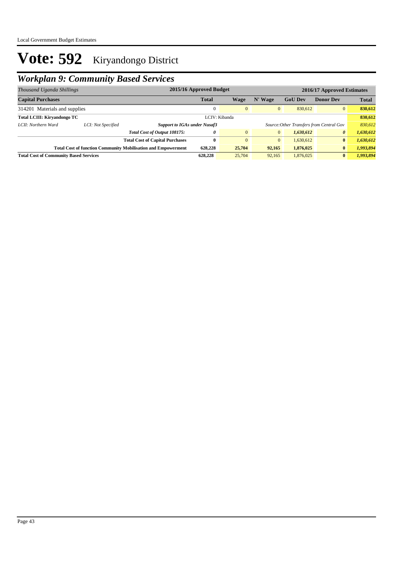## *Workplan 9: Community Based Services*

| Thousand Uganda Shillings                                                                                        |                    |                                        | 2015/16 Approved Budget                                                         |               | 2016/17 Approved Estimates |                |                  |              |
|------------------------------------------------------------------------------------------------------------------|--------------------|----------------------------------------|---------------------------------------------------------------------------------|---------------|----------------------------|----------------|------------------|--------------|
| <b>Capital Purchases</b>                                                                                         |                    |                                        | <b>Total</b>                                                                    | Wage          | N' Wage                    | <b>GoU Dev</b> | <b>Donor Dev</b> | <b>Total</b> |
| 314201 Materials and supplies                                                                                    |                    |                                        | $\mathbf{0}$                                                                    | $\Omega$      | $\overline{0}$             | 830.612        | $\overline{0}$   | 830,612      |
| <b>Total LCIII: Kirvandongo TC</b>                                                                               |                    |                                        |                                                                                 | LCIV: Kibanda |                            |                |                  | 830,612      |
| LCII: Northern Ward                                                                                              | LCI: Not Specified |                                        | <b>Support to IGAs under Nusaf3</b><br>Source: Other Transfers from Central Gov |               |                            |                | 830,612          |              |
|                                                                                                                  |                    | Total Cost of Output 108175:           | 0                                                                               | $\mathbf{0}$  | $\overline{0}$             | 1,630,612      | 0                | 1,630,612    |
|                                                                                                                  |                    | <b>Total Cost of Capital Purchases</b> | $\mathbf{0}$                                                                    | $\theta$      | $\overline{0}$             | 1.630.612      | $\bf{0}$         | 1,630,612    |
| <b>Total Cost of function Community Mobilisation and Empowerment</b><br>25,704<br>92,165<br>628,228<br>1,876,025 |                    | $\bf{0}$                               | 1,993,894                                                                       |               |                            |                |                  |              |
| <b>Total Cost of Community Based Services</b>                                                                    |                    |                                        | 628,228                                                                         | 25,704        | 92.165                     | 1,876,025      | $\bf{0}$         | 1,993,894    |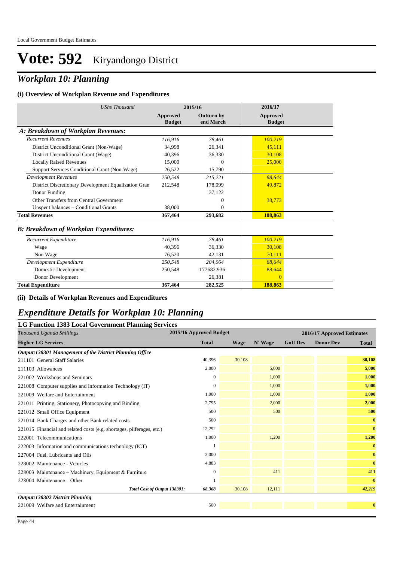## *Workplan 10: Planning*

#### **(i) Overview of Workplan Revenue and Expenditures**

| <b>UShs Thousand</b>                                 |                           | 2015/16                        | 2016/17                   |  |
|------------------------------------------------------|---------------------------|--------------------------------|---------------------------|--|
|                                                      | Approved<br><b>Budget</b> | <b>Outturn by</b><br>end March | Approved<br><b>Budget</b> |  |
| A: Breakdown of Workplan Revenues:                   |                           |                                |                           |  |
| <b>Recurrent Revenues</b>                            | 116,916                   | 78.461                         | 100,219                   |  |
| District Unconditional Grant (Non-Wage)              | 34.998                    | 26,341                         | 45,111                    |  |
| District Unconditional Grant (Wage)                  | 40.396                    | 36,330                         | 30,108                    |  |
| <b>Locally Raised Revenues</b>                       | 15,000                    | $\mathbf{0}$                   | 25,000                    |  |
| Support Services Conditional Grant (Non-Wage)        | 26,522                    | 15,790                         |                           |  |
| <b>Development Revenues</b>                          | 250.548                   | 215,221                        | 88.644                    |  |
| District Discretionary Development Equalization Gran | 212,548                   | 178,099                        | 49,872                    |  |
| Donor Funding                                        |                           | 37,122                         |                           |  |
| Other Transfers from Central Government              |                           | $\mathbf{0}$                   | 38,773                    |  |
| Unspent balances - Conditional Grants                | 38.000                    | $\mathbf{0}$                   |                           |  |
| <b>Total Revenues</b>                                | 367,464                   | 293,682                        | 188,863                   |  |
| <b>B: Breakdown of Workplan Expenditures:</b>        |                           |                                |                           |  |
| Recurrent Expenditure                                | 116,916                   | 78.461                         | 100,219                   |  |
| Wage                                                 | 40.396                    | 36,330                         | 30,108                    |  |
| Non Wage                                             | 76,520                    | 42.131                         | 70,111                    |  |
| Development Expenditure                              | 250.548                   | 204.064                        | 88,644                    |  |
| Domestic Development                                 | 250,548                   | 177682.936                     | 88,644                    |  |
| Donor Development                                    |                           | 26,381                         | $\overline{0}$            |  |
| <b>Total Expenditure</b>                             | 367,464                   | 282,525                        | 188,863                   |  |

#### **(ii) Details of Workplan Revenues and Expenditures**

#### *Expenditure Details for Workplan 10: Planning*

#### **LG Function 1383 Local Government Planning Services**

| Thousand Uganda Shillings                                             | 2015/16 Approved Budget |        |         |                | 2016/17 Approved Estimates |              |
|-----------------------------------------------------------------------|-------------------------|--------|---------|----------------|----------------------------|--------------|
| <b>Higher LG Services</b>                                             | <b>Total</b>            | Wage   | N' Wage | <b>GoU Dev</b> | <b>Donor Dev</b>           | <b>Total</b> |
| Output:138301 Management of the District Planning Office              |                         |        |         |                |                            |              |
| 211101 General Staff Salaries                                         | 40,396                  | 30,108 |         |                |                            | 30,108       |
| 211103 Allowances                                                     | 2,000                   |        | 5,000   |                |                            | 5,000        |
| 221002 Workshops and Seminars                                         | 0                       |        | 1,000   |                |                            | 1,000        |
| 221008 Computer supplies and Information Technology (IT)              | $\mathbf{0}$            |        | 1,000   |                |                            | 1,000        |
| 221009 Welfare and Entertainment                                      | 1.000                   |        | 1,000   |                |                            | 1,000        |
| 221011 Printing, Stationery, Photocopying and Binding                 | 2,795                   |        | 2,000   |                |                            | 2,000        |
| 221012 Small Office Equipment                                         | 500                     |        | 500     |                |                            | 500          |
| 221014 Bank Charges and other Bank related costs                      | 500                     |        |         |                |                            | $\bf{0}$     |
| 221015 Financial and related costs (e.g. shortages, pilferages, etc.) | 12,292                  |        |         |                |                            | $\mathbf{0}$ |
| 222001 Telecommunications                                             | 1,000                   |        | 1,200   |                |                            | 1,200        |
| 222003 Information and communications technology (ICT)                |                         |        |         |                |                            | $\bf{0}$     |
| 227004 Fuel, Lubricants and Oils                                      | 3,000                   |        |         |                |                            | $\bf{0}$     |
| 228002 Maintenance - Vehicles                                         | 4,883                   |        |         |                |                            | $\bf{0}$     |
| 228003 Maintenance – Machinery, Equipment & Furniture                 | $\mathbf{0}$            |        | 411     |                |                            | 411          |
| 228004 Maintenance – Other                                            |                         |        |         |                |                            | $\bf{0}$     |
| Total Cost of Output 138301:                                          | 68,368                  | 30,108 | 12,111  |                |                            | 42,219       |
| <b>Output:138302 District Planning</b>                                |                         |        |         |                |                            |              |
| 221009 Welfare and Entertainment                                      | 500                     |        |         |                |                            | $\bf{0}$     |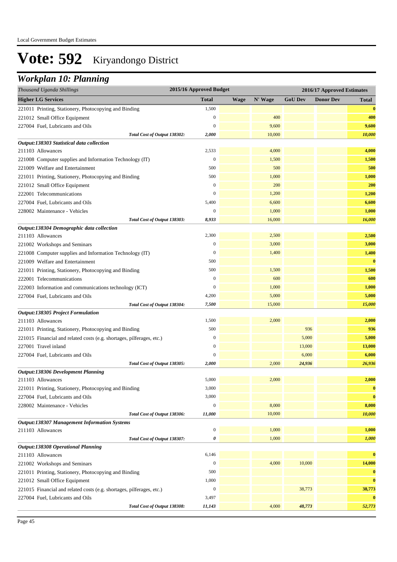### *Workplan 10: Planning*

| Thousand Uganda Shillings                                             | 2015/16 Approved Budget |             |         | 2016/17 Approved Estimates |                  |          |
|-----------------------------------------------------------------------|-------------------------|-------------|---------|----------------------------|------------------|----------|
| <b>Higher LG Services</b>                                             | <b>Total</b>            | <b>Wage</b> | N' Wage | <b>GoU Dev</b>             | <b>Donor Dev</b> | Total    |
| 221011 Printing, Stationery, Photocopying and Binding                 | 1,500                   |             |         |                            |                  | $\bf{0}$ |
| 221012 Small Office Equipment                                         | $\boldsymbol{0}$        |             | 400     |                            |                  | 400      |
| 227004 Fuel, Lubricants and Oils                                      | $\mathbf{0}$            |             | 9,600   |                            |                  | 9,600    |
| Total Cost of Output 138302:                                          | 2,000                   |             | 10,000  |                            |                  | 10,000   |
| Output:138303 Statistical data collection                             |                         |             |         |                            |                  |          |
| 211103 Allowances                                                     | 2,533                   |             | 4,000   |                            |                  | 4,000    |
| 221008 Computer supplies and Information Technology (IT)              | $\mathbf{0}$            |             | 1,500   |                            |                  | 1,500    |
| 221009 Welfare and Entertainment                                      | 500                     |             | 500     |                            |                  | 500      |
| 221011 Printing, Stationery, Photocopying and Binding                 | 500                     |             | 1,000   |                            |                  | 1,000    |
| 221012 Small Office Equipment                                         | $\boldsymbol{0}$        |             | 200     |                            |                  | 200      |
| 222001 Telecommunications                                             | $\mathbf{0}$            |             | 1,200   |                            |                  | 1,200    |
| 227004 Fuel, Lubricants and Oils                                      | 5,400                   |             | 6,600   |                            |                  | 6,600    |
| 228002 Maintenance - Vehicles                                         | $\mathbf{0}$            |             | 1,000   |                            |                  | 1,000    |
| Total Cost of Output 138303:                                          | 8,933                   |             | 16,000  |                            |                  | 16,000   |
| Output:138304 Demographic data collection                             |                         |             |         |                            |                  |          |
| 211103 Allowances                                                     | 2,300                   |             | 2,500   |                            |                  | 2,500    |
| 221002 Workshops and Seminars                                         | $\boldsymbol{0}$        |             | 3,000   |                            |                  | 3,000    |
| 221008 Computer supplies and Information Technology (IT)              | $\boldsymbol{0}$        |             | 1,400   |                            |                  | 1,400    |
| 221009 Welfare and Entertainment                                      | 500                     |             |         |                            |                  | $\bf{0}$ |
| 221011 Printing, Stationery, Photocopying and Binding                 | 500                     |             | 1,500   |                            |                  | 1,500    |
| 222001 Telecommunications                                             | $\mathbf{0}$            |             | 600     |                            |                  | 600      |
| 222003 Information and communications technology (ICT)                | $\boldsymbol{0}$        |             | 1,000   |                            |                  | 1,000    |
| 227004 Fuel, Lubricants and Oils                                      | 4,200                   |             | 5,000   |                            |                  | 5,000    |
| Total Cost of Output 138304:                                          | 7,500                   |             | 15,000  |                            |                  | 15,000   |
| Output:138305 Project Formulation                                     |                         |             |         |                            |                  |          |
| 211103 Allowances                                                     | 1,500                   |             | 2,000   |                            |                  | 2,000    |
| 221011 Printing, Stationery, Photocopying and Binding                 | 500                     |             |         | 936                        |                  | 936      |
| 221015 Financial and related costs (e.g. shortages, pilferages, etc.) | $\boldsymbol{0}$        |             |         | 5,000                      |                  | 5,000    |
| 227001 Travel inland                                                  | $\boldsymbol{0}$        |             |         | 13,000                     |                  | 13,000   |
| 227004 Fuel, Lubricants and Oils                                      | $\mathbf{0}$            |             |         | 6,000                      |                  | 6,000    |
| Total Cost of Output 138305:                                          | 2,000                   |             | 2,000   | 24,936                     |                  | 26,936   |
| Output:138306 Development Planning                                    |                         |             |         |                            |                  |          |
| 211103 Allowances                                                     | 5,000                   |             | 2,000   |                            |                  | 2,000    |
| 221011 Printing, Stationery, Photocopying and Binding                 | 3,000                   |             |         |                            |                  | $\bf{0}$ |
| 227004 Fuel, Lubricants and Oils                                      | 3,000                   |             |         |                            |                  | $\bf{0}$ |
| 228002 Maintenance - Vehicles                                         | $\boldsymbol{0}$        |             | 8,000   |                            |                  | 8,000    |
| Total Cost of Output 138306:                                          | 11,000                  |             | 10,000  |                            |                  | 10,000   |
| <b>Output:138307 Management Information Systems</b>                   |                         |             |         |                            |                  |          |
| 211103 Allowances                                                     | $\boldsymbol{0}$        |             | 1,000   |                            |                  | 1,000    |
| Total Cost of Output 138307:                                          | 0                       |             | 1,000   |                            |                  | 1,000    |
| Output:138308 Operational Planning                                    |                         |             |         |                            |                  |          |
| 211103 Allowances                                                     | 6,146                   |             |         |                            |                  | $\bf{0}$ |
| 221002 Workshops and Seminars                                         | $\boldsymbol{0}$        |             | 4,000   | 10,000                     |                  | 14,000   |
| 221011 Printing, Stationery, Photocopying and Binding                 | 500                     |             |         |                            |                  | $\bf{0}$ |
| 221012 Small Office Equipment                                         | 1,000                   |             |         |                            |                  | $\bf{0}$ |
| 221015 Financial and related costs (e.g. shortages, pilferages, etc.) | $\boldsymbol{0}$        |             |         | 38,773                     |                  | 38,773   |
| 227004 Fuel, Lubricants and Oils                                      | 3,497                   |             |         |                            |                  | $\bf{0}$ |
| Total Cost of Output 138308:                                          | 11,143                  |             | 4,000   | 48,773                     |                  | 52,773   |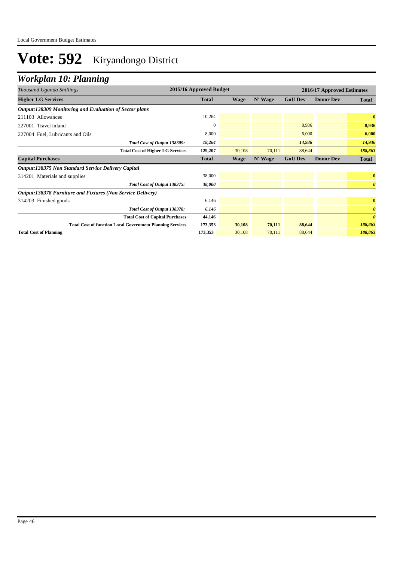## *Workplan 10: Planning*

| Thousand Uganda Shillings                                        | 2015/16 Approved Budget |             |         |                | 2016/17 Approved Estimates |                       |  |
|------------------------------------------------------------------|-------------------------|-------------|---------|----------------|----------------------------|-----------------------|--|
| <b>Higher LG Services</b>                                        | Total                   | Wage        | N' Wage | <b>GoU Dev</b> | <b>Donor Dev</b>           | <b>Total</b>          |  |
| Output:138309 Monitoring and Evaluation of Sector plans          |                         |             |         |                |                            |                       |  |
| 211103 Allowances                                                | 10,264                  |             |         |                |                            | $\bf{0}$              |  |
| 227001 Travel inland                                             | $\Omega$                |             |         | 8,936          |                            | 8,936                 |  |
| 227004 Fuel, Lubricants and Oils                                 | 8,000                   |             |         | 6,000          |                            | 6,000                 |  |
| Total Cost of Output 138309:                                     | 18,264                  |             |         | 14,936         |                            | 14,936                |  |
| <b>Total Cost of Higher LG Services</b>                          | 129,207                 | 30,108      | 70,111  | 88,644         |                            | 188,863               |  |
| <b>Capital Purchases</b>                                         | <b>Total</b>            | <b>Wage</b> | N' Wage | <b>GoU Dev</b> | <b>Donor Dev</b>           | <b>Total</b>          |  |
| <b>Output:138375 Non Standard Service Delivery Capital</b>       |                         |             |         |                |                            |                       |  |
| 314201 Materials and supplies                                    | 38,000                  |             |         |                |                            | $\bf{0}$              |  |
| Total Cost of Output 138375:                                     | 38,000                  |             |         |                |                            | $\boldsymbol{\theta}$ |  |
| Output:138378 Furniture and Fixtures (Non Service Delivery)      |                         |             |         |                |                            |                       |  |
| 314203 Finished goods                                            | 6,146                   |             |         |                |                            | $\bf{0}$              |  |
| Total Cost of Output 138378:                                     | 6,146                   |             |         |                |                            | $\boldsymbol{\theta}$ |  |
| <b>Total Cost of Capital Purchases</b>                           | 44,146                  |             |         |                |                            | $\boldsymbol{\theta}$ |  |
| <b>Total Cost of function Local Government Planning Services</b> | 173,353                 | 30,108      | 70,111  | 88,644         |                            | 188,863               |  |
| <b>Total Cost of Planning</b>                                    | 173,353                 | 30,108      | 70.111  | 88,644         |                            | 188,863               |  |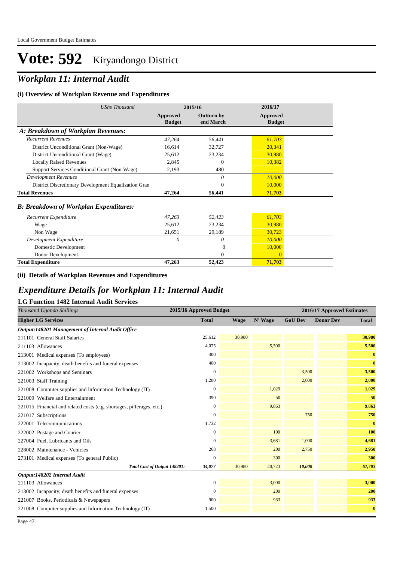## *Workplan 11: Internal Audit*

#### **(i) Overview of Workplan Revenue and Expenditures**

| <b>UShs Thousand</b>                                 |                           | 2015/16                        | 2016/17                   |
|------------------------------------------------------|---------------------------|--------------------------------|---------------------------|
|                                                      | Approved<br><b>Budget</b> | <b>Outturn by</b><br>end March | Approved<br><b>Budget</b> |
| A: Breakdown of Workplan Revenues:                   |                           |                                |                           |
| <b>Recurrent Revenues</b>                            | 47,264                    | 56,441                         | 61,703                    |
| District Unconditional Grant (Non-Wage)              | 16,614                    | 32,727                         | 20,341                    |
| District Unconditional Grant (Wage)                  | 25,612                    | 23,234                         | 30,980                    |
| <b>Locally Raised Revenues</b>                       | 2,845                     | $\Omega$                       | 10,382                    |
| Support Services Conditional Grant (Non-Wage)        | 2,193                     | 480                            |                           |
| <b>Development Revenues</b>                          |                           | 0                              | 10,000                    |
| District Discretionary Development Equalization Gran |                           | $\mathbf{0}$                   | 10,000                    |
| <b>Total Revenues</b>                                | 47,264                    | 56,441                         | 71,703                    |
| <b>B: Breakdown of Workplan Expenditures:</b>        |                           |                                |                           |
| Recurrent Expenditure                                | 47,263                    | 52,423                         | 61,703                    |
| Wage                                                 | 25,612                    | 23,234                         | 30,980                    |
| Non Wage                                             | 21,651                    | 29,189                         | 30,723                    |
| Development Expenditure                              | 0                         | 0                              | 10,000                    |
| Domestic Development                                 |                           | $\Omega$                       | 10,000                    |
| Donor Development                                    |                           | $\Omega$                       | $\mathbf{0}$              |
| <b>Total Expenditure</b>                             | 47,263                    | 52,423                         | 71,703                    |

#### **(ii) Details of Workplan Revenues and Expenditures**

#### *Expenditure Details for Workplan 11: Internal Audit*

| <b>LG Function 1482 Internal Audit Services</b>                       |                         |             |         |                            |                  |              |  |
|-----------------------------------------------------------------------|-------------------------|-------------|---------|----------------------------|------------------|--------------|--|
| Thousand Uganda Shillings                                             | 2015/16 Approved Budget |             |         | 2016/17 Approved Estimates |                  |              |  |
| <b>Higher LG Services</b>                                             | <b>Total</b>            | <b>Wage</b> | N' Wage | <b>GoU Dev</b>             | <b>Donor Dev</b> | <b>Total</b> |  |
| Output:148201 Management of Internal Audit Office                     |                         |             |         |                            |                  |              |  |
| 211101 General Staff Salaries                                         | 25,612                  | 30,980      |         |                            |                  | 30,980       |  |
| 211103 Allowances                                                     | 4.075                   |             | 5,500   |                            |                  | 5,500        |  |
| 213001 Medical expenses (To employees)                                | 400                     |             |         |                            |                  | $\bf{0}$     |  |
| 213002 Incapacity, death benefits and funeral expenses                | 400                     |             |         |                            |                  | $\bf{0}$     |  |
| 221002 Workshops and Seminars                                         | $\mathbf{0}$            |             |         | 3,500                      |                  | 3,500        |  |
| 221003 Staff Training                                                 | 1,200                   |             |         | 2,000                      |                  | 2,000        |  |
| 221008 Computer supplies and Information Technology (IT)              | $\mathbf{0}$            |             | 1,029   |                            |                  | 1,029        |  |
| 221009 Welfare and Entertainment                                      | 390                     |             | 50      |                            |                  | 50           |  |
| 221015 Financial and related costs (e.g. shortages, pilferages, etc.) | $\mathbf{0}$            |             | 9,863   |                            |                  | 9,863        |  |
| 221017 Subscriptions                                                  | $\overline{0}$          |             |         | 750                        |                  | 750          |  |
| 222001 Telecommunications                                             | 1,732                   |             |         |                            |                  | $\bf{0}$     |  |
| 222002 Postage and Courier                                            | $\boldsymbol{0}$        |             | 100     |                            |                  | 100          |  |
| 227004 Fuel, Lubricants and Oils                                      | 0                       |             | 3,681   | 1,000                      |                  | 4,681        |  |
| 228002 Maintenance - Vehicles                                         | 268                     |             | 200     | 2,750                      |                  | 2,950        |  |
| 273101 Medical expenses (To general Public)                           | 0                       |             | 300     |                            |                  | 300          |  |
| Total Cost of Output 148201:                                          | 34,077                  | 30,980      | 20,723  | 10,000                     |                  | 61,703       |  |
| Output:148202 Internal Audit                                          |                         |             |         |                            |                  |              |  |
| 211103 Allowances                                                     | $\boldsymbol{0}$        |             | 3,000   |                            |                  | 3,000        |  |
| 213002 Incapacity, death benefits and funeral expenses                | $\overline{0}$          |             | 200     |                            |                  | 200          |  |
| 221007 Books, Periodicals & Newspapers                                | 900                     |             | 933     |                            |                  | 933          |  |
| 221008 Computer supplies and Information Technology (IT)              | 1,500                   |             |         |                            |                  | $\bf{0}$     |  |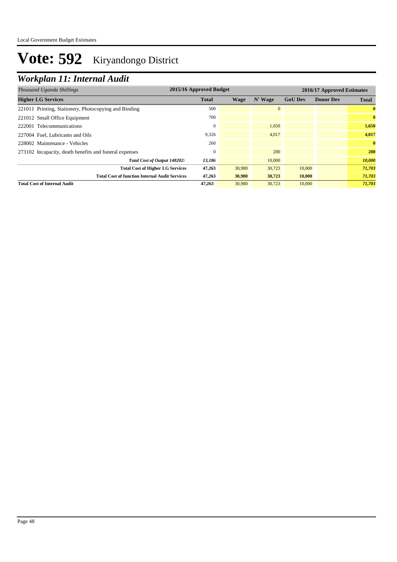## *Workplan 11: Internal Audit*

| Thousand Uganda Shillings                              |              | 2015/16 Approved Budget |              |                | 2016/17 Approved Estimates |              |  |
|--------------------------------------------------------|--------------|-------------------------|--------------|----------------|----------------------------|--------------|--|
| <b>Higher LG Services</b>                              | <b>Total</b> | Wage                    | N' Wage      | <b>GoU Dev</b> | <b>Donor Dev</b>           | <b>Total</b> |  |
| 221011 Printing, Stationery, Photocopying and Binding  | 500          |                         | $\mathbf{0}$ |                |                            | $\bf{0}$     |  |
| 221012 Small Office Equipment                          | 700          |                         |              |                |                            | $\bf{0}$     |  |
| 222001 Telecommunications                              |              |                         | 1.650        |                |                            | 1,650        |  |
| 227004 Fuel, Lubricants and Oils                       | 9,326        |                         | 4,017        |                |                            | 4,017        |  |
| 228002 Maintenance - Vehicles                          | 260          |                         |              |                |                            | $\mathbf{0}$ |  |
| 273102 Incapacity, death benefits and funeral expenses |              |                         | 200          |                |                            | <b>200</b>   |  |
| Total Cost of Output 148202:                           | 13,186       |                         | 10,000       |                |                            | 10,000       |  |
| <b>Total Cost of Higher LG Services</b>                | 47,263       | 30,980                  | 30,723       | 10,000         |                            | 71,703       |  |
| <b>Total Cost of function Internal Audit Services</b>  | 47,263       | 30,980                  | 30,723       | 10,000         |                            | 71,703       |  |
| <b>Total Cost of Internal Audit</b>                    | 47.263       | 30,980                  | 30,723       | 10,000         |                            | 71,703       |  |